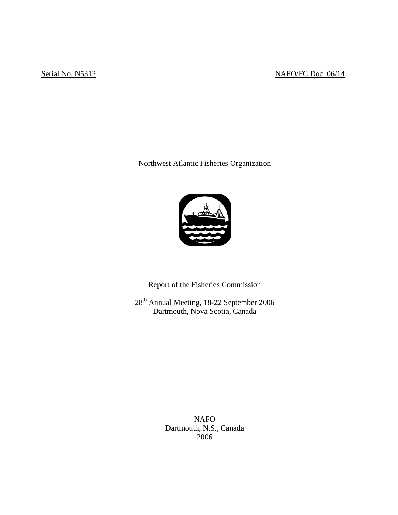# Serial No. N5312 NAFO/FC Doc. 06/14

Northwest Atlantic Fisheries Organization



Report of the Fisheries Commission

28<sup>th</sup> Annual Meeting, 18-22 September 2006 Dartmouth, Nova Scotia, Canada

> NAFO Dartmouth, N.S., Canada 2006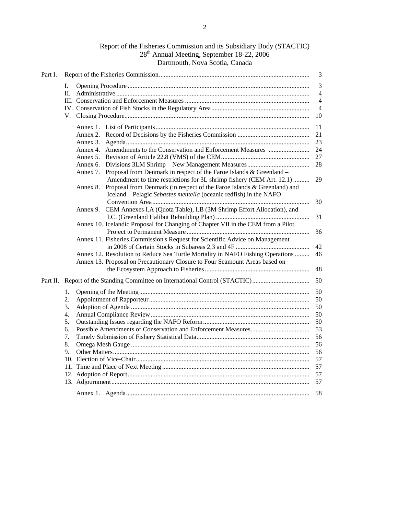| Report of the Fisheries Commission and its Subsidiary Body (STACTIC) |
|----------------------------------------------------------------------|
| 28 <sup>th</sup> Annual Meeting, September 18-22, 2006               |
| Dartmouth, Nova Scotia, Canada                                       |

| Part I.  |    |                                                                                                                                                       | 3              |
|----------|----|-------------------------------------------------------------------------------------------------------------------------------------------------------|----------------|
|          | Ι. |                                                                                                                                                       | $\mathfrak{Z}$ |
|          | П. |                                                                                                                                                       | $\overline{4}$ |
|          |    |                                                                                                                                                       | $\overline{4}$ |
|          |    |                                                                                                                                                       | $\overline{4}$ |
|          |    |                                                                                                                                                       | 10             |
|          |    |                                                                                                                                                       | 11             |
|          |    |                                                                                                                                                       | 21             |
|          |    |                                                                                                                                                       | 23             |
|          |    | Annex 4. Amendments to the Conservation and Enforcement Measures                                                                                      | 24             |
|          |    |                                                                                                                                                       | 27             |
|          |    |                                                                                                                                                       | 28             |
|          |    | Proposal from Denmark in respect of the Faroe Islands & Greenland -<br>Annex 7.                                                                       |                |
|          |    | Amendment to time restrictions for 3L shrimp fishery (CEM Art. 12.1)                                                                                  | 29             |
|          |    | Annex 8. Proposal from Denmark (in respect of the Faroe Islands & Greenland) and<br>Iceland - Pelagic Sebastes mentella (oceanic redfish) in the NAFO |                |
|          |    |                                                                                                                                                       | 30             |
|          |    | Annex 9. CEM Annexes I.A (Quota Table), I.B (3M Shrimp Effort Allocation), and                                                                        |                |
|          |    |                                                                                                                                                       | 31             |
|          |    | Annex 10. Icelandic Proposal for Changing of Chapter VII in the CEM from a Pilot                                                                      |                |
|          |    |                                                                                                                                                       | 36             |
|          |    | Annex 11. Fisheries Commission's Request for Scientific Advice on Management                                                                          |                |
|          |    |                                                                                                                                                       | 42             |
|          |    | Annex 12. Resolution to Reduce Sea Turtle Mortality in NAFO Fishing Operations                                                                        | 46             |
|          |    | Annex 13. Proposal on Precautionary Closure to Four Seamount Areas based on                                                                           |                |
|          |    |                                                                                                                                                       | 48             |
| Part II. |    |                                                                                                                                                       | 50             |
|          | 1. |                                                                                                                                                       | 50             |
|          | 2. |                                                                                                                                                       | 50             |
|          | 3. |                                                                                                                                                       | 50             |
|          | 4. |                                                                                                                                                       | 50             |
|          | 5. |                                                                                                                                                       | 50             |
|          | 6. |                                                                                                                                                       | 53             |
|          | 7. |                                                                                                                                                       | 56             |
|          | 8. |                                                                                                                                                       | 56             |
|          |    |                                                                                                                                                       |                |
|          | 9. |                                                                                                                                                       | 56             |
|          |    |                                                                                                                                                       | 57             |
|          |    |                                                                                                                                                       | 57             |
|          |    |                                                                                                                                                       | 57             |
|          |    |                                                                                                                                                       | 57             |
|          |    |                                                                                                                                                       | 58             |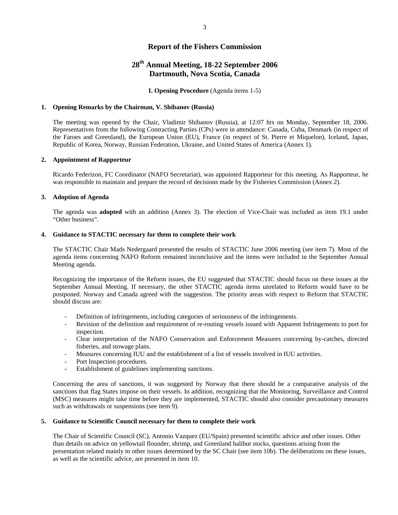# **Report of the Fishers Commission**

# **28th Annual Meeting, 18-22 September 2006 Dartmouth, Nova Scotia, Canada**

### **I. Opening Procedure** (Agenda items 1-5)

#### **1. Opening Remarks by the Chairman, V. Shibanov (Russia)**

 The meeting was opened by the Chair, Vladimir Shibanov (Russia), at 12:07 hrs on Monday, September 18, 2006. Representatives from the following Contracting Parties (CPs) were in attendance: Canada, Cuba, Denmark (in respect of the Faroes and Greenland), the European Union (EU), France (in respect of St. Pierre et Miquelon), Iceland, Japan, Republic of Korea, Norway, Russian Federation, Ukraine, and United States of America (Annex 1).

#### **2. Appointment of Rapporteur**

 Ricardo Federizon, FC Coordinator (NAFO Secretariat), was appointed Rapporteur for this meeting. As Rapporteur, he was responsible to maintain and prepare the record of decisions made by the Fisheries Commission (Annex 2).

#### **3. Adoption of Agenda**

The agenda was **adopted** with an addition (Annex 3). The election of Vice-Chair was included as item 19.1 under "Other business".

#### **4. Guidance to STACTIC necessary for them to complete their work**

The STACTIC Chair Mads Nedergaard presented the results of STACTIC June 2006 meeting (see item 7). Most of the agenda items concerning NAFO Reform remained inconclusive and the items were included in the September Annual Meeting agenda.

Recognizing the importance of the Reform issues, the EU suggested that STACTIC should focus on these issues at the September Annual Meeting. If necessary, the other STACTIC agenda items unrelated to Reform would have to be postponed. Norway and Canada agreed with the suggestion. The priority areas with respect to Reform that STACTIC should discuss are:

- Definition of infringements, including categories of seriousness of the infringements.
- Revision of the definition and requirement of re-routing vessels issued with Apparent Infringements to port for inspection.
- Clear interpretation of the NAFO Conservation and Enforcement Measures concerning by-catches, directed fisheries, and stowage plans.
- Measures concerning IUU and the establishment of a list of vessels involved in IUU activities.
- Port Inspection procedures.
- Establishment of guidelines implementing sanctions.

Concerning the area of sanctions, it was suggested by Norway that there should be a comparative analysis of the sanctions that flag States impose on their vessels. In addition, recognizing that the Monitoring, Surveillance and Control (MSC) measures might take time before they are implemented, STACTIC should also consider precautionary measures such as withdrawals or suspensions (see item 9).

#### **5. Guidance to Scientific Council necessary for them to complete their work**

The Chair of Scientific Council (SC), Antonio Vazquez (EU/Spain) presented scientific advice and other issues. Other than details on advice on yellowtail flounder, shrimp, and Greenland halibut stocks, questions arising from the presentation related mainly to other issues determined by the SC Chair (see item 10b). The deliberations on these issues, as well as the scientific advice, are presented in item 10.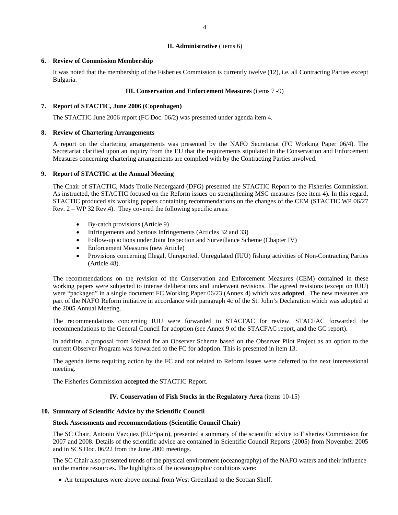#### **II. Administrative** (items 6)

## **6. Review of Commission Membership**

It was noted that the membership of the Fisheries Commission is currently twelve (12), i.e. all Contracting Parties except Bulgaria.

#### **III. Conservation and Enforcement Measures** (items 7 -9)

#### **7. Report of STACTIC, June 2006 (Copenhagen)**

The STACTIC June 2006 report (FC Doc. 06/2) was presented under agenda item 4.

## **8. Review of Chartering Arrangements**

A report on the chartering arrangements was presented by the NAFO Secretariat (FC Working Paper 06/4). The Secretariat clarified upon an inquiry from the EU that the requirements stipulated in the Conservation and Enforcement Measures concerning chartering arrangements are complied with by the Contracting Parties involved.

### **9. Report of STACTIC at the Annual Meeting**

The Chair of STACTIC, Mads Trolle Nedergaard (DFG) presented the STACTIC Report to the Fisheries Commission. As instructed, the STACTIC focused on the Reform issues on strengthening MSC measures (see item 4). In this regard, STACTIC produced six working papers containing recommendations on the changes of the CEM (STACTIC WP 06/27 Rev. 2 – WP 32 Rev.4). They covered the following specific areas:

- By-catch provisions (Article 9)
- Infringements and Serious Infringements (Articles 32 and 33)
- Follow-up actions under Joint Inspection and Surveillance Scheme (Chapter IV)
- Enforcement Measures (new Article)
- Provisions concerning Illegal, Unreported, Unregulated (IUU) fishing activities of Non-Contracting Parties (Article 48).

The recommendations on the revision of the Conservation and Enforcement Measures (CEM) contained in these working papers were subjected to intense deliberations and underwent revisions. The agreed revisions (except on IUU) were "packaged" in a single document FC Working Paper 06/23 (Annex 4) which was **adopted**. The new measures are part of the NAFO Reform initiative in accordance with paragraph 4c of the St. John's Declaration which was adopted at the 2005 Annual Meeting.

The recommendations concerning IUU were forwarded to STACFAC for review. STACFAC forwarded the recommendations to the General Council for adoption (see Annex 9 of the STACFAC report, and the GC report).

In addition, a proposal from Iceland for an Observer Scheme based on the Observer Pilot Project as an option to the current Observer Program was forwarded to the FC for adoption. This is presented in item 13.

The agenda items requiring action by the FC and not related to Reform issues were deferred to the next intersessional meeting.

The Fisheries Commission **accepted** the STACTIC Report.

## **IV. Conservation of Fish Stocks in the Regulatory Area** (items 10-15)

## **10. Summary of Scientific Advice by the Scientific Council**

#### **Stock Assessments and recommendations (Scientific Council Chair)**

The SC Chair, Antonio Vazquez (EU/Spain), presented a summary of the scientific advice to Fisheries Commission for 2007 and 2008. Details of the scientific advice are contained in Scientific Council Reports (2005) from November 2005 and in SCS Doc. 06/22 from the June 2006 meetings.

The SC Chair also presented trends of the physical environment (oceanography) of the NAFO waters and their influence on the marine resources. The highlights of the oceanographic conditions were:

• Air temperatures were above normal from West Greenland to the Scotian Shelf.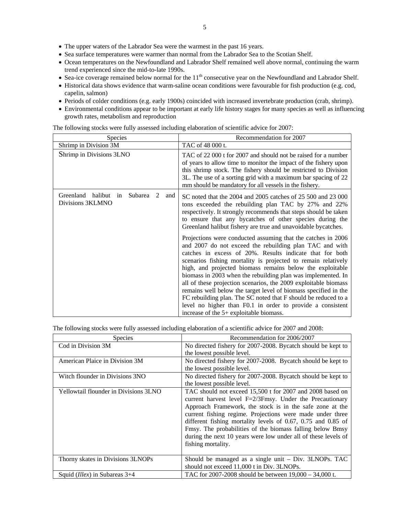- The upper waters of the Labrador Sea were the warmest in the past 16 years.
- Sea surface temperatures were warmer than normal from the Labrador Sea to the Scotian Shelf.
- Ocean temperatures on the Newfoundland and Labrador Shelf remained well above normal, continuing the warm trend experienced since the mid-to-late 1990s.
- Sea-ice coverage remained below normal for the  $11<sup>th</sup>$  consecutive year on the Newfoundland and Labrador Shelf.
- Historical data shows evidence that warm-saline ocean conditions were favourable for fish production (e.g. cod, capelin, salmon)
- Periods of colder conditions (e.g. early 1900s) coincided with increased invertebrate production (crab, shrimp).
- Environmental conditions appear to be important at early life history stages for many species as well as influencing growth rates, metabolism and reproduction

| Species                                                                        | Recommendation for 2007                                                                                                                                                                                                                                                                                                                                                                                                                                                                                                                                                                                                                                                                                                                                                                                                                         |
|--------------------------------------------------------------------------------|-------------------------------------------------------------------------------------------------------------------------------------------------------------------------------------------------------------------------------------------------------------------------------------------------------------------------------------------------------------------------------------------------------------------------------------------------------------------------------------------------------------------------------------------------------------------------------------------------------------------------------------------------------------------------------------------------------------------------------------------------------------------------------------------------------------------------------------------------|
| Shrimp in Division 3M                                                          | TAC of 48 000 t.                                                                                                                                                                                                                                                                                                                                                                                                                                                                                                                                                                                                                                                                                                                                                                                                                                |
| Shrimp in Divisions 3LNO                                                       | TAC of 22 000 t for 2007 and should not be raised for a number<br>of years to allow time to monitor the impact of the fishery upon<br>this shrimp stock. The fishery should be restricted to Division<br>3L. The use of a sorting grid with a maximum bar spacing of 22<br>mm should be mandatory for all vessels in the fishery.                                                                                                                                                                                                                                                                                                                                                                                                                                                                                                               |
| Subarea<br>Greenland halibut<br>$\mathcal{L}$<br>in<br>and<br>Divisions 3KLMNO | SC noted that the 2004 and 2005 catches of 25 500 and 23 000<br>tons exceeded the rebuilding plan TAC by 27% and 22%<br>respectively. It strongly recommends that steps should be taken<br>to ensure that any bycatches of other species during the<br>Greenland halibut fishery are true and unavoidable bycatches.<br>Projections were conducted assuming that the catches in 2006<br>and 2007 do not exceed the rebuilding plan TAC and with<br>catches in excess of 20%. Results indicate that for both<br>scenarios fishing mortality is projected to remain relatively<br>high, and projected biomass remains below the exploitable<br>biomass in 2003 when the rebuilding plan was implemented. In<br>all of these projection scenarios, the 2009 exploitable biomass<br>remains well below the target level of biomass specified in the |
|                                                                                | FC rebuilding plan. The SC noted that F should be reduced to a<br>level no higher than F0.1 in order to provide a consistent<br>increase of the 5+ exploitable biomass.                                                                                                                                                                                                                                                                                                                                                                                                                                                                                                                                                                                                                                                                         |

The following stocks were fully assessed including elaboration of scientific advice for 2007:

The following stocks were fully assessed including elaboration of a scientific advice for 2007 and 2008:

| <b>Species</b>                        | Recommendation for 2006/2007                                                                                                                                                                                                                                                                                                                                                                                                                                        |
|---------------------------------------|---------------------------------------------------------------------------------------------------------------------------------------------------------------------------------------------------------------------------------------------------------------------------------------------------------------------------------------------------------------------------------------------------------------------------------------------------------------------|
| Cod in Division 3M                    | No directed fishery for 2007-2008. Bycatch should be kept to                                                                                                                                                                                                                                                                                                                                                                                                        |
|                                       | the lowest possible level.                                                                                                                                                                                                                                                                                                                                                                                                                                          |
| American Plaice in Division 3M        | No directed fishery for 2007-2008. Bycatch should be kept to                                                                                                                                                                                                                                                                                                                                                                                                        |
|                                       | the lowest possible level.                                                                                                                                                                                                                                                                                                                                                                                                                                          |
| Witch flounder in Divisions 3NO       | No directed fishery for 2007-2008. Bycatch should be kept to                                                                                                                                                                                                                                                                                                                                                                                                        |
|                                       | the lowest possible level.                                                                                                                                                                                                                                                                                                                                                                                                                                          |
| Yellowtail flounder in Divisions 3LNO | TAC should not exceed 15,500 t for 2007 and 2008 based on<br>current harvest level F=2/3Fmsy. Under the Precautionary<br>Approach Framework, the stock is in the safe zone at the<br>current fishing regime. Projections were made under three<br>different fishing mortality levels of 0.67, 0.75 and 0.85 of<br>Fmsy. The probabilities of the biomass falling below Bmsy<br>during the next 10 years were low under all of these levels of<br>fishing mortality. |
| Thorny skates in Divisions 3LNOPs     | Should be managed as a single unit - Div. 3LNOPs. TAC<br>should not exceed 11,000 t in Div. 3LNOPs.                                                                                                                                                                                                                                                                                                                                                                 |
| Squid (Illex) in Subareas 3+4         | TAC for 2007-2008 should be between 19,000 – 34,000 t.                                                                                                                                                                                                                                                                                                                                                                                                              |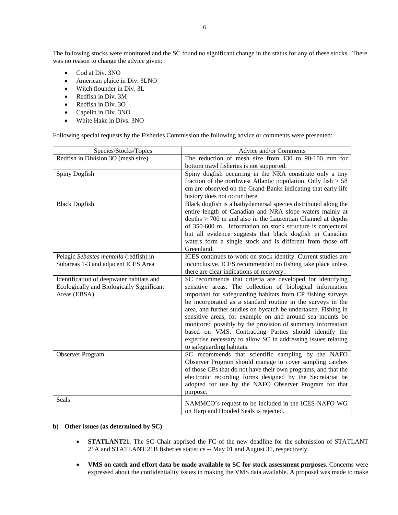The following stocks were monitored and the SC found no significant change in the status for any of these stocks. There was no reason to change the advice given:

- Cod at Div. 3NO
- American plaice in Div. 3LNO
- Witch flounder in Div. 3L
- Redfish in Div. 3M
- Redfish in Div. 3O
- Capelin in Div. 3NO
- White Hake in Divs. 3NO

Following special requests by the Fisheries Commission the following advice or comments were presented:

| Species/Stocks/Topics                     | Advice and/or Comments                                                                                                     |
|-------------------------------------------|----------------------------------------------------------------------------------------------------------------------------|
| Redfish in Division 3O (mesh size)        | The reduction of mesh size from 130 to 90-100 mm for<br>bottom trawl fisheries is not supported.                           |
| Spiny Dogfish                             | Spiny dogfish occurring in the NRA constitute only a tiny                                                                  |
|                                           | fraction of the northwest Atlantic population. Only $fish > 58$                                                            |
|                                           | cm are observed on the Grand Banks indicating that early life                                                              |
|                                           | history does not occur there.                                                                                              |
| <b>Black Dogfish</b>                      | Black dogfish is a bathydemersal species distributed along the                                                             |
|                                           | entire length of Canadian and NRA slope waters mainly at                                                                   |
|                                           | depths > 700 m and also in the Laurentian Channel at depths                                                                |
|                                           | of 350-600 m. Information on stock structure is conjectural                                                                |
|                                           | but all evidence suggests that black dogfish in Canadian                                                                   |
|                                           | waters form a single stock and is different from those off                                                                 |
|                                           | Greenland.                                                                                                                 |
| Pelagic Sebastes mentella (redfish) in    | ICES continues to work on stock identity. Current studies are                                                              |
| Subareas 1-3 and adjacent ICES Area       | inconclusive. ICES recommended no fishing take place unless                                                                |
|                                           | there are clear indications of recovery.                                                                                   |
| Identification of deepwater habitats and  | SC recommends that criteria are developed for identifying                                                                  |
| Ecologically and Biologically Significant | sensitive areas. The collection of biological information                                                                  |
| Areas (EBSA)                              | important for safeguarding habitats from CP fishing surveys                                                                |
|                                           | be incorporated as a standard routine in the surveys in the                                                                |
|                                           | area, and further studies on bycatch be undertaken. Fishing in<br>sensitive areas, for example on and around sea mounts be |
|                                           | monitored possibly by the provision of summary information                                                                 |
|                                           | based on VMS. Contracting Parties should identify the                                                                      |
|                                           | expertise necessary to allow SC in addressing issues relating                                                              |
|                                           | to safeguarding habitats.                                                                                                  |
| Observer Program                          | SC recommends that scientific sampling by the NAFO                                                                         |
|                                           | Observer Program should manage to cover sampling catches                                                                   |
|                                           | of those CPs that do not have their own programs, and that the                                                             |
|                                           | electronic recording forms designed by the Secretariat be                                                                  |
|                                           | adopted for use by the NAFO Observer Program for that                                                                      |
|                                           | purpose.                                                                                                                   |
| Seals                                     |                                                                                                                            |
|                                           |                                                                                                                            |
|                                           | NAMMCO's request to be included in the ICES-NAFO WG<br>on Harp and Hooded Seals is rejected.                               |

#### **b) Other issues (as determined by SC)**

- **STATLANT21**. The SC Chair apprised the FC of the new deadline for the submission of STATLANT 21A and STATLANT 21B fisheries statistics -- May 01 and August 31, respectively.
- **VMS on catch and effort data be made available to SC for stock assessment purposes**. Concerns were expressed about the confidentiality issues in making the VMS data available. A proposal was made to make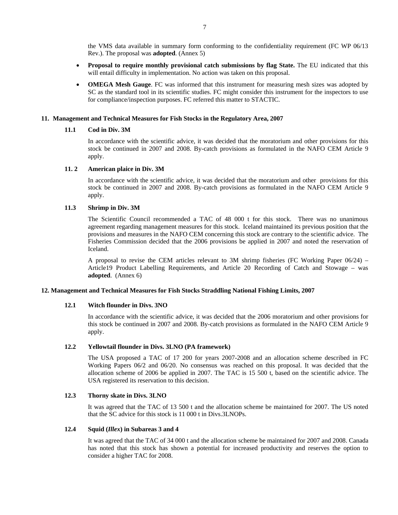the VMS data available in summary form conforming to the confidentiality requirement (FC WP 06/13 Rev.). The proposal was **adopted**. (Annex 5)

- **Proposal to require monthly provisional catch submissions by flag State.** The EU indicated that this will entail difficulty in implementation. No action was taken on this proposal.
- **OMEGA Mesh Gauge**. FC was informed that this instrument for measuring mesh sizes was adopted by SC as the standard tool in its scientific studies. FC might consider this instrument for the inspectors to use for compliance/inspection purposes. FC referred this matter to STACTIC.

#### **11. Management and Technical Measures for Fish Stocks in the Regulatory Area, 2007**

## **11.1 Cod in Div. 3M**

In accordance with the scientific advice, it was decided that the moratorium and other provisions for this stock be continued in 2007 and 2008. By-catch provisions as formulated in the NAFO CEM Article 9 apply.

## **11. 2 American plaice in Div. 3M**

In accordance with the scientific advice, it was decided that the moratorium and other provisions for this stock be continued in 2007 and 2008. By-catch provisions as formulated in the NAFO CEM Article 9 apply.

## **11.3 Shrimp in Div. 3M**

The Scientific Council recommended a TAC of 48 000 t for this stock. There was no unanimous agreement regarding management measures for this stock. Iceland maintained its previous position that the provisions and measures in the NAFO CEM concerning this stock are contrary to the scientific advice. The Fisheries Commission decided that the 2006 provisions be applied in 2007 and noted the reservation of Iceland.

A proposal to revise the CEM articles relevant to 3M shrimp fisheries (FC Working Paper 06/24) – Article19 Product Labelling Requirements, and Article 20 Recording of Catch and Stowage – was **adopted**. (Annex 6)

## **12. Management and Technical Measures for Fish Stocks Straddling National Fishing Limits, 2007**

### **12.1 Witch flounder in Divs. 3NO**

In accordance with the scientific advice, it was decided that the 2006 moratorium and other provisions for this stock be continued in 2007 and 2008. By-catch provisions as formulated in the NAFO CEM Article 9 apply.

## **12.2 Yellowtail flounder in Divs. 3LNO (PA framework)**

The USA proposed a TAC of 17 200 for years 2007-2008 and an allocation scheme described in FC Working Papers 06/2 and 06/20. No consensus was reached on this proposal. It was decided that the allocation scheme of 2006 be applied in 2007. The TAC is 15 500 t, based on the scientific advice. The USA registered its reservation to this decision.

## **12.3 Thorny skate in Divs. 3LNO**

It was agreed that the TAC of 13 500 t and the allocation scheme be maintained for 2007. The US noted that the SC advice for this stock is 11 000 t in Divs.3LNOPs.

### **12.4 Squid (***Illex***) in Subareas 3 and 4**

It was agreed that the TAC of 34 000 t and the allocation scheme be maintained for 2007 and 2008. Canada has noted that this stock has shown a potential for increased productivity and reserves the option to consider a higher TAC for 2008.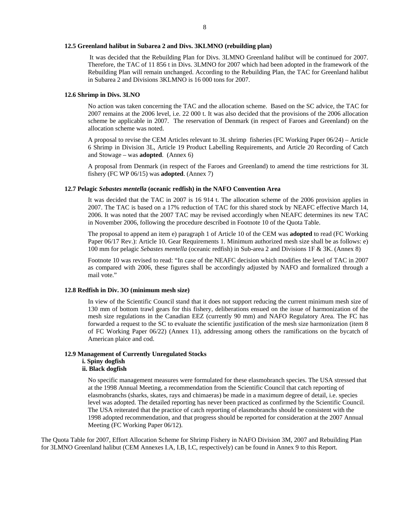#### **12.5 Greenland halibut in Subarea 2 and Divs. 3KLMNO (rebuilding plan)**

 It was decided that the Rebuilding Plan for Divs. 3LMNO Greenland halibut will be continued for 2007. Therefore, the TAC of 11 856 t in Divs. 3LMNO for 2007 which had been adopted in the framework of the Rebuilding Plan will remain unchanged. According to the Rebuilding Plan, the TAC for Greenland halibut in Subarea 2 and Divisions 3KLMNO is 16 000 tons for 2007.

#### **12.6 Shrimp in Divs. 3LNO**

No action was taken concerning the TAC and the allocation scheme. Based on the SC advice, the TAC for 2007 remains at the 2006 level, i.e. 22 000 t. It was also decided that the provisions of the 2006 allocation scheme be applicable in 2007. The reservation of Denmark (in respect of Faroes and Greenland) on the allocation scheme was noted.

A proposal to revise the CEM Articles relevant to 3L shrimp fisheries (FC Working Paper 06/24) – Article 6 Shrimp in Division 3L, Article 19 Product Labelling Requirements, and Article 20 Recording of Catch and Stowage – was **adopted**. (Annex 6)

A proposal from Denmark (in respect of the Faroes and Greenland) to amend the time restrictions for 3L fishery (FC WP 06/15) was **adopted**. (Annex 7)

#### **12.7 Pelagic** *Sebastes mentella* **(oceanic redfish) in the NAFO Convention Area**

It was decided that the TAC in 2007 is 16 914 t. The allocation scheme of the 2006 provision applies in 2007. The TAC is based on a 17% reduction of TAC for this shared stock by NEAFC effective March 14, 2006. It was noted that the 2007 TAC may be revised accordingly when NEAFC determines its new TAC in November 2006, following the procedure described in Footnote 10 of the Quota Table.

The proposal to append an item e) paragraph 1 of Article 10 of the CEM was **adopted** to read (FC Working Paper 06/17 Rev.): Article 10. Gear Requirements 1. Minimum authorized mesh size shall be as follows: e) 100 mm for pelagic *Sebastes mentella* (oceanic redfish) in Sub-area 2 and Divisions 1F & 3K. (Annex 8)

Footnote 10 was revised to read: "In case of the NEAFC decision which modifies the level of TAC in 2007 as compared with 2006, these figures shall be accordingly adjusted by NAFO and formalized through a mail vote."

#### **12.8 Redfish in Div. 3O (minimum mesh size)**

In view of the Scientific Council stand that it does not support reducing the current minimum mesh size of 130 mm of bottom trawl gears for this fishery, deliberations ensued on the issue of harmonization of the mesh size regulations in the Canadian EEZ (currently 90 mm) and NAFO Regulatory Area. The FC has forwarded a request to the SC to evaluate the scientific justification of the mesh size harmonization (item 8 of FC Working Paper 06/22) (Annex 11), addressing among others the ramifications on the bycatch of American plaice and cod.

# **12.9 Management of Currently Unregulated Stocks**

## **i. Spiny dogfish**

## **ii. Black dogfish**

No specific management measures were formulated for these elasmobranch species. The USA stressed that at the 1998 Annual Meeting, a recommendation from the Scientific Council that catch reporting of elasmobranchs (sharks, skates, rays and chimaeras) be made in a maximum degree of detail, i.e. species level was adopted. The detailed reporting has never been practiced as confirmed by the Scientific Council. The USA reiterated that the practice of catch reporting of elasmobranchs should be consistent with the 1998 adopted recommendation, and that progress should be reported for consideration at the 2007 Annual Meeting (FC Working Paper 06/12).

The Quota Table for 2007, Effort Allocation Scheme for Shrimp Fishery in NAFO Division 3M, 2007 and Rebuilding Plan for 3LMNO Greenland halibut (CEM Annexes I.A, I.B, I.C, respectively) can be found in Annex 9 to this Report.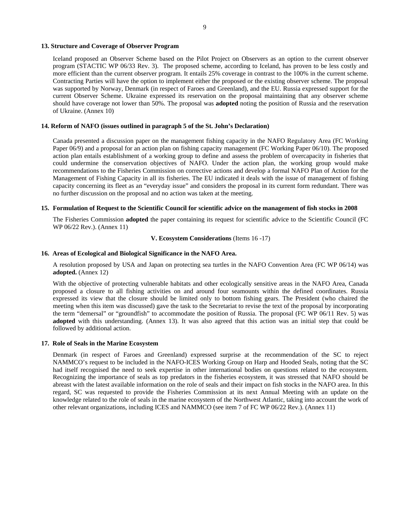#### **13. Structure and Coverage of Observer Program**

Iceland proposed an Observer Scheme based on the Pilot Project on Observers as an option to the current observer program (STACTIC WP 06/33 Rev. 3). The proposed scheme, according to Iceland, has proven to be less costly and more efficient than the current observer program. It entails 25% coverage in contrast to the 100% in the current scheme. Contracting Parties will have the option to implement either the proposed or the existing observer scheme. The proposal was supported by Norway, Denmark (in respect of Faroes and Greenland), and the EU. Russia expressed support for the current Observer Scheme. Ukraine expressed its reservation on the proposal maintaining that any observer scheme should have coverage not lower than 50%. The proposal was **adopted** noting the position of Russia and the reservation of Ukraine. (Annex 10)

## **14. Reform of NAFO (issues outlined in paragraph 5 of the St. John's Declaration)**

Canada presented a discussion paper on the management fishing capacity in the NAFO Regulatory Area (FC Working Paper 06/9) and a proposal for an action plan on fishing capacity management (FC Working Paper 06/10). The proposed action plan entails establishment of a working group to define and assess the problem of overcapacity in fisheries that could undermine the conservation objectives of NAFO. Under the action plan, the working group would make recommendations to the Fisheries Commission on corrective actions and develop a formal NAFO Plan of Action for the Management of Fishing Capacity in all its fisheries. The EU indicated it deals with the issue of management of fishing capacity concerning its fleet as an "everyday issue" and considers the proposal in its current form redundant. There was no further discussion on the proposal and no action was taken at the meeting.

### **15. Formulation of Request to the Scientific Council for scientific advice on the management of fish stocks in 2008**

The Fisheries Commission **adopted** the paper containing its request for scientific advice to the Scientific Council (FC WP 06/22 Rev.). (Annex 11)

#### **V. Ecosystem Considerations** (Items 16 -17)

## **16. Areas of Ecological and Biological Significance in the NAFO Area.**

A resolution proposed by USA and Japan on protecting sea turtles in the NAFO Convention Area (FC WP 06/14) was **adopted.** (Annex 12)

With the objective of protecting vulnerable habitats and other ecologically sensitive areas in the NAFO Area, Canada proposed a closure to all fishing activities on and around four seamounts within the defined coordinates. Russia expressed its view that the closure should be limited only to bottom fishing gears. The President (who chaired the meeting when this item was discussed) gave the task to the Secretariat to revise the text of the proposal by incorporating the term "demersal" or "groundfish" to accommodate the position of Russia. The proposal (FC WP 06/11 Rev. 5) was **adopted** with this understanding. (Annex 13). It was also agreed that this action was an initial step that could be followed by additional action.

## **17. Role of Seals in the Marine Ecosystem**

Denmark (in respect of Faroes and Greenland) expressed surprise at the recommendation of the SC to reject NAMMCO's request to be included in the NAFO-ICES Working Group on Harp and Hooded Seals, noting that the SC had itself recognised the need to seek expertise in other international bodies on questions related to the ecosystem. Recognizing the importance of seals as top predators in the fisheries ecosystem, it was stressed that NAFO should be abreast with the latest available information on the role of seals and their impact on fish stocks in the NAFO area. In this regard, SC was requested to provide the Fisheries Commission at its next Annual Meeting with an update on the knowledge related to the role of seals in the marine ecosystem of the Northwest Atlantic, taking into account the work of other relevant organizations, including ICES and NAMMCO (see item 7 of FC WP 06/22 Rev.). (Annex 11)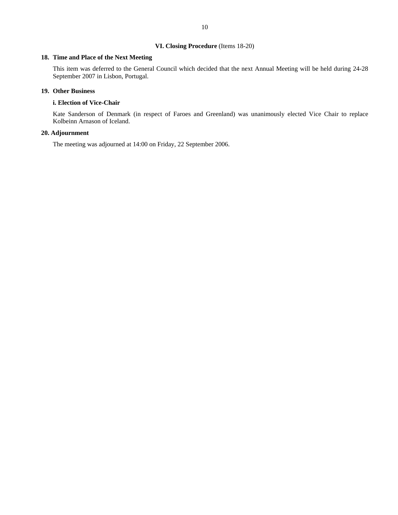## **VI. Closing Procedure** (Items 18-20)

# **18. Time and Place of the Next Meeting**

This item was deferred to the General Council which decided that the next Annual Meeting will be held during 24-28 September 2007 in Lisbon, Portugal.

#### **19. Other Business**

#### **i. Election of Vice-Chair**

Kate Sanderson of Denmark (in respect of Faroes and Greenland) was unanimously elected Vice Chair to replace Kolbeinn Arnason of Iceland.

## **20. Adjournment**

The meeting was adjourned at 14:00 on Friday, 22 September 2006.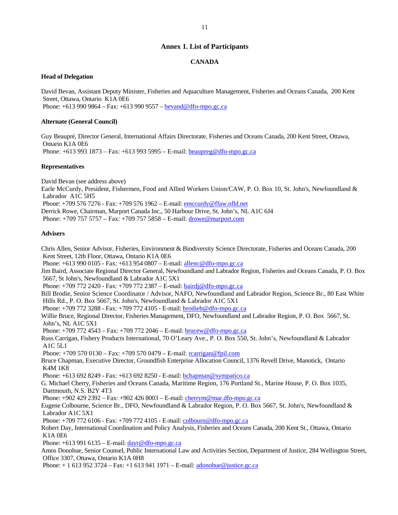## **Annex 1. List of Participants**

### **CANADA**

#### **Head of Delegation**

David Bevan, Assistant Deputy Minister, Fisheries and Aquaculture Management, Fisheries and Oceans Canada, 200 Kent Street, Ottawa, Ontario K1A 0E6 Phone: +613 990 9864 – Fax: +613 990 9557 – bevand@dfo-mpo.gc.ca

#### **Alternate (General Council)**

Guy Beaupré, Director General, International Affairs Directorate, Fisheries and Oceans Canada, 200 Kent Street, Ottawa, Ontario K1A 0E6 Phone: +613 993 1873 – Fax: +613 993 5995 – E-mail: beaupreg@dfo-mpo.gc.ca

#### **Representatives**

David Bevan (see address above)

Earle McCurdy, President, Fishermen, Food and Allied Workers Union/CAW, P. O. Box 10, St. John's, Newfoundland & Labrador A1C 5H5

Phone: +709 576 7276 - Fax: +709 576 1962 – E-mail: emccurdy@ffaw.nfld.net

Derrick Rowe, Chairman, Marport Canada Inc., 50 Harbour Drive, St. John's, NL A1C 6J4

Phone: +709 757 5757 – Fax: +709 757 5858 – E-mail: drowe@marport.com

#### **Advisers**

Chris Allen, Senior Advisor, Fisheries, Environment & Biodiversity Science Directorate, Fisheries and Oceans Canada, 200 Kent Street, 12th Floor, Ottawa, Ontario K1A 0E6 Phone: +613 990 0105 - Fax: +613 954 0807 – E-mail: allenc@dfo-mpo.gc.ca Jim Baird, Associate Regional Director General, Newfoundland and Labrador Region, Fisheries and Oceans Canada, P. O. Box 5667, St John's, Newfoundland & Labrador A1C 5X1 Phone: +709 772 2420 - Fax: +709 772 2387 - E-mail: **bairdj@dfo-mpo.gc.ca** Bill Brodie, Senior Science Coordinator / Advisor, NAFO, Newfoundland and Labrador Region, Science Br., 80 East White Hills Rd., P. O. Box 5667, St. John's, Newfoundland & Labrador A1C 5X1 Phone: +709 772 3288 - Fax: +709 772 4105 - E-mail: brodieb@dfo-mpo.gc.ca Willie Bruce, Regional Director, Fisheries Management, DFO, Newfoundland and Labrador Region, P. O. Box 5667, St. John's, NL A1C 5X1 Phone: +709 772 4543 – Fax: +709 772 2046 – E-mail: brucew@dfo-mpo.gc.ca Russ Carrigan, Fishery Products International, 70 O'Leary Ave., P. O. Box 550, St. John's, Newfoundland & Labrador A1C 5L1 Phone: +709 570 0130 – Fax: +709 570 0479 – E-mail: rcarrigan@fpil.com Bruce Chapman, Executive Director, Groundfish Enterprise Allocation Council, 1376 Revell Drive, Manotick, Ontario K4M 1K8 Phone: +613 692 8249 - Fax: +613 692 8250 - E-mail: bchapman@sympatico.ca G. Michael Cherry, Fisheries and Oceans Canada, Maritime Region, 176 Portland St., Marine House, P. O. Box 1035, Dartmouth, N.S. B2Y 4T3 Phone: +902 429 2392 – Fax: +902 426 8003 – E-mail: cherrym@mar.dfo-mpo.gc.ca Eugene Colbourne, Science Br., DFO, Newfoundland & Labrador Region, P. O. Box 5667, St. John's, Newfoundland & Labrador A1C 5X1 Phone: +709 772 6106 - Fax: +709 772 4105 - E-mail: colbourn@dfo-mpo.gc.ca Robert Day, International Coordination and Policy Analysis, Fisheries and Oceans Canada, 200 Kent St., Ottawa, Ontario K1A 0E6 Phone: +613 991 6135 – E-mail: dayr@dfo-mpo.gc.ca Amos Donohue, Senior Counsel, Public International Law and Activities Section, Department of Justice, 284 Wellington Street, Office 3307, Ottawa, Ontario K1A 0H8 Phone: + 1 613 952 3724 – Fax: +1 613 941 1971 – E-mail: adonohue@justice.gc.ca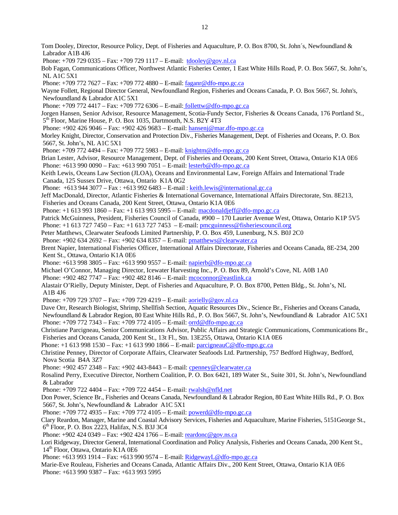Tom Dooley, Director, Resource Policy, Dept. of Fisheries and Aquaculture, P. O. Box 8700, St. John´s, Newfoundland & Labrador A1B 4J6 Phone: +709 729 0335 – Fax: +709 729 1117 – E-mail: tdooley@gov.nl.ca Bob Fagan, Communications Officer, Northwest Atlantic Fisheries Center, 1 East White Hills Road, P. O. Box 5667, St. John's, NL A1C 5X1 Phone: +709 772 7627 – Fax: +709 772 4880 – E-mail: faganr@dfo-mpo.gc.ca Wayne Follett, Regional Director General, Newfoundland Region, Fisheries and Oceans Canada, P. O. Box 5667, St. John's, Newfoundland & Labrador A1C 5X1 Phone: +709 772 4417 – Fax: +709 772 6306 – E-mail: follettw@dfo-mpo.gc.ca Jorgen Hansen, Senior Advisor, Resource Management, Scotia-Fundy Sector, Fisheries & Oceans Canada, 176 Portland St., 5<sup>th</sup> Floor, Marine House, P. O. Box 1035, Dartmouth, N.S. B2Y 4T3 Phone: +902 426 9046 – Fax: +902 426 9683 – E-mail: hansenj@mar.dfo-mpo.gc.ca Morley Knight, Director, Conservation and Protection Div., Fisheries Management, Dept. of Fisheries and Oceans, P. O. Box 5667, St. John's, NL A1C 5X1 Phone: +709 772 4494 – Fax: +709 772 5983 – E-mail: knightm@dfo-mpo.gc.ca Brian Lester, Advisor, Resource Management, Dept. of Fisheries and Oceans, 200 Kent Street, Ottawa, Ontario K1A 0E6 Phone: +613 990 0090 – Fax: +613 990 7051 – E-mail: lesterb@dfo-mpo.gc.ca Keith Lewis, Oceans Law Section (JLOA), Oceans and Environmental Law, Foreign Affairs and International Trade Canada, 125 Sussex Drive, Ottawa, Ontario K1A 0G2 Phone: +613 944 3077 – Fax : +613 992 6483 – E-mail : keith.lewis@international.gc.ca Jeff MacDonald, Director, Atlantic Fisheries & International Governance, International Affairs Directorate, Stn. 8E213, Fisheries and Oceans Canada, 200 Kent Street, Ottawa, Ontario K1A 0E6 Phone: +1 613 993 1860 – Fax: +1 613 993 5995 – E-mail: macdonaldjeff@dfo-mpo.gc.ca Patrick McGuinness, President, Fisheries Council of Canada, #900 – 170 Laurier Avenue West, Ottawa, Ontario K1P 5V5 Phone: +1 613 727 7450 – Fax: +1 613 727 7453 – E-mail: pmcguinness@fisheriescouncil.org Peter Matthews, Clearwater Seafoods Limited Partnership, P. O. Box 459, Lunenburg, N.S. B0J 2C0 Phone: +902 634 2692 – Fax: +902 634 8357 – E-mail: pmatthews@clearwater.ca Brent Napier, International Fisheries Officer, International Affairs Directorate, Fisheries and Oceans Canada, 8E-234, 200 Kent St., Ottawa, Ontario K1A 0E6 Phone: +613 998 3805 – Fax: +613 990 9557 – E-mail: napierb@dfo-mpo.gc.ca Michael O'Connor, Managing Director, Icewater Harvesting Inc., P. O. Box 89, Arnold's Cove, NL A0B 1A0 Phone: +902 482 7747 – Fax: +902 482 8146 – E-mail: mcoconnor@eastlink.ca Alastair O'Rielly, Deputy Minister, Dept. of Fisheries and Aquaculture, P. O. Box 8700, Petten Bldg., St. John's, NL A1B 4J6 Phone: +709 729 3707 – Fax: +709 729 4219 – E-mail: aorielly@gov.nl.ca Dave Orr, Research Biologist, Shrimp, Shellfish Section, Aquatic Resources Div., Science Br., Fisheries and Oceans Canada, Newfoundland & Labrador Region, 80 East White Hills Rd., P. O. Box 5667, St. John's, Newfoundland & Labrador A1C 5X1 Phone: +709 772 7343 – Fax: +709 772 4105 – E-mail: orrd@dfo-mpo.gc.ca Christiane Parcigneau, Senior Communications Advisor, Public Affairs and Strategic Communications, Communications Br., Fisheries and Oceans Canada, 200 Kent St., 13t Fl., Stn. 13E255, Ottawa, Ontario K1A 0E6 Phone: +1 613 998 1530 – Fax: +1 613 990 1866 – E-mail: parcigneauC@dfo-mpo.gc.ca Christine Penney, Director of Corporate Affairs, Clearwater Seafoods Ltd. Partnership, 757 Bedford Highway, Bedford, Nova Scotia B4A 3Z7 Phone: +902 457 2348 – Fax: +902 443-8443 – E-mail: cpenney@clearwater.ca Rosalind Perry, Executive Director, Northern Coalition, P. O. Box 6421, 189 Water St., Suite 301, St. John's, Newfoundland & Labrador Phone: +709 722 4404 – Fax: +709 722 4454 – E-mail: rwalsh@nfld.net Don Power, Science Br., Fisheries and Oceans Canada, Newfoundland & Labrador Region, 80 East White Hills Rd., P. O. Box 5667, St. John's, Newfoundland & Labrador A1C 5X1 Phone: +709 772 4935 – Fax: +709 772 4105 – E-mail: powerd@dfo-mpo.gc.ca Clary Reardon, Manager, Marine and Coastal Advisory Services, Fisheries and Aquaculture, Marine Fisheries, 5151George St.,  $6<sup>th</sup>$  Floor, P. O. Box 2223, Halifax, N.S. B3J 3C4 Phone: +902 424 0349 – Fax: +902 424 1766 – E-mail: reardonc@gov.ns.ca Lori Ridgeway, Director General, International Coordination and Policy Analysis, Fisheries and Oceans Canada, 200 Kent St., 14<sup>th</sup> Floor, Ottawa, Ontario K1A 0E6 Phone: +613 993 1914 – Fax: +613 990 9574 – E-mail: RidgewayL@dfo-mpo.gc.ca Marie-Eve Rouleau, Fisheries and Oceans Canada, Atlantic Affairs Div., 200 Kent Street, Ottawa, Ontario K1A 0E6 Phone: +613 990 9387 – Fax: +613 993 5995

12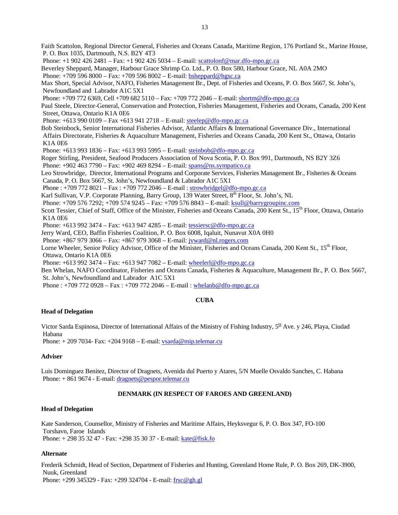Faith Scattolon, Regional Director General, Fisheries and Oceans Canada, Maritime Region, 176 Portland St., Marine House, P. O. Box 1035, Dartmouth, N.S. B2Y 4T3

Phone: +1 902 426 2481 – Fax: +1 902 426 5034 – E-mail: scattolonf@mar.dfo-mpo.gc.ca

Beverley Sheppard, Manager, Harbour Grace Shrimp Co. Ltd., P. O. Box 580, Harbour Grace, NL A0A 2MO Phone: +709 596 8000 – Fax: +709 596 8002 – E-mail: bsheppard@hgsc.ca

Max Short, Special Advisor, NAFO, Fisheries Management Br., Dept. of Fisheries and Oceans, P. O. Box 5667, St. John's, Newfoundland and Labrador A1C 5X1

Phone: +709 772 6369, Cell +709 682 5110 – Fax: +709 772 2046 – E-mail: shortm@dfo-mpo.gc.ca

Paul Steele, Director-General, Conservation and Protection, Fisheries Management, Fisheries and Oceans, Canada, 200 Kent Street, Ottawa, Ontario K1A 0E6

Phone: +613 990 0109 – Fax +613 941 2718 – E-mail: steelep@dfo-mpo.gc.ca

Bob Steinbock, Senior International Fisheries Advisor, Atlantic Affairs & International Governance Div., International Affairs Directorate, Fisheries & Aquaculture Management, Fisheries and Oceans Canada, 200 Kent St., Ottawa, Ontario K1A 0E6

Phone: +613 993 1836 – Fax: +613 993 5995 – E-mail: steinbob@dfo-mpo.gc.ca

Roger Stirling, President, Seafood Producers Association of Nova Scotia, P. O. Box 991, Dartmouth, NS B2Y 3Z6 Phone: +902 463 7790 – Fax: +902 469 8294 – E-mail: spans@ns.sympatico.ca

Leo Strowbridge, Director, International Programs and Corporate Services, Fisheries Management Br., Fisheries & Oceans Canada, P. O. Box 5667, St. John's, Newfoundland & Labrador A1C 5X1

Phone : +709 772 8021 – Fax : +709 772 2046 – E-mail : strowbridgel@dfo-mpo.gc.ca

Karl Sullivan, V.P. Corporate Planning, Barry Group, 139 Water Street, 8<sup>th</sup> Floor, St. John's, NL

Phone: +709 576 7292; +709 574 9245 – Fax: +709 576 8843 – E-mail: ksull@barrygroupinc.com

Scott Tessier, Chief of Staff, Office of the Minister, Fisheries and Oceans Canada, 200 Kent St., 15<sup>th</sup> Floor, Ottawa, Ontario K1A 0E6

Phone: +613 992 3474 – Fax: +613 947 4285 – E-mail: tessiersc@dfo-mpo.gc.ca

Jerry Ward, CEO, Baffin Fisheries Coalition, P. O. Box 6008, Iqaluit, Nunavut X0A 0H0

Phone: +867 979 3066 – Fax: +867 979 3068 – E-mail: jvward@nl.rogers.com

Lorne Wheeler, Senior Policy Advisor, Office of the Minister, Fisheries and Oceans Canada, 200 Kent St., 15<sup>th</sup> Floor, Ottawa, Ontario K1A 0E6

Phone: +613 992 3474 – Fax: +613 947 7082 – E-mail: wheelerl@dfo-mpo.gc.ca

Ben Whelan, NAFO Coordinator, Fisheries and Oceans Canada, Fisheries & Aquaculture, Management Br., P. O. Box 5667, St. John's, Newfoundland and Labrador A1C 5X1

Phone : +709 772 0928 – Fax : +709 772 2046 – E-mail : whelanb@dfo-mpo.gc.ca

### **CUBA**

### **Head of Delegation**

Victor Sarda Espinosa, Director of International Affairs of the Ministry of Fishing Industry,  $5^{18}$  Ave. y 246, Playa, Ciudad Habana

Phone:  $+ 2097034$ - Fax:  $+ 2049168$  – E-mail: vsarda@mip.telemar.cu

### **Adviser**

Luis Dominguez Benitez, Director of Dragnets, Avenida dul Puerto y Atares, 5/N Muelle Osvaldo Sanches, C. Habana Phone: + 861 9674 - E-mail: dragnets@pespor.telemar.cu

# **DENMARK (IN RESPECT OF FAROES AND GREENLAND)**

### **Head of Delegation**

Kate Sanderson, Counsellor, Ministry of Fisheries and Maritime Affairs, Heyksvegur 6, P. O. Box 347, FO-100 Torshavn, Faroe Islands Phone: + 298 35 32 47 - Fax: +298 35 30 37 - E-mail: kate@fisk.fo

## **Alternate**

Frederik Schmidt, Head of Section, Department of Fisheries and Hunting, Greenland Home Rule, P. O. Box 269, DK-3900, Nuuk, Greenland Phone:  $+299\,345329$  - Fax:  $+299\,324704$  - E-mail: frsc @gh.gl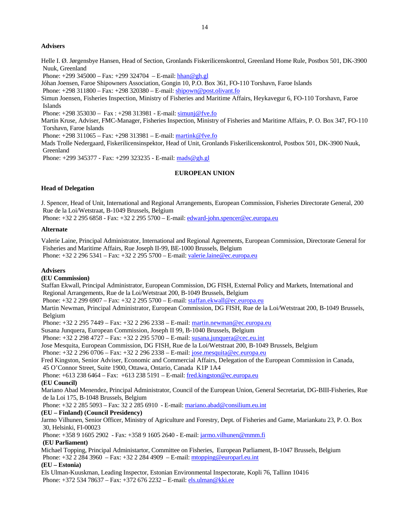## **Advisers**

Helle I. Ø. Jørgensbye Hansen, Head of Section, Gronlands Fiskerilicenskontrol, Greenland Home Rule, Postbox 501, DK-3900 Nuuk, Greenland

Phone:  $+299\,345000 - \text{Fax:} +299\,324704 - \text{E-mail: } \frac{\text{hhan} @ \text{gh.gl}}{\text{hlan}}$ 

Jóhan Joensen, Faroe Shipowners Association, Gongin 10, P.O. Box 361, FO-110 Torshavn, Faroe Islands

Phone: +298 311800 – Fax: +298 320380 – E-mail: shipown@post.olivant.fo

Simun Joensen, Fisheries Inspection, Ministry of Fisheries and Maritime Affairs, Heykavegur 6, FO-110 Torshavn, Faroe Islands

Phone: +298 353030 – Fax : +298 313981 - E-mail: simunj@fve.fo

Martin Kruse, Adviser, FMC-Manager, Fisheries Inspection, Ministry of Fisheries and Maritime Affairs, P. O. Box 347, FO-110 Torshavn, Faroe Islands

Phone: +298 311065 – Fax: +298 313981 – E-mail: martink@fve.fo

Mads Trolle Nedergaard, Fiskerilicensinspektor, Head of Unit, Gronlands Fiskerilicenskontrol, Postbox 501, DK-3900 Nuuk, Greenland

Phone: +299 345377 - Fax: +299 323235 - E-mail: mads@gh.gl

### **EUROPEAN UNION**

### **Head of Delegation**

J. Spencer, Head of Unit, International and Regional Arrangements, European Commission, Fisheries Directorate General, 200 Rue de la Loi/Wetstraat, B-1049 Brussels, Belgium

Phone: +32 2 295 6858 - Fax: +32 2 295 5700 - E-mail: edward-john.spencer@ec.europa.eu

#### **Alternate**

Valerie Laine, Principal Administrator, International and Regional Agreements, European Commission, Directorate General for Fisheries and Maritime Affairs, Rue Joseph II-99, BE-1000 Brussels, Belgium Phone: +32 2 296 5341 – Fax: +32 2 295 5700 – E-mail: valerie.laine@ec.europa.eu

#### **Advisers**

#### **(EU Commission)**

Staffan Ekwall, Principal Administrator, European Commission, DG FISH, External Policy and Markets, International and Regional Arrangements, Rue de la Loi/Wetstraat 200, B-1049 Brussels, Belgium

Phone: +32 2 299 6907 – Fax: +32 2 295 5700 – E-mail: staffan.ekwall@ec.europa.eu

Martin Newman, Principal Administrator, European Commission, DG FISH, Rue de la Loi/Wetstraat 200, B-1049 Brussels, Belgium

Phone: +32 2 295 7449 – Fax: +32 2 296 2338 – E-mail: martin.newman@ec.europa.eu

Susana Junquera, European Commission, Joseph II 99, B-1040 Brussels, Belgium

Phone: +32 2 298 4727 – Fax: +32 2 295 5700 – E-mail: susana.junquera@cec.eu.int

Jose Mesquita, European Commission, DG FISH, Rue de la Loi/Wetstraat 200, B-1049 Brussels, Belgium

Phone: +32 2 296 0706 – Fax: +32 2 296 2338 – E-mail: jose.mesquita@ec.europa.eu

Fred Kingston, Senior Adviser, Economic and Commercial Affairs, Delegation of the European Commission in Canada, 45 O'Connor Street, Suite 1900, Ottawa, Ontario, Canada K1P 1A4

Phone: +613 238 6464 – Fax: +613 238 5191 – E-mail: fred.kingston@ec.europa.eu

### **(EU Council)**

Mariano Abad Menendez, Principal Administrator, Council of the European Union, General Secretariat, DG-BIII-Fisheries, Rue de la Loi 175, B-1048 Brussels, Belgium

Phone: +32 2 285 5093 – Fax: 32 2 285 6910 - E-mail: mariano.abad@consilium.eu.int

## **(EU – Finland) (Council Presidency)**

Jarmo Vilhunen, Senior Officer, Ministry of Agriculture and Forestry, Dept. of Fisheries and Game, Mariankatu 23, P. O. Box 30, Helsinki, FI-00023

Phone: +358 9 1605 2902 - Fax: +358 9 1605 2640 - E-mail: jarmo.vilhunen@mmm.fi

## **(EU Parliament)**

Michael Topping, Principal Administartor, Committee on Fisheries, European Parliament, B-1047 Brussels, Belgium Phone: +32 2 284 3960 – Fax: +32 2 284 4909 – E-mail: mtopping@europarl.eu.int

### **(EU – Estonia)**

Els Ulman-Kuuskman, Leading Inspector, Estonian Environmental Inspectorate, Kopli 76, Tallinn 10416 Phone: +372 534 78637 – Fax: +372 676 2232 – E-mail: els.ulman@kki.ee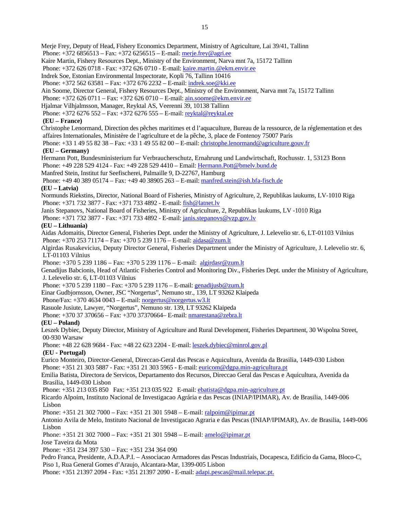Merje Frey, Deputy of Head, Fishery Economics Department, Ministry of Agriculture, Lai 39/41, Tallinn

Phone: +372 6856513 – Fax: +372 6256515 – E-mail: merje.frey@agri.ee

Kaire Martin, Fishery Resources Dept., Ministry of the Environment, Narva mnt 7a, 15172 Tallinn

Phone: +372 626 0718 - Fax: +372 626 0710 - E-mail: kaire.martin.@ekm.envir.ee

Indrek Soe, Estonian Environmental Inspectorate, Kopli 76, Tallinn 10416

Phone: +372 562 63581 – Fax: +372 676 2232 – E-mail: indrek.soe@kki.ee

Ain Soome, Director General, Fishery Resources Dept., Ministry of the Environment, Narva mnt 7a, 15172 Tallinn

Phone: +372 626 0711 – Fax: +372 626 0710 – E-mail: ain.soome@ekm.envir.ee

Hjalmar Vilhjalmsson, Manager, Reyktal AS, Veerenni 39, 10138 Tallinn

Phone: +372 6276 552 – Fax: +372 6276 555 – E-mail: reyktal@reyktal.ee

# **(EU – France)**

Christophe Lenormand, Direction des pêches maritimes et d l'aquaculture, Bureau de la ressource, de la réglementation et des affaires Internationales, Ministère de l'agriculture et de la pêche, 3, place de Fontenoy 75007 Paris

Phone: +33 1 49 55 82 38 – Fax: +33 1 49 55 82 00 – E-mail: christophe.lenormand@agriculture.gouv.fr

# **(EU – Germany)**

Hermann Pott, Bundesministerium fur Verbraucherschutz, Ernahrung und Landwirtschaft, Rochusstr. 1, 53123 Bonn Phone: +49 228 529 4124 - Fax: +49 228 529 4410 – Email: Hermann.Pott@bmelv.bund.de

Manfred Stein, Institut fur Seefischerei, Palmaille 9, D-22767, Hamburg

Phone: +49 40 389 05174 – Fax: +49 40 38905 263 – E-mail: manfred.stein@ish.bfa-fisch.de

# **(EU – Latvia)**

Normunds Riekstins, Director, National Board of Fisheries, Ministry of Agriculture, 2, Republikas laukums, LV-1010 Riga Phone: +371 732 3877 - Fax: +371 733 4892 - E-mail: fish@latnet.lv

Janis Stepanovs, National Board of Fisheries, Ministry of Agriculture, 2, Republikas laukums, LV -1010 Riga

Phone: +371 732 3877 - Fax: +371 733 4892 - E-mail: janis.stepanovs@vzp.gov.lv

# **(EU – Lithuania)**

Aidas Adomaitis, Director General, Fisheries Dept. under the Ministry of Agriculture, J. Lelevelio str. 6, LT-01103 Vilnius Phone: +370 253 71174 – Fax: +370 5 239 1176 – E-mail: aidasa@zum.lt

Algirdas Rusakevicius, Deputy Director General, Fisheries Department under the Ministry of Agriculture, J. Lelevelio str. 6, LT-01103 Vilnius

Phone: +370 5 239 1186 – Fax: +370 5 239 1176 – E-mail: algirdasr@zum.lt

Genadijus Babcionis, Head of Atlantic Fisheries Control and Monitoring Div., Fisheries Dept. under the Ministry of Agriculture, J. Lelevelio str. 6, LT-01103 Vilnius

Phone: +370 5 239 1180 – Fax: +370 5 239 1176 – E-mail: genadijusb@zum.lt

Einar Gudbjornsson, Owner, JSC "Norgertus", Nemuno str., 139, LT 93262 Klaipeda

Phone/Fax:  $+37046340043 - E$ -mail: norgertus@norgertus.w3.lt

Rasuole Jusiute, Lawyer, "Norgertus", Nemuno str. 139, LT 93262 Klaipeda

Phone: +370 37 370656 – Fax: +370 37370664– E-mail: nmarestana@zebra.lt

### **(EU – Poland)**

Leszek Dybiec, Deputy Director, Ministry of Agriculture and Rural Development, Fisheries Department, 30 Wspolna Street, 00-930 Warsaw

Phone: +48 22 628 9684 - Fax: +48 22 623 2204 - E-mail: leszek.dybiec@minrol.gov.pl

# **(EU - Portugal)**

Eurico Monteiro, Director-General, Direccao-Geral das Pescas e Aquicultura, Avenida da Brasilia, 1449-030 Lisbon Phone: +351 21 303 5887 - Fax: +351 21 303 5965 - E-mail: euricom@dgpa.min-agricultura.pt

Emilia Batista, Directora de Servicos, Departamento dos Recursos, Direccao Geral das Pescas e Aquicultura, Avenida da Brasilia, 1449-030 Lisbon

Phone: +351 213 035 850 Fax: +351 213 035 922 E-mail: ebatista@dgpa.min-agriculture.pt

Ricardo Alpoim, Instituto Nacional de Investigacao Agrária e das Pescas (INIAP/IPIMAR), Av. de Brasilia, 1449-006 Lisbon

Phone: +351 21 302 7000 – Fax: +351 21 301 5948 – E-mail: ralpoim@ipimar.pt

Antonio Avila de Melo, Instituto Nacional de Investigacao Agraria e das Pescas (INIAP/IPIMAR), Av. de Brasilia, 1449-006 Lisbon

Phone: +351 21 302 7000 – Fax: +351 21 301 5948 – E-mail: **amelo@ipimar.pt** 

Jose Taveira da Mota

Phone: +351 234 397 530 – Fax: +351 234 364 090

Pedro Franca, Presidente, A.D.A.P.I. – Associacao Armadores das Pescas Industriais, Docapesca, Edificio da Gama, Bloco-C, Piso 1, Rua General Gomes d'Araujo, Alcantara-Mar, 1399-005 Lisbon

Phone: +351 21397 2094 - Fax: +351 21397 2090 - E-mail: adapi.pescas@mail.telepac.pt.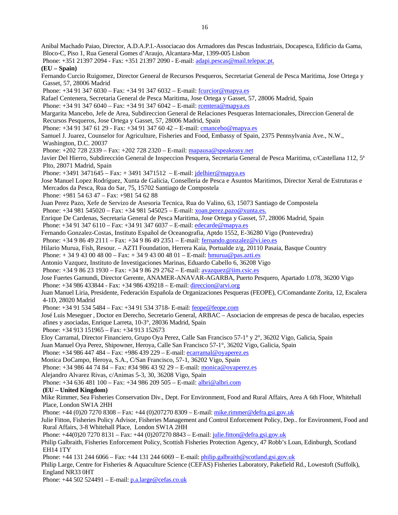Anibal Machado Paiao, Director, A.D.A.P.I.-Associacao dos Armadores das Pescas Industriais, Docapesca, Edificio da Gama, Bloco-C, Piso 1, Rua General Gomes d'Araujo, Alcantara-Mar, 1399-005 Lisbon Phone: +351 21397 2094 - Fax: +351 21397 2090 - E-mail: adapi.pescas@mail.telepac.pt. **(EU – Spain)**  Fernando Curcio Ruigomez, Director General de Recursos Pesqueros, Secretariat General de Pesca Maritima, Jose Ortega y Gasset, 57, 28006 Madrid Phone:  $+34913476030 - Fax$ :  $+34913476032 - E-mail$ : fcurcior@mapya.es Rafael Centenera, Secretaria General de Pesca Maritima, Jose Ortega y Gasset, 57, 28006 Madrid, Spain Phone: +34 91 347 6040 – Fax: +34 91 347 6042 – E-mail: rcentera@mapya.es Margarita Mancebo, Jefe de Area, Subdireccion General de Relaciones Pesqueras Internacionales, Direccion General de Recursos Pesqueros, Jose Ortega y Gasset, 57, 28006 Madrid, Spain Phone: +34 91 347 61 29 - Fax: +34 91 347 60 42 - E-mail: cmancebo@mapya.es Samuel J. Juarez, Counselor for Agriculture, Fisheries and Food, Embassy of Spain, 2375 Pennsylvania Ave., N.W., Washington, D.C. 20037 Phone: +202 728 2339 – Fax: +202 728 2320 – E-mail: mapausa@speakeasy.net Javier Del Hierro, Subdirección General de Inspeccion Pesquera, Secretaria General de Pesca Maritima, c/Castellana 112, 5<sup>ª</sup> Plto, 28071 Madrid, Spain Phone: +3491 3471645 – Fax: + 3491 3471512 – E-mail: jdelhier@mapya.es Jose Manuel Lopez Rodríguez, Xunta de Galicia, Conselleria de Pesca e Asuntos Maritimos, Director Xeral de Estruturas e Mercados da Pesca, Rua do Sar, 75, 15702 Santiago de Compostela Phone: +981 54 63 47 – Fax: +981 54 62 88 Juan Perez Pazo, Xefe de Servizo de Asesoria Tecnica, Rua do Valino, 63, 15073 Santiago de Compostela Phone: +34 981 545020 – Fax: +34 981 545025 – E-mail: xoan.perez.pazo@xunta.es. Enrique De Cardenas, Secretaria General de Pesca Maritima, Jose Ortega y Gasset, 57, 28006 Madrid, Spain Phone: +34 91 347 6110 – Fax: +34 91 347 6037 – E-mail: edecarde@mapya.es Fernando Gonzalez-Costas, Instituto Español de Oceanografia, Aptdo 1552, E-36280 Vigo (Pontevedra) Phone: +34 9 86 49 2111 – Fax: +34 9 86 49 2351 – E-mail: fernando.gonzalez@vi.ieo.es Hilario Murua, Fish, Resour. – AZTI Foundation, Herrera Kaia, Portualde z/g, 20110 Pasaia, Basque Country Phone:  $+ 34943004800 - Fax: + 34943004801 - E-mail: [hmurua@pas.azti.es](mailto:hmurua@pas.azti.es)$ Antonio Vazquez, Instituto de Investigaciones Marinas, Eduardo Cabello 6, 36208 Vigo Phone: +34 9 86 23 1930 – Fax: +34 9 86 29 2762 – E-mail: avazquez@iim.csic.es Jose Fuertes Gamundi, Director Gerente, ANAMER-ANAVAR-AGARBA, Puerto Pesquero, Apartado 1.078, 36200 Vigo Phone: +34 986 433844 - Fax: +34 986 439218 – E-mail: direccion@arvi.org Juan Manuel Liria, Presidente, Federación Española de Organizaciones Pesqueras (FEOPE), C/Comandante Zorita, 12, Escalera 4-1D, 28020 Madrid Phone: +34 91 534 5484 – Fax: +34 91 534 3718- E-mail: feope@feope.com José Luis Meseguer , Doctor en Derecho, Secretario General, ARBAC – Asociacion de empresas de pesca de bacalao, especies afines y asociadas, Enrique Larreta, 10-3°, 28036 Madrid, Spain Phone: +34 913 151965 – Fax: +34 913 152673 Eloy Carramal, Director Financiero, Grupo Oya Perez, Calle San Francisco 57-1° y 2°, 36202 Vigo, Galicia, Spain Juan Manuel Oya Perez, Shipowner, Heroya, Calle San Francisco 57-1°, 36202 Vigo, Galicia, Spain Phone: +34 986 447 484 – Fax: +986 439 229 – E-mail: ecarramal@oyaperez.es Monica DoCampo, Heroya, S.A., C/San Francisco, 57-1, 36202 Vigo, Spain Phone: +34 986 44 74 84 – Fax: #34 986 43 92 29 – E-mail: monica@oyaperez.es Alejandro Alvarez Rivas, c/Animas 5-3, 30, 36208 Vigo, Spain Phone: +34 636 481 100 – Fax: +34 986 209 505 – E-mail: albri@albri.com  **(EU – United Kingdom)**  Mike Rimmer, Sea Fisheries Conservation Div., Dept. For Environment, Food and Rural Affairs, Area A 6th Floor, Whitehall Place, London SW1A 2HH Phone: +44 (0)20 7270 8308 – Fax: +44 (0)207270 8309 – E-mail: mike.rimmer@defra.gsi.gov.uk Julie Fitton, Fisheries Policy Advisor, Fisheries Management and Control Enforcement Policy, Dep.. for Environment, Food and Rural Affairs, 3-8 Whitehall Place, London SW1A 2HH Phone: +44(0)20 7270 8131 – Fax: +44 (0)207270 8843 – E-mail: julie.fitton@defra.gsi.gov.uk Philip Galbraith, Fisheries Enforcement Policy, Scottish Fisheries Protection Agency, 47 Robb's Loan, Edinburgh, Scotland EH14 1TY Phone: +44 131 244 6066 – Fax: +44 131 244 6069 – E-mail: philip.galbraith@scotland.gsi.gov.uk Philip Large, Centre for Fisheries & Aquaculture Science (CEFAS) Fisheries Laboratory, Pakefield Rd., Lowestoft (Suffolk), England NR33 0HT Phone:  $+44\,502\,524491 - E$ -mail:  $p.a.large@cefas.co.uk$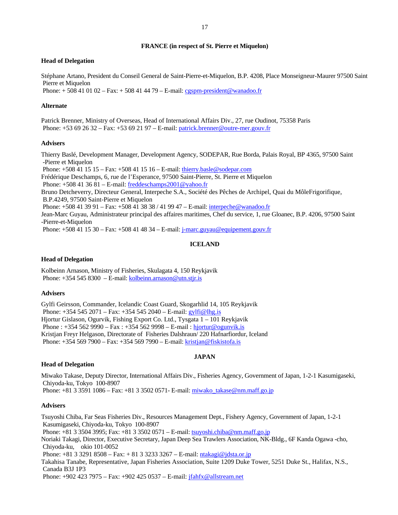#### **FRANCE (in respect of St. Pierre et Miquelon)**

#### **Head of Delegation**

Stéphane Artano, President du Conseil General de Saint-Pierre-et-Miquelon, B.P. 4208, Place Monseigneur-Maurer 97500 Saint Pierre et Miquelon

Phone:  $+ 508410102 - Fax: + 508414479 - E-mail: cgspm-president@wanadoo.fr$ 

#### **Alternate**

Patrick Brenner, Ministry of Overseas, Head of International Affairs Div., 27, rue Oudinot, 75358 Paris Phone: +53 69 26 32 – Fax: +53 69 21 97 – E-mail: patrick.brenner@outre-mer.gouv.fr

## **Advisers**

Thierry Baslé, Development Manager, Development Agency, SODEPAR, Rue Borda, Palais Royal, BP 4365, 97500 Saint -Pierre et Miquelon

Phone: +508 41 15 15 – Fax: +508 41 15 16 – E-mail: thierry.basle@sodepar.com

Frédérique Deschamps, 6, rue de l'Esperance, 97500 Saint-Pierre, St. Pierre et Miquelon

Phone: +508 41 36 81 – E-mail: freddeschamps2001@yahoo.fr

Bruno Detcheverry, Directeur General, Interpeche S.A., Société des Pêches de Archipel, Quai du MôleFrigorifique, B.P.4249, 97500 Saint-Pierre et Miquelon

Phone: +508 41 39 91 – Fax: +508 41 38 38 / 41 99 47 – E-mail: interpeche@wanadoo.fr

Jean-Marc Guyau, Administrateur principal des affaires maritimes, Chef du service, 1, rue Gloanec, B.P. 4206, 97500 Saint -Pierre-et-Miquelon

Phone: +508 41 15 30 – Fax: +508 41 48 34 – E-mail: j-marc.guyau@equipement.gouv.fr

#### **ICELAND**

#### **Head of Delegation**

Kolbeinn Arnason, Ministry of Fisheries, Skulagata 4, 150 Reykjavik Phone: +354 545 8300 – E-mail: kolbeinn.arnason@utn.stjr.is

### **Advisers**

Gylfi Geirsson, Commander, Icelandic Coast Guard, Skogarhlid 14, 105 Reykjavik Phone: +354 545 2071 – Fax: +354 545 2040 – E-mail: gylfi@lhg.is Hjortur Gislason, Ogurvik, Fishing Export Co. Ltd., Tysgata 1 – 101 Reykjavik Phone :  $+3545629990 - Fax : +3545629998 - E-mail : hjortur@ogunvik.is$ Kristjan Freyr Helgason, Directorate of Fisheries Dalshraun/ 220 Hafnarfiordur, Iceland Phone: +354 569 7900 – Fax: +354 569 7990 – E-mail: kristjan@fiskistofa.is

#### **JAPAN**

# **Head of Delegation**

Miwako Takase, Deputy Director, International Affairs Div., Fisheries Agency, Government of Japan, 1-2-1 Kasumigaseki, Chiyoda-ku, Tokyo 100-8907

Phone: +81 3 3591 1086 – Fax: +81 3 3502 0571- E-mail: miwako\_takase@nm.maff.go.jp

#### **Advisers**

Tsuyoshi Chiba, Far Seas Fisheries Div., Resources Management Dept., Fishery Agency, Government of Japan, 1-2-1 Kasumigaseki, Chiyoda-ku, Tokyo 100-8907 Phone: +81 3 3504 3995; Fax: +81 3 3502 0571 – E-mail: tsuyoshi.chiba@nm.maff.go.jp Noriaki Takagi, Director, Executive Secretary, Japan Deep Sea Trawlers Association, NK-Bldg., 6F Kanda Ogawa -cho, Chiyoda-ku, okio 101-0052 Phone:  $+81$  3 3291 8508 – Fax:  $+81$  3 3233 3267 – E-mail: ntakagi@jdsta.or.jp Takahisa Tanabe, Representative, Japan Fisheries Association, Suite 1209 Duke Tower, 5251 Duke St., Halifax, N.S., Canada B3J 1P3

Phone: +902 423 7975 – Fax: +902 425 0537 – E-mail: jfahfx@allstream.net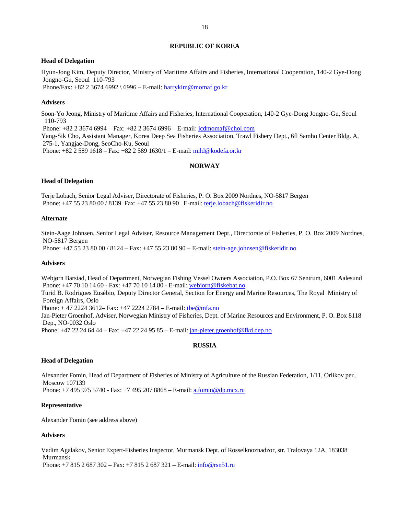#### **REPUBLIC OF KOREA**

#### **Head of Delegation**

Hyun-Jong Kim, Deputy Director, Ministry of Maritime Affairs and Fisheries, International Cooperation, 140-2 Gye-Dong Jongno-Gu, Seoul 110-793 Phone/Fax: +82 2 3674 6992 \ 6996 – E-mail: harrykim@momaf.go.kr

#### **Advisers**

Soon-Yo Jeong, Ministry of Maritime Affairs and Fisheries, International Cooperation, 140-2 Gye-Dong Jongno-Gu, Seoul 110-793 Phone: +82 2 3674 6994 – Fax: +82 2 3674 6996 – E-mail: icdmomaf@chol.com Yang-Sik Cho, Assistant Manager, Korea Deep Sea Fisheries Association, Trawl Fishery Dept., 6fl Samho Center Bldg. A, 275-1, Yangjae-Dong, SeoCho-Ku, Seoul Phone: +82 2 589 1618 – Fax: +82 2 589 1630/1 – E-mail: mild@kodefa.or.kr

## **NORWAY**

#### **Head of Delegation**

Terje Lobach, Senior Legal Adviser, Directorate of Fisheries, P. O. Box 2009 Nordnes, NO-5817 Bergen Phone: +47 55 23 80 00 / 8139 Fax: +47 55 23 80 90 E-mail: terje.lobach@fiskeridir.no

#### **Alternate**

Stein-Aage Johnsen, Senior Legal Adviser, Resource Management Dept., Directorate of Fisheries, P. O. Box 2009 Nordnes, NO-5817 Bergen

Phone: +47 55 23 80 00 / 8124 – Fax: +47 55 23 80 90 – E-mail: stein-age.johnsen@fiskeridir.no

#### **Advisers**

Webjørn Barstad, Head of Department, Norwegian Fishing Vessel Owners Association, P.O. Box 67 Sentrum, 6001 Aalesund Phone: +47 70 10 14 60 - Fax: +47 70 10 14 80 - E-mail: webjorn@fiskebat.no

Turid B. Rodrigues Eusébio, Deputy Director General, Section for Energy and Marine Resources, The Royal Ministry of Foreign Affairs, Oslo

Phone:  $+ 47 2224 3612 - Fax: +47 2224 2784 - E-mail: [the@mfa.no](mailto:the@mfa.no)$ 

Jan-Pieter Groenhof, Adviser, Norwegian Ministry of Fisheries, Dept. of Marine Resources and Environment, P. O. Box 8118 Dep., NO-0032 Oslo

Phone: +47 22 24 64 44 – Fax: +47 22 24 95 85 – E-mail: jan-pieter.groenhof@fkd.dep.no

### **RUSSIA**

#### **Head of Delegation**

Alexander Fomin, Head of Department of Fisheries of Ministry of Agriculture of the Russian Federation, 1/11, Orlikov per., Moscow 107139

Phone: +7 495 975 5740 - Fax: +7 495 207 8868 - E-mail: a.fomin@dp.mcx.ru

#### **Representative**

Alexander Fomin (see address above)

### **Advisers**

Vadim Agalakov, Senior Expert-Fisheries Inspector, Murmansk Dept. of Rosselknoznadzor, str. Tralovaya 12A, 183038 Murmansk

Phone: +7 815 2 687 302 – Fax: +7 815 2 687 321 – E-mail: info@rsn51.ru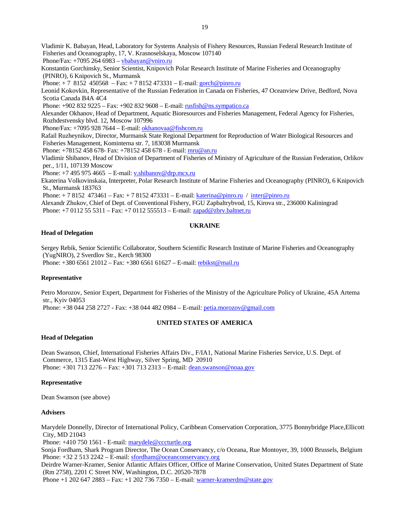Vladimir K. Babayan, Head, Laboratory for Systems Analysis of Fishery Resources, Russian Federal Research Institute of Fisheries and Oceanography, 17, V. Krasnoselskaya, Moscow 107140

Phone/Fax:  $+70952646983 - yba bayan@vniro.ru$ 

Konstantin Gorchinsky, Senior Scientist, Knipovich Polar Research Institute of Marine Fisheries and Oceanography (PINRO), 6 Knipovich St., Murmansk

Phone:  $+ 78152450568 - Fax$ :  $+ 78152473331 - E-mail$ : gorch@pinro.ru

Leonid Kokovkin, Representative of the Russian Federation in Canada on Fisheries, 47 Oceanview Drive, Bedford, Nova Scotia Canada B4A 4C4

Phone: +902 832 9225 – Fax: +902 832 9608 – E-mail: rusfish@ns.sympatico.ca

Alexander Okhanov, Head of Department, Aquatic Bioresources and Fisheries Management, Federal Agency for Fisheries, Rozhdestvensky blvd. 12, Moscow 107996

Phone/Fax: +7095 928 7644 – E-mail: okhanovaa@fishcom.ru

Rafail Ruzheynikov, Director, Murmansk State Regional Department for Reproduction of Water Biological Resources and Fisheries Management, Kominterna str. 7, 183038 Murmansk

Phone: +78152 458 678- Fax: +78152 458 678 - E-mail: mru@an.ru

Vladimir Shibanov, Head of Division of Department of Fisheries of Ministry of Agriculture of the Russian Federation, Orlikov per., 1/11, 107139 Moscow

Phone:  $+7$  495 975 4665 – E-mail: v.shibanov@drp.mcx.ru

Ekaterina Volkovinskaia, Interpreter, Polar Research Institute of Marine Fisheries and Oceanography (PINRO), 6 Knipovich St., Murmansk 183763

Phone: + 7 8152 473461 – Fax: + 7 8152 473331 – E-mail: katerina@pinro.ru / inter@pinro.ru

Alexandr Zhukov, Chief of Dept. of Conventional Fishery, FGU Zapbaltrybvod, 15, Kirova str., 236000 Kaliningrad Phone: +7 0112 55 5311 – Fax: +7 0112 555513 – E-mail: zapad@zbrv.baltnet.ru

# **UKRAINE**

### **Head of Delegation**

Sergey Rebik, Senior Scientific Collaborator, Southern Scientific Research Institute of Marine Fisheries and Oceanography (YugNIRO), 2 Sverdlov Str., Kerch 98300 Phone: +380 6561 21012 – Fax: +380 6561 61627 – E-mail: rebikst@mail.ru

### **Representative**

Petro Morozov, Senior Expert, Department for Fisheries of the Ministry of the Agriculture Policy of Ukraine, 45A Artema str., Kyiv 04053 Phone: +38 044 258 2727 - Fax: +38 044 482 0984 – E-mail: petia.morozov@gmail.com

### **UNITED STATES OF AMERICA**

### **Head of Delegation**

Dean Swanson, Chief, International Fisheries Affairs Div., F/IA1, National Marine Fisheries Service, U.S. Dept. of Commerce, 1315 East-West Highway, Silver Spring, MD 20910 Phone: +301 713 2276 – Fax: +301 713 2313 – E-mail: dean.swanson@noaa.gov

### **Representative**

Dean Swanson (see above)

### **Advisers**

Marydele Donnelly, Director of International Policy, Caribbean Conservation Corporation, 3775 Bonnybridge Place,Ellicott City, MD 21043

Phone: +410 750 1561 - E-mail: marydele@cccturtle.org

Sonja Fordham, Shark Program Director, The Ocean Conservancy, c/o Oceana, Rue Montoyer, 39, 1000 Brussels, Belgium Phone: +32 2 513 2242 – E-mail: sfordham@oceanconservancy.org

Deirdre Warner-Kramer, Senior Atlantic Affairs Officer, Office of Marine Conservation, United States Department of State (Rm 2758), 2201 C Street NW, Washington, D.C. 20520-7878

Phone +1 202 647 2883 – Fax: +1 202 736 7350 – E-mail: warner-kramerdm@state.gov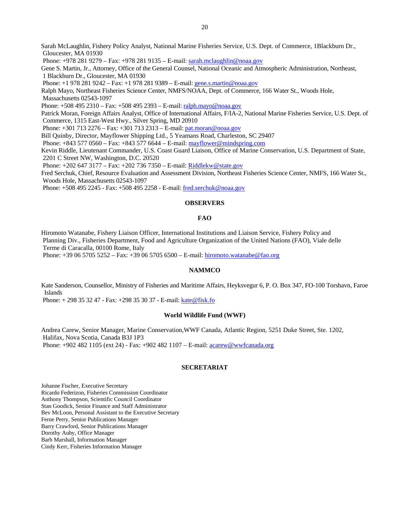Sarah McLaughlin, Fishery Policy Analyst, National Marine Fisheries Service, U.S. Dept. of Commerce, 1Blackburn Dr., Gloucester, MA 01930

Phone: +978 281 9279 – Fax: +978 281 9135 – E-mail: sarah.mclaughlin@noaa.gov

Gene S. Martin, Jr., Attorney, Office of the General Counsel, National Oceanic and Atmospheric Administration, Northeast, 1 Blackburn Dr., Gloucester, MA 01930

Phone: +1 978 281 9242 – Fax: +1 978 281 9389 – E-mail: gene.s.martin@noaa.gov

Ralph Mayo, Northeast Fisheries Science Center, NMFS/NOAA, Dept. of Commerce, 166 Water St., Woods Hole, Massachusetts 02543-1097

Phone: +508 495 2310 – Fax: +508 495 2393 – E-mail: ralph.mayo@noaa.gov

Patrick Moran, Foreign Affairs Analyst, Office of International Affairs, F/IA-2, National Marine Fisheries Service, U.S. Dept. of Commerce, 1315 East-West Hwy., Silver Spring, MD 20910

Phone: +301 713 2276 – Fax: +301 713 2313 – E-mail: pat.moran@noaa.gov

Bill Quinby, Director, Mayflower Shipping Ltd., 5 Yeamans Road, Charleston, SC 29407

Phone: +843 577 0560 – Fax: +843 577 6644 – E-mail: mayflower@mindspring.com

Kevin Riddle, Lieutenant Commander, U.S. Coast Guard Liaison, Office of Marine Conservation, U.S. Department of State, 2201 C Street NW, Washington, D.C. 20520

Phone: +202 647 3177 – Fax: +202 736 7350 – E-mail: Riddlekw@state.gov

Fred Serchuk, Chief, Resource Evaluation and Assessment Division, Northeast Fisheries Science Center, NMFS, 166 Water St., Woods Hole, Massachusetts 02543-1097

Phone: +508 495 2245 - Fax: +508 495 2258 - E-mail: fred.serchuk@noaa.gov

### **OBSERVERS**

#### **FAO**

Hiromoto Watanabe, Fishery Liaison Officer, International Institutions and Liaison Service, Fishery Policy and Planning Div., Fisheries Department, Food and Agriculture Organization of the United Nations (FAO), Viale delle Terme di Caracalla, 00100 Rome, Italy

Phone: +39 06 5705 5252 – Fax: +39 06 5705 6500 – E-mail: hiromoto.watanabe@fao.org

## **NAMMCO**

Kate Sanderson, Counsellor, Ministry of Fisheries and Maritime Affairs, Heyksvegur 6, P. O. Box 347, FO-100 Torshavn, Faroe Islands

Phone: + 298 35 32 47 - Fax: +298 35 30 37 - E-mail: kate@fisk.fo

#### **World Wildlife Fund (WWF)**

Andrea Carew, Senior Manager, Marine Conservation,WWF Canada, Atlantic Region, 5251 Duke Street, Ste. 1202, Halifax, Nova Scotia, Canada B3J 1P3 Phone: +902 482 1105 (ext 24) - Fax: +902 482 1107 – E-mail: acarew@wwfcanada.org

#### **SECRETARIAT**

Johanne Fischer, Executive Secretary Ricardo Federizon, Fisheries Commission Coordinator Anthony Thompson, Scientific Council Coordinator Stan Goodick, Senior Finance and Staff Administrator Bev McLoon, Personal Assistant to the Executive Secretary Ferne Perry, Senior Publications Manager Barry Crawford, Senior Publications Manager Dorothy Auby, Office Manager Barb Marshall, Information Manager Cindy Kerr, Fisheries Information Manager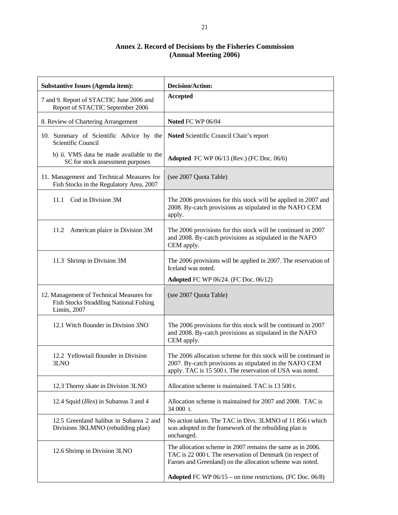# **Annex 2. Record of Decisions by the Fisheries Commission (Annual Meeting 2006)**

| <b>Substantive Issues (Agenda item):</b>                                                                   | <b>Decision/Action:</b>                                                                                                                                                                |  |  |
|------------------------------------------------------------------------------------------------------------|----------------------------------------------------------------------------------------------------------------------------------------------------------------------------------------|--|--|
| 7 and 9. Report of STACTIC June 2006 and<br>Report of STACTIC September 2006                               | <b>Accepted</b>                                                                                                                                                                        |  |  |
| 8. Review of Chartering Arrangement                                                                        | Noted FC WP 06/04                                                                                                                                                                      |  |  |
| 10. Summary of Scientific Advice by the<br>Scientific Council                                              | Noted Scientific Council Chair's report                                                                                                                                                |  |  |
| b) ii. VMS data be made available to the<br>SC for stock assessment purposes                               | <b>Adopted</b> FC WP 06/13 (Rev.) (FC Doc. 06/6)                                                                                                                                       |  |  |
| 11. Management and Technical Measures for<br>Fish Stocks in the Regulatory Area, 2007                      | (see 2007 Quota Table)                                                                                                                                                                 |  |  |
| Cod in Division 3M<br>11.1                                                                                 | The 2006 provisions for this stock will be applied in 2007 and<br>2008. By-catch provisions as stipulated in the NAFO CEM<br>apply.                                                    |  |  |
| 11.2<br>American plaice in Division 3M                                                                     | The 2006 provisions for this stock will be continued in 2007<br>and 2008. By-catch provisions as stipulated in the NAFO<br>CEM apply.                                                  |  |  |
| 11.3 Shrimp in Division 3M                                                                                 | The 2006 provisions will be applied in 2007. The reservation of<br>Iceland was noted.                                                                                                  |  |  |
|                                                                                                            | <b>Adopted FC WP 06/24. (FC Doc. 06/12)</b>                                                                                                                                            |  |  |
| 12. Management of Technical Measures for<br><b>Fish Stocks Straddling National Fishing</b><br>Limits, 2007 | (see 2007 Quota Table)                                                                                                                                                                 |  |  |
| 12.1 Witch flounder in Division 3NO                                                                        | The 2006 provisions for this stock will be continued in 2007<br>and 2008. By-catch provisions as stipulated in the NAFO<br>CEM apply.                                                  |  |  |
| 12.2 Yellowtail flounder in Division<br>3LNO                                                               | The 2006 allocation scheme for this stock will be continued in<br>2007. By-catch provisions as stipulated in the NAFO CEM<br>apply. TAC is 15 500 t. The reservation of USA was noted. |  |  |
| 12.3 Thorny skate in Division 3LNO                                                                         | Allocation scheme is maintained. TAC is 13 500 t.                                                                                                                                      |  |  |
| 12.4 Squid ( <i>Illex</i> ) in Subareas 3 and 4                                                            | Allocation scheme is maintained for 2007 and 2008. TAC is<br>34 000 t.                                                                                                                 |  |  |
| 12.5 Greenland halibut in Subarea 2 and<br>Divisions 3KLMNO (rebuilding plan)                              | No action taken. The TAC in Divs. 3LMNO of 11 856 t which<br>was adopted in the framework of the rebuilding plan is<br>unchanged.                                                      |  |  |
| 12.6 Shrimp in Division 3LNO                                                                               | The allocation scheme in 2007 remains the same as in 2006.<br>TAC is 22 000 t. The reservation of Denmark (in respect of<br>Faroes and Greenland) on the allocation scheme was noted.  |  |  |
|                                                                                                            | <b>Adopted</b> FC WP $06/15$ – on time restrictions. (FC Doc. 06/8)                                                                                                                    |  |  |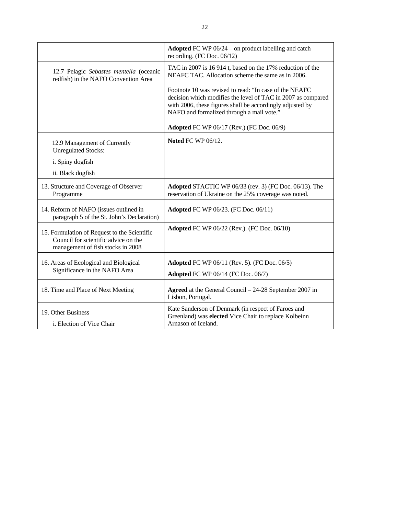|                                                                                                                           | Adopted FC WP 06/24 – on product labelling and catch<br>recording. (FC Doc. 06/12)                                                                                                                                               |
|---------------------------------------------------------------------------------------------------------------------------|----------------------------------------------------------------------------------------------------------------------------------------------------------------------------------------------------------------------------------|
| 12.7 Pelagic Sebastes mentella (oceanic<br>redfish) in the NAFO Convention Area                                           | TAC in 2007 is 16 914 t, based on the 17% reduction of the<br>NEAFC TAC. Allocation scheme the same as in 2006.                                                                                                                  |
|                                                                                                                           | Footnote 10 was revised to read: "In case of the NEAFC<br>decision which modifies the level of TAC in 2007 as compared<br>with 2006, these figures shall be accordingly adjusted by<br>NAFO and formalized through a mail vote." |
|                                                                                                                           | <b>Adopted FC WP 06/17 (Rev.) (FC Doc. 06/9)</b>                                                                                                                                                                                 |
| 12.9 Management of Currently<br><b>Unregulated Stocks:</b>                                                                | Noted FC WP 06/12.                                                                                                                                                                                                               |
| i. Spiny dogfish                                                                                                          |                                                                                                                                                                                                                                  |
| ii. Black dogfish                                                                                                         |                                                                                                                                                                                                                                  |
| 13. Structure and Coverage of Observer<br>Programme                                                                       | Adopted STACTIC WP 06/33 (rev. 3) (FC Doc. 06/13). The<br>reservation of Ukraine on the 25% coverage was noted.                                                                                                                  |
| 14. Reform of NAFO (issues outlined in<br>paragraph 5 of the St. John's Declaration)                                      | <b>Adopted FC WP 06/23. (FC Doc. 06/11)</b>                                                                                                                                                                                      |
| 15. Formulation of Request to the Scientific<br>Council for scientific advice on the<br>management of fish stocks in 2008 | <b>Adopted FC WP 06/22 (Rev.). (FC Doc. 06/10)</b>                                                                                                                                                                               |
| 16. Areas of Ecological and Biological                                                                                    | <b>Adopted FC WP 06/11 (Rev. 5). (FC Doc. 06/5)</b>                                                                                                                                                                              |
| Significance in the NAFO Area                                                                                             | <b>Adopted FC WP 06/14 (FC Doc. 06/7)</b>                                                                                                                                                                                        |
| 18. Time and Place of Next Meeting                                                                                        | Agreed at the General Council – 24-28 September 2007 in<br>Lisbon, Portugal.                                                                                                                                                     |
| 19. Other Business<br>i. Election of Vice Chair                                                                           | Kate Sanderson of Denmark (in respect of Faroes and<br>Greenland) was elected Vice Chair to replace Kolbeinn<br>Arnason of Iceland.                                                                                              |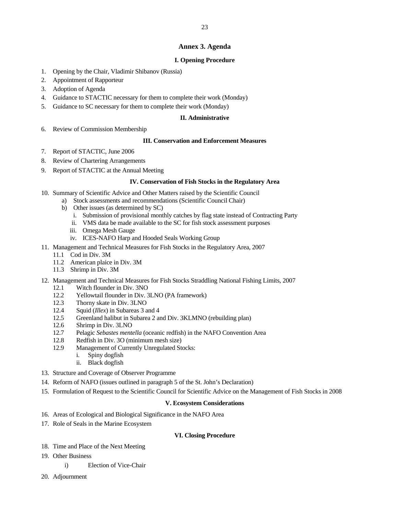# **Annex 3. Agenda**

# **I. Opening Procedure**

- 1. Opening by the Chair, Vladimir Shibanov (Russia)
- 2. Appointment of Rapporteur
- 3. Adoption of Agenda
- 4. Guidance to STACTIC necessary for them to complete their work (Monday)
- 5. Guidance to SC necessary for them to complete their work (Monday)

### **II. Administrative**

6. Review of Commission Membership

## **III. Conservation and Enforcement Measures**

- 7. Report of STACTIC, June 2006
- 8. Review of Chartering Arrangements
- 9. Report of STACTIC at the Annual Meeting

### **IV. Conservation of Fish Stocks in the Regulatory Area**

- 10. Summary of Scientific Advice and Other Matters raised by the Scientific Council
	- a) Stock assessments and recommendations (Scientific Council Chair)
		- b) Other issues (as determined by SC)
			- i. Submission of provisional monthly catches by flag state instead of Contracting Party
			- ii. VMS data be made available to the SC for fish stock assessment purposes
			- iii. Omega Mesh Gauge
			- iv. ICES-NAFO Harp and Hooded Seals Working Group
- 11. Management and Technical Measures for Fish Stocks in the Regulatory Area, 2007
	- 11.1 Cod in Div. 3M
		- 11.2 American plaice in Div. 3M
		- 11.3 Shrimp in Div. 3M
- 12. Management and Technical Measures for Fish Stocks Straddling National Fishing Limits, 2007
	- 12.1 Witch flounder in Div. 3NO
	- 12.2 Yellowtail flounder in Div. 3LNO (PA framework)
	- 12.3 Thorny skate in Div. 3LNO
	- 12.4 Squid (*Illex*) in Subareas 3 and 4
	- 12.5 Greenland halibut in Subarea 2 and Div. 3KLMNO (rebuilding plan)
	- 12.6 Shrimp in Div. 3LNO
	- 12.7 Pelagic *Sebastes mentella* (oceanic redfish) in the NAFO Convention Area
	- 12.8 Redfish in Div. 3O (minimum mesh size)
	- 12.9 Management of Currently Unregulated Stocks:
		- i. Spiny dogfish
		- ii. Black dogfish
- 13. Structure and Coverage of Observer Programme
- 14. Reform of NAFO (issues outlined in paragraph 5 of the St. John's Declaration)
- 15. Formulation of Request to the Scientific Council for Scientific Advice on the Management of Fish Stocks in 2008

### **V. Ecosystem Considerations**

- 16. Areas of Ecological and Biological Significance in the NAFO Area
- 17. Role of Seals in the Marine Ecosystem

### **VI. Closing Procedure**

- 18. Time and Place of the Next Meeting
- 19. Other Business
	- i) Election of Vice-Chair
- 20. Adjournment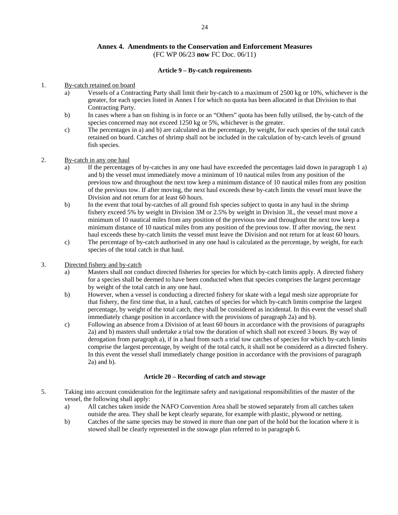# **Annex 4. Amendments to the Conservation and Enforcement Measures**  (FC WP 06/23 **now** FC Doc. 06/11)

## **Article 9 – By-catch requirements**

## 1. By-catch retained on board

- a) Vessels of a Contracting Party shall limit their by-catch to a maximum of 2500 kg or 10%, whichever is the greater, for each species listed in Annex I for which no quota has been allocated in that Division to that Contracting Party.
- b) In cases where a ban on fishing is in force or an "Others" quota has been fully utilised, the by-catch of the species concerned may not exceed 1250 kg or 5%, whichever is the greater.
- c) The percentages in a) and b) are calculated as the percentage, by weight, for each species of the total catch retained on board. Catches of shrimp shall not be included in the calculation of by-catch levels of ground fish species.

## 2. By-catch in any one haul

- a) If the percentages of by-catches in any one haul have exceeded the percentages laid down in paragraph 1 a) and b) the vessel must immediately move a minimum of 10 nautical miles from any position of the previous tow and throughout the next tow keep a minimum distance of 10 nautical miles from any position of the previous tow. If after moving, the next haul exceeds these by-catch limits the vessel must leave the Division and not return for at least 60 hours.
- b) In the event that total by-catches of all ground fish species subject to quota in any haul in the shrimp fishery exceed 5% by weight in Division 3M or 2.5% by weight in Division 3L, the vessel must move a minimum of 10 nautical miles from any position of the previous tow and throughout the next tow keep a minimum distance of 10 nautical miles from any position of the previous tow. If after moving, the next haul exceeds these by-catch limits the vessel must leave the Division and not return for at least 60 hours.
- c) The percentage of by-catch authorised in any one haul is calculated as the percentage, by weight, for each species of the total catch in that haul.

## 3. Directed fishery and by-catch

- a) Masters shall not conduct directed fisheries for species for which by-catch limits apply. A directed fishery for a species shall be deemed to have been conducted when that species comprises the largest percentage by weight of the total catch in any one haul.
- b) However, when a vessel is conducting a directed fishery for skate with a legal mesh size appropriate for that fishery, the first time that, in a haul, catches of species for which by-catch limits comprise the largest percentage, by weight of the total catch, they shall be considered as incidental. In this event the vessel shall immediately change position in accordance with the provisions of paragraph 2a) and b).
- c) Following an absence from a Division of at least 60 hours in accordance with the provisions of paragraphs 2a) and b) masters shall undertake a trial tow the duration of which shall not exceed 3 hours. By way of derogation from paragraph a), if in a haul from such a trial tow catches of species for which by-catch limits comprise the largest percentage, by weight of the total catch, it shall not be considered as a directed fishery. In this event the vessel shall immediately change position in accordance with the provisions of paragraph 2a) and b).

#### **Article 20 – Recording of catch and stowage**

- 5. Taking into account consideration for the legitimate safety and navigational responsibilities of the master of the vessel, the following shall apply:
	- a) All catches taken inside the NAFO Convention Area shall be stowed separately from all catches taken outside the area. They shall be kept clearly separate, for example with plastic, plywood or netting.
	- b) Catches of the same species may be stowed in more than one part of the hold but the location where it is stowed shall be clearly represented in the stowage plan referred to in paragraph 6.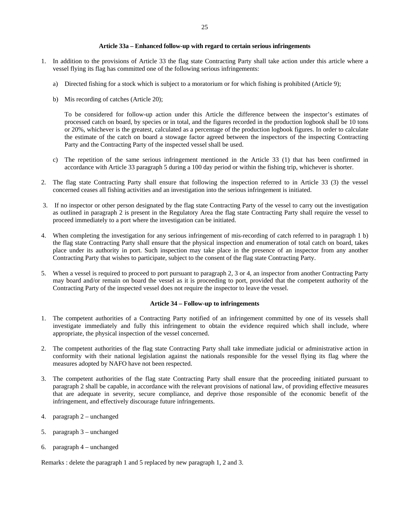#### 25

## **Article 33a – Enhanced follow-up with regard to certain serious infringements**

- 1. In addition to the provisions of Article 33 the flag state Contracting Party shall take action under this article where a vessel flying its flag has committed one of the following serious infringements:
	- a) Directed fishing for a stock which is subject to a moratorium or for which fishing is prohibited (Article 9);
	- b) Mis recording of catches (Article 20);

To be considered for follow-up action under this Article the difference between the inspector's estimates of processed catch on board, by species or in total, and the figures recorded in the production logbook shall be 10 tons or 20%, whichever is the greatest, calculated as a percentage of the production logbook figures. In order to calculate the estimate of the catch on board a stowage factor agreed between the inspectors of the inspecting Contracting Party and the Contracting Party of the inspected vessel shall be used.

- c) The repetition of the same serious infringement mentioned in the Article 33 (1) that has been confirmed in accordance with Article 33 paragraph 5 during a 100 day period or within the fishing trip, whichever is shorter.
- 2. The flag state Contracting Party shall ensure that following the inspection referred to in Article 33 (3) the vessel concerned ceases all fishing activities and an investigation into the serious infringement is initiated.
- 3. If no inspector or other person designated by the flag state Contracting Party of the vessel to carry out the investigation as outlined in paragraph 2 is present in the Regulatory Area the flag state Contracting Party shall require the vessel to proceed immediately to a port where the investigation can be initiated.
- 4. When completing the investigation for any serious infringement of mis-recording of catch referred to in paragraph 1 b) the flag state Contracting Party shall ensure that the physical inspection and enumeration of total catch on board, takes place under its authority in port. Such inspection may take place in the presence of an inspector from any another Contracting Party that wishes to participate, subject to the consent of the flag state Contracting Party.
- 5. When a vessel is required to proceed to port pursuant to paragraph 2, 3 or 4, an inspector from another Contracting Party may board and/or remain on board the vessel as it is proceeding to port, provided that the competent authority of the Contracting Party of the inspected vessel does not require the inspector to leave the vessel.

## **Article 34 – Follow-up to infringements**

- 1. The competent authorities of a Contracting Party notified of an infringement committed by one of its vessels shall investigate immediately and fully this infringement to obtain the evidence required which shall include, where appropriate, the physical inspection of the vessel concerned.
- 2. The competent authorities of the flag state Contracting Party shall take immediate judicial or administrative action in conformity with their national legislation against the nationals responsible for the vessel flying its flag where the measures adopted by NAFO have not been respected.
- 3. The competent authorities of the flag state Contracting Party shall ensure that the proceeding initiated pursuant to paragraph 2 shall be capable, in accordance with the relevant provisions of national law, of providing effective measures that are adequate in severity, secure compliance, and deprive those responsible of the economic benefit of the infringement, and effectively discourage future infringements.
- 4. paragraph 2 unchanged
- 5. paragraph 3 unchanged
- 6. paragraph 4 unchanged

Remarks : delete the paragraph 1 and 5 replaced by new paragraph 1, 2 and 3.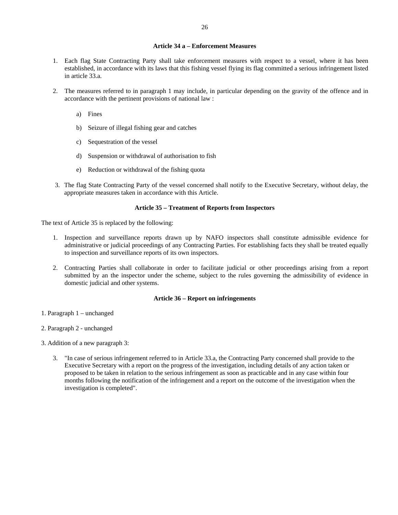#### **Article 34 a – Enforcement Measures**

- 1. Each flag State Contracting Party shall take enforcement measures with respect to a vessel, where it has been established, in accordance with its laws that this fishing vessel flying its flag committed a serious infringement listed in article 33.a.
- 2. The measures referred to in paragraph 1 may include, in particular depending on the gravity of the offence and in accordance with the pertinent provisions of national law :
	- a) Fines
	- b) Seizure of illegal fishing gear and catches
	- c) Sequestration of the vessel
	- d) Suspension or withdrawal of authorisation to fish
	- e) Reduction or withdrawal of the fishing quota
- 3. The flag State Contracting Party of the vessel concerned shall notify to the Executive Secretary, without delay, the appropriate measures taken in accordance with this Article.

### **Article 35 – Treatment of Reports from Inspectors**

The text of Article 35 is replaced by the following:

- 1. Inspection and surveillance reports drawn up by NAFO inspectors shall constitute admissible evidence for administrative or judicial proceedings of any Contracting Parties. For establishing facts they shall be treated equally to inspection and surveillance reports of its own inspectors.
- 2. Contracting Parties shall collaborate in order to facilitate judicial or other proceedings arising from a report submitted by an the inspector under the scheme, subject to the rules governing the admissibility of evidence in domestic judicial and other systems.

#### **Article 36 – Report on infringements**

- 1. Paragraph 1 unchanged
- 2. Paragraph 2 unchanged
- 3. Addition of a new paragraph 3:
	- 3. "In case of serious infringement referred to in Article 33.a, the Contracting Party concerned shall provide to the Executive Secretary with a report on the progress of the investigation, including details of any action taken or proposed to be taken in relation to the serious infringement as soon as practicable and in any case within four months following the notification of the infringement and a report on the outcome of the investigation when the investigation is completed".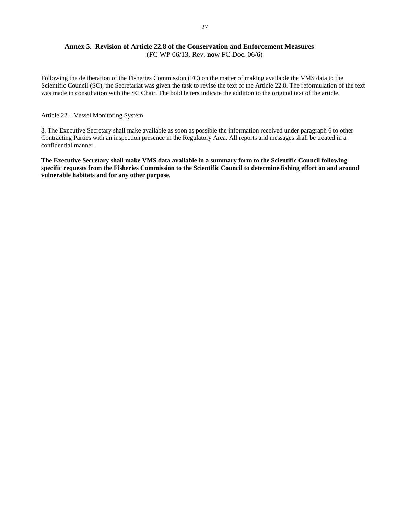# **Annex 5. Revision of Article 22.8 of the Conservation and Enforcement Measures**  (FC WP 06/13, Rev. **now** FC Doc. 06/6)

Following the deliberation of the Fisheries Commission (FC) on the matter of making available the VMS data to the Scientific Council (SC), the Secretariat was given the task to revise the text of the Article 22.8. The reformulation of the text was made in consultation with the SC Chair. The bold letters indicate the addition to the original text of the article.

### Article 22 – Vessel Monitoring System

8. The Executive Secretary shall make available as soon as possible the information received under paragraph 6 to other Contracting Parties with an inspection presence in the Regulatory Area. All reports and messages shall be treated in a confidential manner.

**The Executive Secretary shall make VMS data available in a summary form to the Scientific Council following specific requests from the Fisheries Commission to the Scientific Council to determine fishing effort on and around vulnerable habitats and for any other purpose**.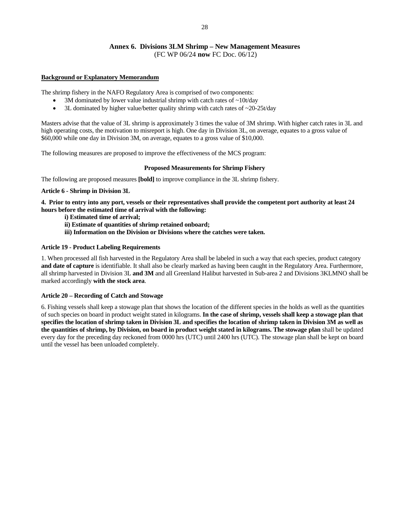# **Annex 6. Divisions 3LM Shrimp – New Management Measures**  (FC WP 06/24 **now** FC Doc. 06/12)

## **Background or Explanatory Memorandum**

The shrimp fishery in the NAFO Regulatory Area is comprised of two components:

- 3M dominated by lower value industrial shrimp with catch rates of  $\sim$ 10t/day
- 3L dominated by higher value/better quality shrimp with catch rates of  $\sim$ 20-25t/day

Masters advise that the value of 3L shrimp is approximately 3 times the value of 3M shrimp. With higher catch rates in 3L and high operating costs, the motivation to misreport is high. One day in Division 3L, on average, equates to a gross value of \$60,000 while one day in Division 3M, on average, equates to a gross value of \$10,000.

The following measures are proposed to improve the effectiveness of the MCS program:

## **Proposed Measurements for Shrimp Fishery**

The following are proposed measures **[bold]** to improve compliance in the 3L shrimp fishery.

## **Article 6 - Shrimp in Division 3L**

**4. Prior to entry into any port, vessels or their representatives shall provide the competent port authority at least 24 hours before the estimated time of arrival with the following:** 

- **i) Estimated time of arrival;**
- **ii) Estimate of quantities of shrimp retained onboard;**
- **iii) Information on the Division or Divisions where the catches were taken.**

## **Article 19 - Product Labeling Requirements**

1. When processed all fish harvested in the Regulatory Area shall be labeled in such a way that each species, product category **and date of capture** is identifiable. It shall also be clearly marked as having been caught in the Regulatory Area. Furthermore, all shrimp harvested in Division 3L **and 3M** and all Greenland Halibut harvested in Sub-area 2 and Divisions 3KLMNO shall be marked accordingly **with the stock area**.

# **Article 20 – Recording of Catch and Stowage**

6. Fishing vessels shall keep a stowage plan that shows the location of the different species in the holds as well as the quantities of such species on board in product weight stated in kilograms. **In the case of shrimp, vessels shall keep a stowage plan that specifies the location of shrimp taken in Division 3L and specifies the location of shrimp taken in Division 3M as well as the quantities of shrimp, by Division, on board in product weight stated in kilograms. The stowage plan** shall be updated every day for the preceding day reckoned from 0000 hrs (UTC) until 2400 hrs (UTC). The stowage plan shall be kept on board until the vessel has been unloaded completely.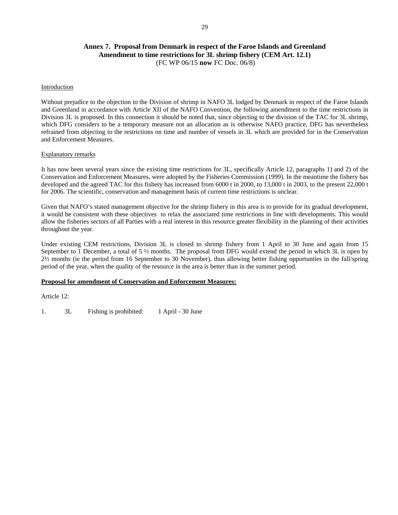# **Annex 7. Proposal from Denmark in respect of the Faroe Islands and Greenland Amendment to time restrictions for 3L shrimp fishery (CEM Art. 12.1)**  (FC WP 06/15 **now** FC Doc. 06/8)

## Introduction

Without prejudice to the objection to the Division of shrimp in NAFO 3L lodged by Denmark in respect of the Faroe Islands and Greenland in accordance with Article XII of the NAFO Convention, the following amendment to the time restrictions in Division 3L is proposed. In this connection it should be noted that, since objecting to the division of the TAC for 3L shrimp, which DFG considers to be a temporary measure not an allocation as is otherwise NAFO practice, DFG has nevertheless refrained from objecting to the restrictions on time and number of vessels in 3L which are provided for in the Conservation and Enforcement Measures.

## Explanatory remarks

It has now been several years since the existing time restrictions for 3L, specifically Article 12, paragraphs 1) and 2) of the Conservation and Enforcement Measures, were adopted by the Fisheries Commission (1999). In the meantime the fishery has developed and the agreed TAC for this fishery has increased from 6000 t in 2000, to 13,000 t in 2003, to the present 22,000 t for 2006. The scientific, conservation and management basis of current time restrictions is unclear.

Given that NAFO's stated management objective for the shrimp fishery in this area is to provide for its gradual development, it would be consistent with these objectives to relax the associated time restrictions in line with developments. This would allow the fisheries sectors of all Parties with a real interest in this resource greater flexibility in the planning of their activities throughout the year.

Under existing CEM restrictions, Division 3L is closed to shrimp fishery from 1 April to 30 June and again from 15 September to 1 December, a total of 5  $\frac{1}{2}$  months. The proposal from DFG would extend the period in which 3L is open by 2½ months (ie the period from 16 September to 30 November), thus allowing better fishing opportunties in the fall/spring period of the year, when the quality of the resource in the area is better than in the summer period.

### **Proposal for amendment of Conservation and Enforcement Measures:**

Article 12:

1. 3L Fishing is prohibited: 1 April - 30 June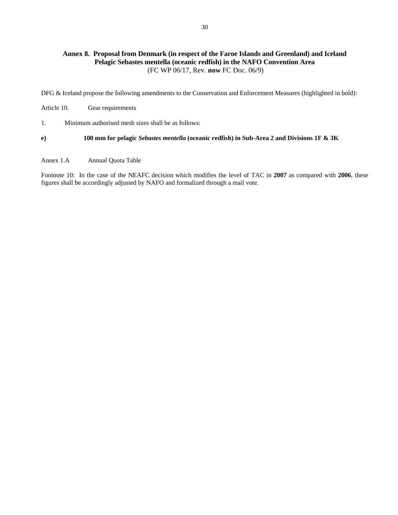# **Annex 8. Proposal from Denmark (in respect of the Faroe Islands and Greenland) and Iceland Pelagic Sebastes mentella (oceanic redfish) in the NAFO Convention Area**  (FC WP 06/17, Rev. **now** FC Doc. 06/9)

DFG & Iceland propose the following amendments to the Conservation and Enforcement Measures (highlighted in bold):

Article 10. Gear requirements

1. Minimum authorised mesh sizes shall be as follows:

**e) 100 mm for pelagic** *Sebastes mentella* **(oceanic redfish) in Sub-Area 2 and Divisions 1F & 3K** 

Annex 1.A Annual Quota Table

Footnote 10: In the case of the NEAFC decision which modifies the level of TAC in **2007** as compared with **2006**, these figures shall be accordingly adjusted by NAFO and formalized through a mail vote.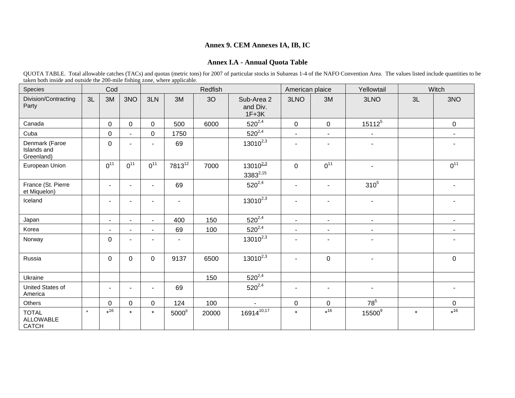# **Annex 9. CEM Annexes IA, IB, IC**

# **Annex I.A - Annual Quota Table**

|                                                                            |  | OUOTA TABLE. Total allowable catches (TACs) and quotas (metric tons) for 2007 of particular stocks in Subareas 1-4 of the NAFO Convention Area. The values listed include quantities to be |  |  |
|----------------------------------------------------------------------------|--|--------------------------------------------------------------------------------------------------------------------------------------------------------------------------------------------|--|--|
| taken both inside and outside the 200-mile fishing zone, where applicable. |  |                                                                                                                                                                                            |  |  |

| Species                                          |         | Cod            |                          |                |                          | Redfish |                                   | American plaice       |                | Yellowtail               |         | Witch          |
|--------------------------------------------------|---------|----------------|--------------------------|----------------|--------------------------|---------|-----------------------------------|-----------------------|----------------|--------------------------|---------|----------------|
| Division/Contracting<br>Party                    | 3L      | 3M             | 3NO                      | 3LN            | 3M                       | 3O      | Sub-Area 2<br>and Div.<br>$1F+3K$ | 3LNO                  | 3M             | 3LNO                     | 3L      | 3NO            |
| Canada                                           |         | $\overline{0}$ | $\mathbf{0}$             | $\overline{0}$ | 500                      | 6000    | $520^{2,4}$                       | $\mathbf 0$           | $\mathbf 0$    | $15112^{5}$              |         | $\mathbf 0$    |
| Cuba                                             |         | $\mathbf 0$    | $\sim$                   | $\mathbf 0$    | 1750                     |         | $520^{2,4}$                       | $\tilde{\phantom{a}}$ | $\blacksquare$ |                          |         | $\sim$         |
| Denmark (Faroe<br>Islands and<br>Greenland)      |         | $\mathbf 0$    | $\blacksquare$           |                | 69                       |         | $13010^{2,3}$                     | ٠                     |                |                          |         |                |
| European Union                                   |         | $0^{11}$       | $0^{11}$                 | $0^{11}$       | 781312                   | 7000    | $13010^{2,3}$<br>$3383^{2,15}$    | $\mathbf{0}$          | $0^{11}$       | ۰                        |         | $0^{11}$       |
| France (St. Pierre<br>et Miquelon)               |         | ۰.             | $\overline{\phantom{a}}$ | ۰              | 69                       |         | $520^{2,4}$                       | $\blacksquare$        | ٠              | 310 <sup>5</sup>         |         |                |
| Iceland                                          |         | ٠              | ۰                        | Ξ.             | $\blacksquare$           |         | $13010^{2,3}$                     | $\blacksquare$        |                | $\blacksquare$           |         |                |
| Japan                                            |         | $\blacksquare$ | $\blacksquare$           | $\sim$         | 400                      | 150     | $520^{2,4}$                       | $\blacksquare$        | $\sim$         | $\sim$                   |         | $\sim$         |
| Korea                                            |         | ۰              | $\blacksquare$           | Ξ.             | 69                       | 100     | $520^{2,4}$                       | $\sim$                | $\sim$         | $\sim$                   |         | $\blacksquare$ |
| Norway                                           |         | $\Omega$       | $\blacksquare$           | ۰              | $\overline{\phantom{a}}$ |         | $13010^{2,3}$                     | $\overline{a}$        |                | $\overline{\phantom{a}}$ |         |                |
| Russia                                           |         | $\Omega$       | $\Omega$                 | $\Omega$       | 9137                     | 6500    | $13010^{2,3}$                     | ٠                     | $\mathbf 0$    | ٠                        |         | $\mathbf 0$    |
| Ukraine                                          |         |                |                          |                |                          | 150     | $520^{2,4}$                       |                       |                |                          |         |                |
| United States of<br>America                      |         | ٠              | $\blacksquare$           | $\blacksquare$ | 69                       |         | $520^{2,4}$                       | $\blacksquare$        | $\blacksquare$ | ٠                        |         | $\blacksquare$ |
| Others                                           |         | $\overline{0}$ | $\mathbf 0$              | $\mathbf 0$    | 124                      | 100     | $\sim$                            | $\mathbf 0$           | $\mathbf 0$    | $78^5$                   |         | $\mathbf 0$    |
| <b>TOTAL</b><br><b>ALLOWABLE</b><br><b>CATCH</b> | $\star$ | $*16$          | $\star$                  | $\star$        | 5000 <sup>8</sup>        | 20000   | 1691410,17                        | $\star$               | $*16$          | 15500 <sup>9</sup>       | $\star$ | $*16$          |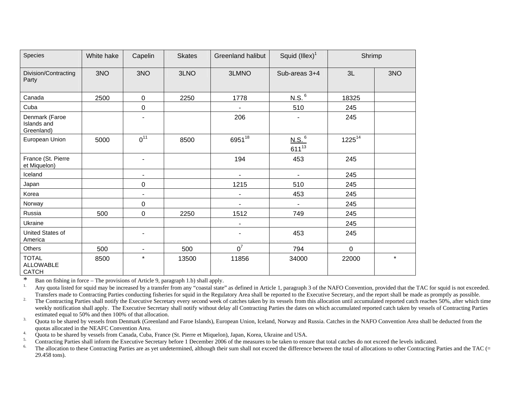| Species                                          | White hake | Capelin                  | <b>Skates</b> | <b>Greenland halibut</b> | Squid $(IIIex)^1$               | Shrimp      |         |
|--------------------------------------------------|------------|--------------------------|---------------|--------------------------|---------------------------------|-------------|---------|
| Division/Contracting<br>Party                    | 3NO        | 3NO                      | 3LNO          | 3LMNO                    | Sub-areas 3+4                   | 3L          | 3NO     |
| Canada                                           | 2500       | $\mathbf 0$              | 2250          | 1778                     | N.S. <sup>6</sup>               | 18325       |         |
| Cuba                                             |            | $\mathbf 0$              |               |                          | 510                             | 245         |         |
| Denmark (Faroe<br>Islands and<br>Greenland)      |            | ۰                        |               | 206                      | $\blacksquare$                  | 245         |         |
| European Union                                   | 5000       | $0^{11}$                 | 8500          | 695118                   | N.S. <sup>6</sup><br>$611^{13}$ | $1225^{14}$ |         |
| France (St. Pierre<br>et Miquelon)               |            | $\blacksquare$           |               | 194                      | 453                             | 245         |         |
| Iceland                                          |            | ۰                        |               |                          |                                 | 245         |         |
| Japan                                            |            | 0                        |               | 1215                     | 510                             | 245         |         |
| Korea                                            |            | ۰                        |               | $\blacksquare$           | 453                             | 245         |         |
| Norway                                           |            | 0                        |               | $\blacksquare$           | $\blacksquare$                  | 245         |         |
| Russia                                           | 500        | 0                        | 2250          | 1512                     | 749                             | 245         |         |
| Ukraine                                          |            |                          |               |                          |                                 | 245         |         |
| United States of<br>America                      |            | $\blacksquare$           |               |                          | 453                             | 245         |         |
| Others                                           | 500        | $\overline{\phantom{a}}$ | 500           | $0^7$                    | 794                             | $\mathbf 0$ |         |
| <b>TOTAL</b><br><b>ALLOWABLE</b><br><b>CATCH</b> | 8500       | $\star$                  | 13500         | 11856                    | 34000                           | 22000       | $\star$ |

\* Ban on fishing in force – The provisions of Article 9, paragraph 1.b) shall apply.

Any quota listed for squid may be increased by a transfer from any "coastal state" as defined in Article 1, paragraph 3 of the NAFO Convention, provided that the TAC for squid is not exceeded. Transfers made to Contracting Parties conducting fisheries for squid in the Regulatory Area shall be reported to the Executive Secretary, and the report shall be made as promptly as possible.

<sup>2.</sup> The Contracting Parties shall notify the Executive Secretary every second week of catches taken by its vessels from this allocation until accumulated reported catch reaches 50%, after which time weekly notification shall apply. The Executive Secretary shall notify without delay all Contracting Parties the dates on which accumulated reported catch taken by vessels of Contracting Parties estimated equal to 50% and then 100% of that allocation.

<sup>3.</sup> Quota to be shared by vessels from Denmark (Greenland and Faroe Islands), European Union, Iceland, Norway and Russia. Catches in the NAFO Convention Area shall be deducted from the quotas allocated in the NEAFC Convention Area.

4. Quota to be shared by vessels from Canada, Cuba, France (St. Pierre et Miquelon), Japan, Korea, Ukraine and USA.<br>5. Contracting Perties shall inform the Executive Secretary before 1 December 2006 of the measures to be t

 $\frac{5}{2}$  Contracting Parties shall inform the Executive Secretary before 1 December 2006 of the measures to be taken to ensure that total catches do not exceed the levels indicated.

The allocation to these Contracting Parties are as yet undetermined, although their sum shall not exceed the difference between the total of allocations to other Contracting Parties and the TAC (= 29.458 tons).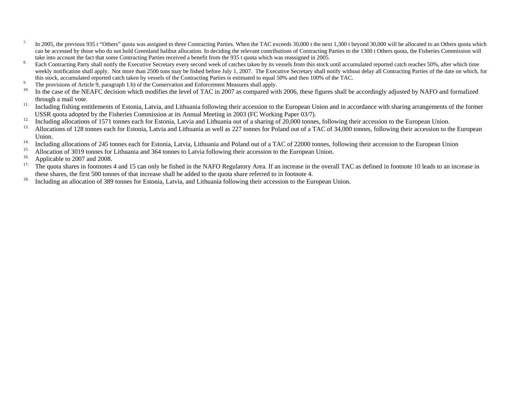- <sup>7.</sup> In 2005, the previous 935 t "Others" quota was assigned to three Contracting Parties. When the TAC exceeds 30,000 t the next 1,300 t beyond 30,000 will be allocated to an Others quota which can be accessed by those who do not hold Greenland halibut allocation. In deciding the relevant contributions of Contracting Parties to the 1300 t Others quota, the Fisheries Commission will take into account the fact that some Contracting Parties received a benefit from the 935 t quota which was reassigned in 2005.
- <sup>8.</sup> Each Contracting Party shall notify the Executive Secretary every second week of catches taken by its vessels from this stock until accumulated reported catch reaches 50%, after which time weekly notification shall apply. Not more than 2500 tons may be fished before July 1, 2007. The Executive Secretary shall notify without delay all Contracting Parties of the date on which, for this stock, accumulated reported catch taken by vessels of the Contracting Parties is estimated to equal 50% and then 100% of the TAC.
- 9. The provisions of Article 9, paragraph 1.b) of the Conservation and Enforcement Measures shall apply.<br> $\frac{10}{2}$ . In the conservation of Article 9, paragraph 1.b) of the Conservation and Enforcement Measures shall appl
- In the case of the NEAFC decision which modifies the level of TAC in 2007 as compared with 2006, these figures shall be accordingly adjusted by NAFO and formalized through a mail vote.
- <sup>11.</sup> Including fishing entitlements of Estonia, Latvia, and Lithuania following their accession to the European Union and in accordance with sharing arrangements of the former USSR quota adopted by the Fisheries Commission at its Annual Meeting in 2003 (FC Working Paper 03/7).<br>Its Including allocations of 1571 terms agab for Estania I attrice and Lithuania autof a sharing of 20,000 terms
- <sup>12</sup>. Including allocations of 1571 tonnes each for Estonia, Latvia and Lithuania out of a sharing of 20,000 tonnes, following their accession to the European Union.
- 13. Allocations of 128 tonnes each for Estonia, Latvia and Lithuania as well as 227 tonnes for Poland out of a TAC of 34,000 tonnes, following their accession to the European Union.
- <sup>14.</sup> Including allocations of 245 tonnes each for Estonia, Latvia, Lithuania and Poland out of a TAC of 22000 tonnes, following their accession to the European Union
- <sup>15.</sup> Allocation of 3019 tonnes for Lithuania and 364 tonnes to Latvia following their accession to the European Union.<br><sup>16.</sup> Applicable to 2007 and 2008
- $\frac{16}{17}$ . Applicable to 2007 and 2008.
- 17. The quota shares in footnotes 4 and 15 can only be fished in the NAFO Regulatory Area. If an increase in the overall TAC as defined in footnote 10 leads to an increase in these shares, the first 500 tonnes of that increase shall be added to the quota share referred to in footnote 4.
- <sup>18.</sup> Including an allocation of 389 tonnes for Estonia, Latvia, and Lithuania following their accession to the European Union.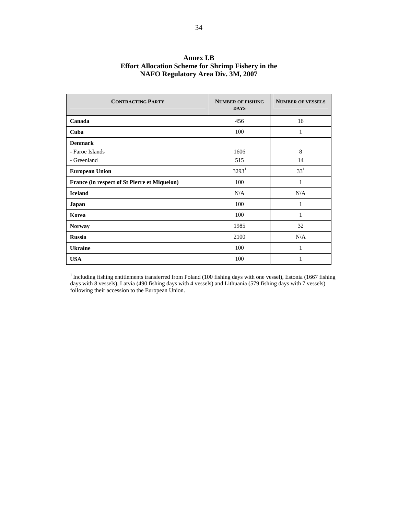| <b>CONTRACTING PARTY</b>                     | <b>NUMBER OF FISHING</b><br><b>DAYS</b> | <b>NUMBER OF VESSELS</b> |
|----------------------------------------------|-----------------------------------------|--------------------------|
| Canada                                       | 456                                     | 16                       |
| Cuba                                         | 100                                     | 1                        |
| <b>Denmark</b>                               |                                         |                          |
| - Faroe Islands                              | 1606                                    | 8                        |
| - Greenland                                  | 515                                     | 14                       |
| <b>European Union</b>                        | $3293^1$                                | $33^{1}$                 |
| France (in respect of St Pierre et Miquelon) | 100                                     | 1                        |
| <b>Iceland</b>                               | N/A                                     | N/A                      |
| Japan                                        | 100                                     | 1                        |
| Korea                                        | 100                                     | 1                        |
| <b>Norway</b>                                | 1985                                    | 32                       |
| <b>Russia</b>                                | 2100                                    | N/A                      |
| <b>Ukraine</b>                               | 100                                     | 1                        |
| <b>USA</b>                                   | 100                                     | 1                        |

# **Annex I.B Effort Allocation Scheme for Shrimp Fishery in the NAFO Regulatory Area Div. 3M, 2007**

 $1$ Including fishing entitlements transferred from Poland (100 fishing days with one vessel), Estonia (1667 fishing days with 8 vessels), Latvia (490 fishing days with 4 vessels) and Lithuania (579 fishing days with 7 vessels) following their accession to the European Union.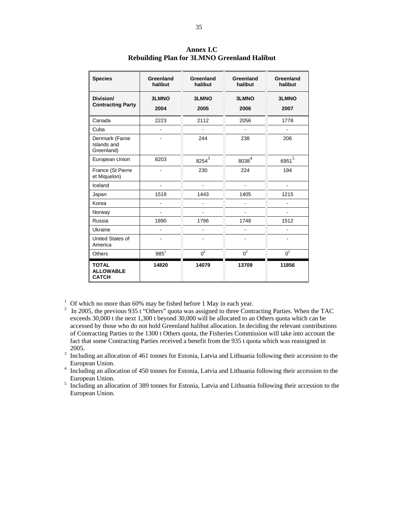| <b>Species</b>                                   | Greenland<br>halibut | Greenland<br>halibut     | Greenland<br>halibut | Greenland<br>halibut |
|--------------------------------------------------|----------------------|--------------------------|----------------------|----------------------|
| Division/<br><b>Contracting Party</b>            | <b>3LMNO</b><br>2004 | 3LMNO<br>2005            | <b>3LMNO</b><br>2006 | <b>3LMNO</b><br>2007 |
| Canada                                           | 2223                 | 2112                     | 2056                 | 1778                 |
| Cuba                                             |                      |                          |                      |                      |
| Denmark (Faroe<br>Islands and<br>Greenland)      |                      | 244                      | 238                  | 206                  |
| European Union                                   | 8203                 | $8254^3$                 | $8038^4$             | $6951^5$             |
| France (St Pierre<br>et Miquelon)                |                      | 230                      | 224                  | 194                  |
| Iceland                                          |                      | $\overline{\phantom{0}}$ | ä,                   | $\blacksquare$       |
| Japan                                            | 1519                 | 1443                     | 1405                 | 1215                 |
| Korea                                            |                      |                          |                      |                      |
| Norway                                           |                      |                          |                      |                      |
| Russia                                           | 1890                 | 1796                     | 1748                 | 1512                 |
| Ukraine                                          |                      |                          |                      |                      |
| United States of<br>America                      |                      |                          |                      |                      |
| <b>Others</b>                                    | $985^1$              | $0^2$                    | $0^2$                | $0^2$                |
| <b>TOTAL</b><br><b>ALLOWABLE</b><br><b>CATCH</b> | 14820                | 14079                    | 13709                | 11856                |

**Annex I.C Rebuilding Plan for 3LMNO Greenland Halibut** 

<sup>1</sup> Of which no more than 60% may be fished before 1 May in each year.

- <sup>2</sup> In 2005, the previous 935 t "Others" quota was assigned to three Contracting Parties. When the TAC exceeds 30,000 t the next 1,300 t beyond 30,000 will be allocated to an Others quota which can be accessed by those who do not hold Greenland halibut allocation. In deciding the relevant contributions of Contracting Parties to the 1300 t Others quota, the Fisheries Commission will take into account the fact that some Contracting Parties received a benefit from the 935 t quota which was reassigned in 2005. 3 Including an allocation of 461 tonnes for Estonia, Latvia and Lithuania following their accession to the
- European Union. 4 Including an allocation of 450 tonnes for Estonia, Latvia and Lithuania following their accession to the
- European Union. 5 Including an allocation of 389 tonnes for Estonia, Latvia and Lithuania following their accession to the
- European Union.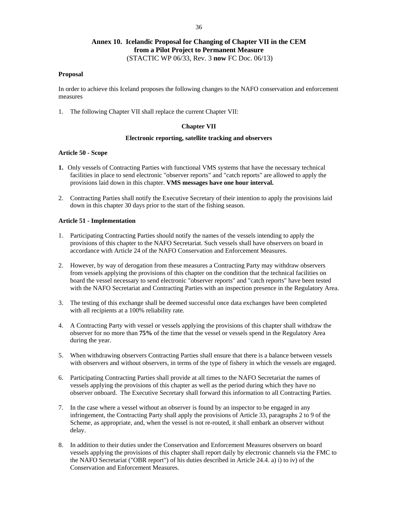# **Annex 10. Icelandic Proposal for Changing of Chapter VII in the CEM from a Pilot Project to Permanent Measure**  (STACTIC WP 06/33, Rev. 3 **now** FC Doc. 06/13)

### **Proposal**

In order to achieve this Iceland proposes the following changes to the NAFO conservation and enforcement measures

1. The following Chapter VII shall replace the current Chapter VII:

#### **Chapter VII**

## **Electronic reporting, satellite tracking and observers**

#### **Article 50 - Scope**

- **1.** Only vessels of Contracting Parties with functional VMS systems that have the necessary technical facilities in place to send electronic "observer reports" and "catch reports" are allowed to apply the provisions laid down in this chapter. **VMS messages have one hour interval.**
- 2. Contracting Parties shall notify the Executive Secretary of their intention to apply the provisions laid down in this chapter 30 days prior to the start of the fishing season.

#### **Article 51 - Implementation**

- 1. Participating Contracting Parties should notify the names of the vessels intending to apply the provisions of this chapter to the NAFO Secretariat. Such vessels shall have observers on board in accordance with Article 24 of the NAFO Conservation and Enforcement Measures.
- 2. However, by way of derogation from these measures a Contracting Party may withdraw observers from vessels applying the provisions of this chapter on the condition that the technical facilities on board the vessel necessary to send electronic "observer reports" and "catch reports" have been tested with the NAFO Secretariat and Contracting Parties with an inspection presence in the Regulatory Area.
- 3. The testing of this exchange shall be deemed successful once data exchanges have been completed with all recipients at a 100% reliability rate.
- 4. A Contracting Party with vessel or vessels applying the provisions of this chapter shall withdraw the observer for no more than **75%** of the time that the vessel or vessels spend in the Regulatory Area during the year.
- 5. When withdrawing observers Contracting Parties shall ensure that there is a balance between vessels with observers and without observers, in terms of the type of fishery in which the vessels are engaged.
- 6. Participating Contracting Parties shall provide at all times to the NAFO Secretariat the names of vessels applying the provisions of this chapter as well as the period during which they have no observer onboard. The Executive Secretary shall forward this information to all Contracting Parties.
- 7. In the case where a vessel without an observer is found by an inspector to be engaged in any infringement, the Contracting Party shall apply the provisions of Article 33, paragraphs 2 to 9 of the Scheme, as appropriate, and, when the vessel is not re-routed, it shall embark an observer without delay.
- 8. In addition to their duties under the Conservation and Enforcement Measures observers on board vessels applying the provisions of this chapter shall report daily by electronic channels via the FMC to the NAFO Secretariat ("OBR report") of his duties described in Article 24.4. a) i) to iv) of the Conservation and Enforcement Measures.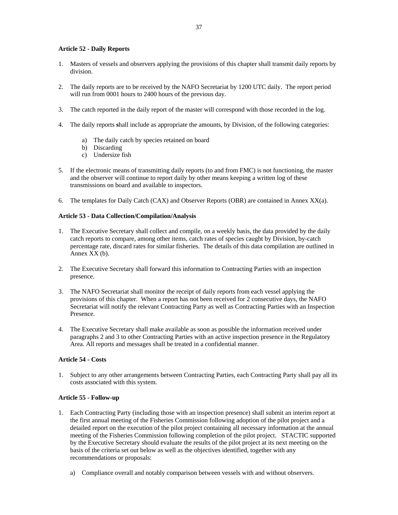## **Article 52 - Daily Reports**

- 1. Masters of vessels and observers applying the provisions of this chapter shall transmit daily reports by division.
- 2. The daily reports are to be received by the NAFO Secretariat by 1200 UTC daily. The report period will run from 0001 hours to 2400 hours of the previous day.
- 3. The catch reported in the daily report of the master will correspond with those recorded in the log.
- 4. The daily reports **s**hall include as appropriate the amounts, by Division, of the following categories:
	- a) The daily catch by species retained on board
	- b) Discarding
	- c) Undersize fish
- 5. If the electronic means of transmitting daily reports (to and from FMC) is not functioning, the master and the observer will continue to report daily by other means keeping a written log of these transmissions on board and available to inspectors.
- 6. The templates for Daily Catch (CAX) and Observer Reports (OBR) are contained in Annex XX(a).

### **Article 53 - Data Collection/Compilation/Analysis**

- 1. The Executive Secretary shall collect and compile, on a weekly basis, the data provided by the daily catch reports to compare, among other items, catch rates of species caught by Division, by-catch percentage rate, discard rates for similar fisheries. The details of this data compilation are outlined in Annex XX (b).
- 2. The Executive Secretary shall forward this information to Contracting Parties with an inspection presence.
- 3. The NAFO Secretariat shall monitor the receipt of daily reports from each vessel applying the provisions of this chapter. When a report has not been received for 2 consecutive days, the NAFO Secretariat will notify the relevant Contracting Party as well as Contracting Parties with an Inspection Presence.
- 4. The Executive Secretary shall make available as soon as possible the information received under paragraphs 2 and 3 to other Contracting Parties with an active inspection presence in the Regulatory Area. All reports and messages shall be treated in a confidential manner.

# **Article 54 - Costs**

1. Subject to any other arrangements between Contracting Parties, each Contracting Party shall pay all its costs associated with this system.

### **Article 55 - Follow-up**

- 1. Each Contracting Party (including those with an inspection presence) shall submit an interim report at the first annual meeting of the Fisheries Commission following adoption of the pilot project and a detailed report on the execution of the pilot project containing all necessary information at the annual meeting of the Fisheries Commission following completion of the pilot project. STACTIC supported by the Executive Secretary should evaluate the results of the pilot project at its next meeting on the basis of the criteria set out below as well as the objectives identified, together with any recommendations or proposals:
	- a) Compliance overall and notably comparison between vessels with and without observers.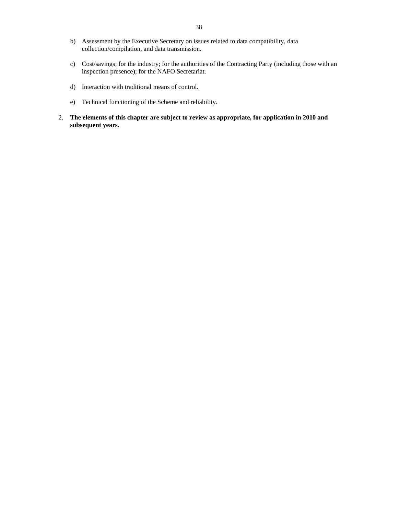- b) Assessment by the Executive Secretary on issues related to data compatibility, data collection/compilation, and data transmission.
- c) Cost/savings; for the industry; for the authorities of the Contracting Party (including those with an inspection presence); for the NAFO Secretariat.
- d) Interaction with traditional means of control.
- e) Technical functioning of the Scheme and reliability.
- 2. **The elements of this chapter are subject to review as appropriate, for application in 2010 and subsequent years.**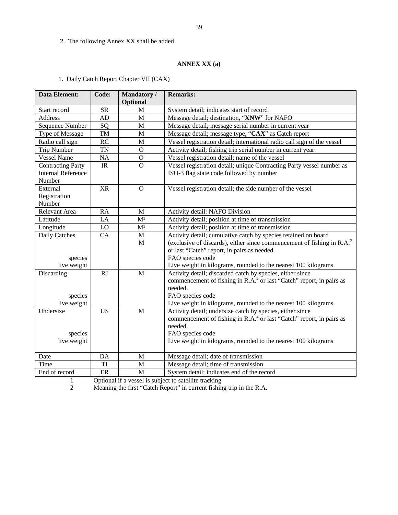# 2. The following Annex XX shall be added

# **ANNEX XX (a)**

|  |  | 1. Daily Catch Report Chapter VII (CAX) |
|--|--|-----------------------------------------|
|--|--|-----------------------------------------|

| <b>Data Element:</b>      | Code:       | Mandatory/<br>Optional | <b>Remarks:</b>                                                                  |
|---------------------------|-------------|------------------------|----------------------------------------------------------------------------------|
| Start record              | <b>SR</b>   | M                      | System detail; indicates start of record                                         |
| Address                   | AD          | M                      | Message detail; destination, "XNW" for NAFO                                      |
| Sequence Number           | SQ          | M                      | Message detail; message serial number in current year                            |
| Type of Message           | TM          | M                      | Message detail; message type, "CAX" as Catch report                              |
| Radio call sign           | <b>RC</b>   | M                      | Vessel registration detail; international radio call sign of the vessel          |
| <b>Trip Number</b>        | <b>TN</b>   | $\mathbf O$            | Activity detail; fishing trip serial number in current year                      |
| <b>Vessel Name</b>        | <b>NA</b>   | $\mathbf O$            | Vessel registration detail; name of the vessel                                   |
| <b>Contracting Party</b>  | $_{\rm IR}$ | $\overline{O}$         | Vessel registration detail; unique Contracting Party vessel number as            |
| <b>Internal Reference</b> |             |                        | ISO-3 flag state code followed by number                                         |
| Number                    |             |                        |                                                                                  |
| External                  | <b>XR</b>   | $\overline{O}$         | Vessel registration detail; the side number of the vessel                        |
| Registration<br>Number    |             |                        |                                                                                  |
| Relevant Area             | <b>RA</b>   | M                      | Activity detail: NAFO Division                                                   |
| Latitude                  | LA          | M <sup>1</sup>         | Activity detail; position at time of transmission                                |
| Longitude                 | LO          | M <sup>1</sup>         | Activity detail; position at time of transmission                                |
| Daily Catches             | CA          | M                      | Activity detail; cumulative catch by species retained on board                   |
|                           |             | $\mathbf{M}$           | (exclusive of discards), either since commencement of fishing in $R.A.^2$        |
|                           |             |                        | or last "Catch" report, in pairs as needed.                                      |
| species                   |             |                        | FAO species code                                                                 |
| live weight               |             |                        | Live weight in kilograms, rounded to the nearest 100 kilograms                   |
| Discarding                | RJ          | $\mathbf{M}$           | Activity detail; discarded catch by species, either since                        |
|                           |             |                        | commencement of fishing in R.A. <sup>2</sup> or last "Catch" report, in pairs as |
|                           |             |                        | needed.                                                                          |
| species                   |             |                        | FAO species code                                                                 |
| live weight               |             |                        | Live weight in kilograms, rounded to the nearest 100 kilograms                   |
| Undersize                 | <b>US</b>   | $\mathbf{M}$           | Activity detail; undersize catch by species, either since                        |
|                           |             |                        | commencement of fishing in R.A. $^{2}$ or last "Catch" report, in pairs as       |
|                           |             |                        | needed.                                                                          |
| species                   |             |                        | FAO species code                                                                 |
| live weight               |             |                        | Live weight in kilograms, rounded to the nearest 100 kilograms                   |
| Date                      | DA          | M                      | Message detail; date of transmission                                             |
| Time                      | TI          | M                      | Message detail; time of transmission                                             |
| End of record             | ER          | $\mathbf M$            | System detail; indicates end of the record                                       |

1 Optional if a vessel is subject to satellite tracking

2 Meaning the first "Catch Report" in current fishing trip in the R.A.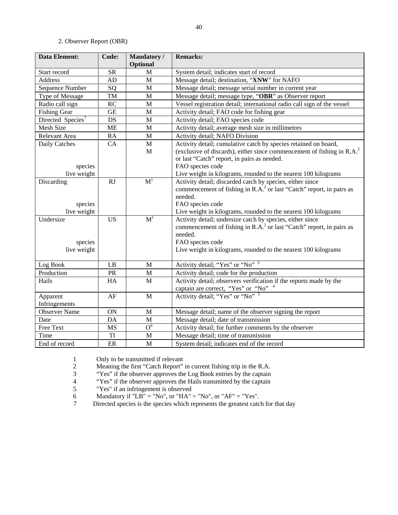# 2. Observer Report (OBR)

| <b>Data Element:</b>                 | Code:     | Mandatory /<br>Optional | <b>Remarks:</b>                                                                                                                                                                                                                                |
|--------------------------------------|-----------|-------------------------|------------------------------------------------------------------------------------------------------------------------------------------------------------------------------------------------------------------------------------------------|
| Start record                         | <b>SR</b> | M                       | System detail; indicates start of record                                                                                                                                                                                                       |
| Address                              | AD        | $\mathbf{M}$            | Message detail; destination, "XNW" for NAFO                                                                                                                                                                                                    |
| Sequence Number                      | SQ        | $\mathbf M$             | Message detail; message serial number in current year                                                                                                                                                                                          |
| Type of Message                      | TM        | $\mathbf M$             | Message detail; message type, "OBR" as Observer report                                                                                                                                                                                         |
| Radio call sign                      | RC        | $\mathbf M$             | Vessel registration detail; international radio call sign of the vessel                                                                                                                                                                        |
| <b>Fishing Gear</b>                  | <b>GE</b> | $\mathbf M$             | Activity detail; FAO code for fishing gear                                                                                                                                                                                                     |
| Directed Species <sup>7</sup>        | <b>DS</b> | $\mathbf M$             | Activity detail; FAO species code                                                                                                                                                                                                              |
| Mesh Size                            | <b>ME</b> | $\mathbf M$             | Activity detail; average mesh size in millimetres                                                                                                                                                                                              |
| Relevant Area                        | RA        | $\mathbf M$             | Activity detail; NAFO Division                                                                                                                                                                                                                 |
| Daily Catches<br>species             | CA        | $\mathbf M$<br>M        | Activity detail; cumulative catch by species retained on board,<br>(exclusive of discards), either since commencement of fishing in $R.A.^2$<br>or last "Catch" report, in pairs as needed.<br>FAO species code                                |
| live weight                          |           |                         | Live weight in kilograms, rounded to the nearest 100 kilograms                                                                                                                                                                                 |
| Discarding<br>species<br>live weight | <b>RJ</b> | $\mathbf{M}^1$          | Activity detail; discarded catch by species, either since<br>commencement of fishing in R.A. <sup>2</sup> or last "Catch" report, in pairs as<br>needed.<br>FAO species code<br>Live weight in kilograms, rounded to the nearest 100 kilograms |
| Undersize<br>species<br>live weight  | <b>US</b> | $\mathbf{M}^1$          | Activity detail; undersize catch by species, either since<br>commencement of fishing in R.A. <sup>2</sup> or last "Catch" report, in pairs as<br>needed.<br>FAO species code<br>Live weight in kilograms, rounded to the nearest 100 kilograms |
| Log Book                             | LB        | M                       | Activity detail; "Yes" or "No" 3                                                                                                                                                                                                               |
| Production                           | PR        | $\mathbf M$             | Activity detail; code for the production                                                                                                                                                                                                       |
| Hails                                | HA        | M                       | Activity detail; observers verification if the reports made by the<br>captain are correct, "Yes" or "No" <sup>4</sup>                                                                                                                          |
| Apparent<br>Infringements            | AF        | $\mathbf{M}$            | Activity detail; "Yes" or "No" 5                                                                                                                                                                                                               |
| <b>Observer Name</b>                 | <b>ON</b> | $\mathbf M$             | Message detail; name of the observer signing the report                                                                                                                                                                                        |
| Date                                 | DA        | $\mathbf M$             | Message detail; date of transmission                                                                                                                                                                                                           |
| Free Text                            | <b>MS</b> | $\overline{O^6}$        | Activity detail; for further comments by the observer                                                                                                                                                                                          |
| Time                                 | TI        | M                       | Message detail; time of transmission                                                                                                                                                                                                           |
| End of record                        | ER        | M                       | System detail; indicates end of the record                                                                                                                                                                                                     |

1 Only to be transmitted if relevant<br>2 Meaning the first "Catch Report"

"Yes" if the observer approves the Log Book entries by the captain

2 Meaning the first "Catch Report" in current fishing trip in the R.A.<br>
3 "Yes" if the observer approves the Log Book entries by the captain<br>
4 "Yes" if the observer approves the Hails transmitted by the captain <sup>4</sup> "Yes" if the observer approves the Hails transmitted by the captain<br>
<sup>5</sup> "Yes" if an infringement is observed

5 "Yes" if an infringement is observed

6 Mandatory if "LB" = "No", or "HA" = "No", or "AF" = "Yes".

7 Directed species is the species which represents the greatest catch for that day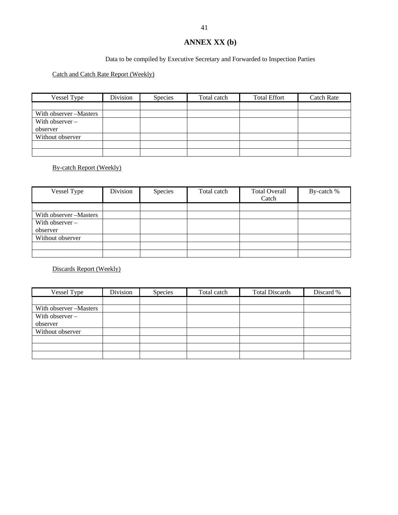# **ANNEX XX (b)**

# Data to be compiled by Executive Secretary and Forwarded to Inspection Parties

# Catch and Catch Rate Report (Weekly)

| Vessel Type             | Division | <b>Species</b> | Total catch | <b>Total Effort</b> | Catch Rate |
|-------------------------|----------|----------------|-------------|---------------------|------------|
|                         |          |                |             |                     |            |
| With observer – Masters |          |                |             |                     |            |
| With observer $-$       |          |                |             |                     |            |
| observer                |          |                |             |                     |            |
| Without observer        |          |                |             |                     |            |
|                         |          |                |             |                     |            |
|                         |          |                |             |                     |            |

# By-catch Report (Weekly)

| Vessel Type             | Division | Species | Total catch | <b>Total Overall</b> | By-catch % |
|-------------------------|----------|---------|-------------|----------------------|------------|
|                         |          |         |             | Catch                |            |
|                         |          |         |             |                      |            |
| With observer – Masters |          |         |             |                      |            |
| With observer $-$       |          |         |             |                      |            |
| observer                |          |         |             |                      |            |
| Without observer        |          |         |             |                      |            |
|                         |          |         |             |                      |            |
|                         |          |         |             |                      |            |

# Discards Report (Weekly)

| Vessel Type            | Division | Species | Total catch | <b>Total Discards</b> | Discard % |
|------------------------|----------|---------|-------------|-----------------------|-----------|
|                        |          |         |             |                       |           |
| With observer -Masters |          |         |             |                       |           |
| With observer $-$      |          |         |             |                       |           |
| observer               |          |         |             |                       |           |
| Without observer       |          |         |             |                       |           |
|                        |          |         |             |                       |           |
|                        |          |         |             |                       |           |
|                        |          |         |             |                       |           |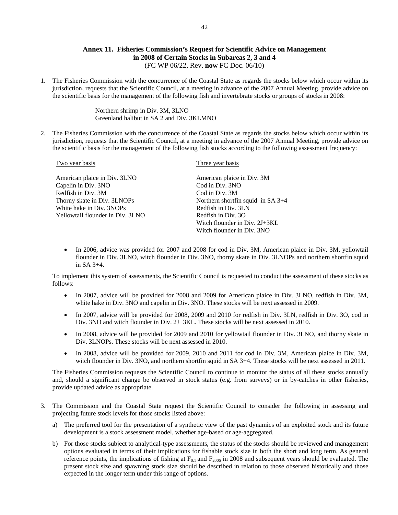# **Annex 11. Fisheries Commission's Request for Scientific Advice on Management in 2008 of Certain Stocks in Subareas 2, 3 and 4**  (FC WP 06/22, Rev. **now** FC Doc. 06/10)

1. The Fisheries Commission with the concurrence of the Coastal State as regards the stocks below which occur within its jurisdiction, requests that the Scientific Council, at a meeting in advance of the 2007 Annual Meeting, provide advice on the scientific basis for the management of the following fish and invertebrate stocks or groups of stocks in 2008:

> Northern shrimp in Div. 3M, 3LNO Greenland halibut in SA 2 and Div. 3KLMNO

2. The Fisheries Commission with the concurrence of the Coastal State as regards the stocks below which occur within its jurisdiction, requests that the Scientific Council, at a meeting in advance of the 2007 Annual Meeting, provide advice on the scientific basis for the management of the following fish stocks according to the following assessment frequency:

| Two year basis                   | Three year basis                    |
|----------------------------------|-------------------------------------|
| American plaice in Div. 3LNO     | American plaice in Div. 3M          |
| Capelin in Div. 3NO              | Cod in Div. 3NO                     |
| Redfish in Div. 3M               | Cod in Div. 3M                      |
| Thorny skate in Div. 3LNOPs      | Northern shortfin squid in $SA$ 3+4 |
| White hake in Div. 3NOPs         | Redfish in Div. 3LN                 |
| Yellowtail flounder in Div. 3LNO | Redfish in Div. 30                  |
|                                  | Witch flounder in Div. 2J+3KL       |
|                                  | Witch flounder in Div 3NO           |

• In 2006, advice was provided for 2007 and 2008 for cod in Div. 3M, American plaice in Div. 3M, yellowtail flounder in Div. 3LNO, witch flounder in Div. 3NO, thorny skate in Div. 3LNOPs and northern shortfin squid in SA 3+4.

To implement this system of assessments, the Scientific Council is requested to conduct the assessment of these stocks as follows:

- In 2007, advice will be provided for 2008 and 2009 for American plaice in Div. 3LNO, redfish in Div. 3M, white hake in Div. 3NO and capelin in Div. 3NO. These stocks will be next assessed in 2009.
- In 2007, advice will be provided for 2008, 2009 and 2010 for redfish in Div. 3LN, redfish in Div. 3O, cod in Div. 3NO and witch flounder in Div. 2J+3KL. These stocks will be next assessed in 2010.
- In 2008, advice will be provided for 2009 and 2010 for yellowtail flounder in Div. 3LNO, and thorny skate in Div. 3LNOPs. These stocks will be next assessed in 2010.
- In 2008, advice will be provided for 2009, 2010 and 2011 for cod in Div. 3M, American plaice in Div. 3M, witch flounder in Div. 3NO, and northern shortfin squid in SA 3+4. These stocks will be next assessed in 2011.

The Fisheries Commission requests the Scientific Council to continue to monitor the status of all these stocks annually and, should a significant change be observed in stock status (e.g. from surveys) or in by-catches in other fisheries, provide updated advice as appropriate.

- 3. The Commission and the Coastal State request the Scientific Council to consider the following in assessing and projecting future stock levels for those stocks listed above:
	- a) The preferred tool for the presentation of a synthetic view of the past dynamics of an exploited stock and its future development is a stock assessment model, whether age-based or age-aggregated.
	- b) For those stocks subject to analytical-type assessments, the status of the stocks should be reviewed and management options evaluated in terms of their implications for fishable stock size in both the short and long term. As general reference points, the implications of fishing at  $F_{0.1}$  and  $F_{2006}$  in 2008 and subsequent years should be evaluated. The present stock size and spawning stock size should be described in relation to those observed historically and those expected in the longer term under this range of options.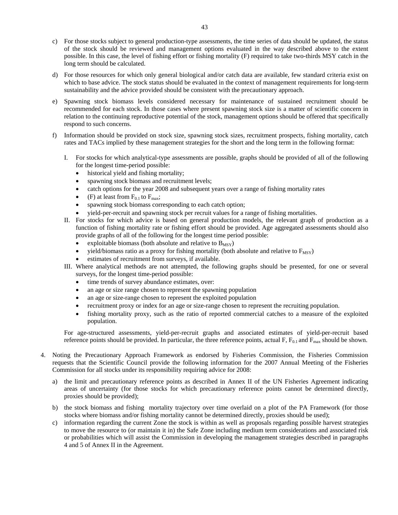- c) For those stocks subject to general production-type assessments, the time series of data should be updated, the status of the stock should be reviewed and management options evaluated in the way described above to the extent possible. In this case, the level of fishing effort or fishing mortality (F) required to take two-thirds MSY catch in the long term should be calculated.
- d) For those resources for which only general biological and/or catch data are available, few standard criteria exist on which to base advice. The stock status should be evaluated in the context of management requirements for long-term sustainability and the advice provided should be consistent with the precautionary approach.
- e) Spawning stock biomass levels considered necessary for maintenance of sustained recruitment should be recommended for each stock. In those cases where present spawning stock size is a matter of scientific concern in relation to the continuing reproductive potential of the stock, management options should be offered that specifically respond to such concerns.
- f) Information should be provided on stock size, spawning stock sizes, recruitment prospects, fishing mortality, catch rates and TACs implied by these management strategies for the short and the long term in the following format:
	- I. For stocks for which analytical-type assessments are possible, graphs should be provided of all of the following for the longest time-period possible:
		- historical yield and fishing mortality;
		- spawning stock biomass and recruitment levels;
		- catch options for the year 2008 and subsequent years over a range of fishing mortality rates
		- (F) at least from  $F_{0.1}$  to  $F_{\text{max}}$ ;
		- spawning stock biomass corresponding to each catch option;
		- yield-per-recruit and spawning stock per recruit values for a range of fishing mortalities.
	- II. For stocks for which advice is based on general production models, the relevant graph of production as a function of fishing mortality rate or fishing effort should be provided. Age aggregated assessments should also provide graphs of all of the following for the longest time period possible:
		- exploitable biomass (both absolute and relative to  $B_{MSY}$ )
		- yield/biomass ratio as a proxy for fishing mortality (both absolute and relative to  $F_{\text{MSY}}$ )
		- estimates of recruitment from surveys, if available.
	- III. Where analytical methods are not attempted, the following graphs should be presented, for one or several surveys, for the longest time-period possible:
		- time trends of survey abundance estimates, over:
		- an age or size range chosen to represent the spawning population
		- an age or size-range chosen to represent the exploited population
		- recruitment proxy or index for an age or size-range chosen to represent the recruiting population.
		- fishing mortality proxy, such as the ratio of reported commercial catches to a measure of the exploited population.

For age-structured assessments, yield-per-recruit graphs and associated estimates of yield-per-recruit based reference points should be provided. In particular, the three reference points, actual F,  $F_{0.1}$  and  $F_{\text{max}}$  should be shown.

- 4. Noting the Precautionary Approach Framework as endorsed by Fisheries Commission, the Fisheries Commission requests that the Scientific Council provide the following information for the 2007 Annual Meeting of the Fisheries Commission for all stocks under its responsibility requiring advice for 2008:
	- a) the limit and precautionary reference points as described in Annex II of the UN Fisheries Agreement indicating areas of uncertainty (for those stocks for which precautionary reference points cannot be determined directly, proxies should be provided);
	- b) the stock biomass and fishing mortality trajectory over time overlaid on a plot of the PA Framework (for those stocks where biomass and/or fishing mortality cannot be determined directly, proxies should be used);
	- c) information regarding the current Zone the stock is within as well as proposals regarding possible harvest strategies to move the resource to (or maintain it in) the Safe Zone including medium term considerations and associated risk or probabilities which will assist the Commission in developing the management strategies described in paragraphs 4 and 5 of Annex II in the Agreement.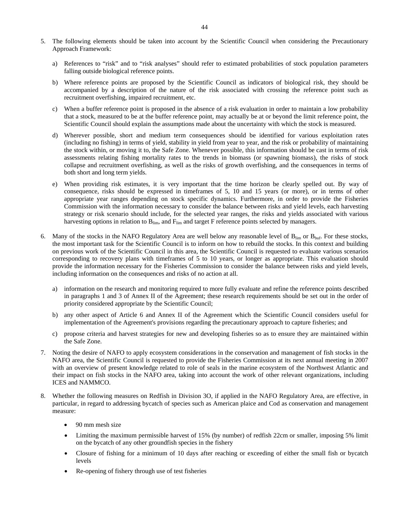- 5. The following elements should be taken into account by the Scientific Council when considering the Precautionary Approach Framework:
	- a) References to "risk" and to "risk analyses" should refer to estimated probabilities of stock population parameters falling outside biological reference points.
	- b) Where reference points are proposed by the Scientific Council as indicators of biological risk, they should be accompanied by a description of the nature of the risk associated with crossing the reference point such as recruitment overfishing, impaired recruitment, etc.
	- c) When a buffer reference point is proposed in the absence of a risk evaluation in order to maintain a low probability that a stock, measured to be at the buffer reference point, may actually be at or beyond the limit reference point, the Scientific Council should explain the assumptions made about the uncertainty with which the stock is measured.
	- Wherever possible, short and medium term consequences should be identified for various exploitation rates (including no fishing) in terms of yield, stability in yield from year to year, and the risk or probability of maintaining the stock within, or moving it to, the Safe Zone. Whenever possible, this information should be cast in terms of risk assessments relating fishing mortality rates to the trends in biomass (or spawning biomass), the risks of stock collapse and recruitment overfishing, as well as the risks of growth overfishing, and the consequences in terms of both short and long term yields.
	- e) When providing risk estimates, it is very important that the time horizon be clearly spelled out. By way of consequence, risks should be expressed in timeframes of 5, 10 and 15 years (or more), or in terms of other appropriate year ranges depending on stock specific dynamics. Furthermore, in order to provide the Fisheries Commission with the information necessary to consider the balance between risks and yield levels, each harvesting strategy or risk scenario should include, for the selected year ranges, the risks and yields associated with various harvesting options in relation to  $B_{lim}$ , and  $F_{lim}$  and target F reference points selected by managers.
- 6. Many of the stocks in the NAFO Regulatory Area are well below any reasonable level of  $B_{lim}$  or  $B_{buf}$ . For these stocks, the most important task for the Scientific Council is to inform on how to rebuild the stocks. In this context and building on previous work of the Scientific Council in this area, the Scientific Council is requested to evaluate various scenarios corresponding to recovery plans with timeframes of 5 to 10 years, or longer as appropriate. This evaluation should provide the information necessary for the Fisheries Commission to consider the balance between risks and yield levels, including information on the consequences and risks of no action at all.
	- a) information on the research and monitoring required to more fully evaluate and refine the reference points described in paragraphs 1 and 3 of Annex II of the Agreement; these research requirements should be set out in the order of priority considered appropriate by the Scientific Council;
	- b) any other aspect of Article 6 and Annex II of the Agreement which the Scientific Council considers useful for implementation of the Agreement's provisions regarding the precautionary approach to capture fisheries; and
	- c) propose criteria and harvest strategies for new and developing fisheries so as to ensure they are maintained within the Safe Zone.
- 7. Noting the desire of NAFO to apply ecosystem considerations in the conservation and management of fish stocks in the NAFO area, the Scientific Council is requested to provide the Fisheries Commission at its next annual meeting in 2007 with an overview of present knowledge related to role of seals in the marine ecosystem of the Northwest Atlantic and their impact on fish stocks in the NAFO area, taking into account the work of other relevant organizations, including ICES and NAMMCO.
- 8. Whether the following measures on Redfish in Division 3O, if applied in the NAFO Regulatory Area, are effective, in particular, in regard to addressing bycatch of species such as American plaice and Cod as conservation and management measure:
	- 90 mm mesh size
	- Limiting the maximum permissible harvest of 15% (by number) of redfish 22cm or smaller, imposing 5% limit on the bycatch of any other groundfish species in the fishery
	- Closure of fishing for a minimum of 10 days after reaching or exceeding of either the small fish or bycatch levels
	- Re-opening of fishery through use of test fisheries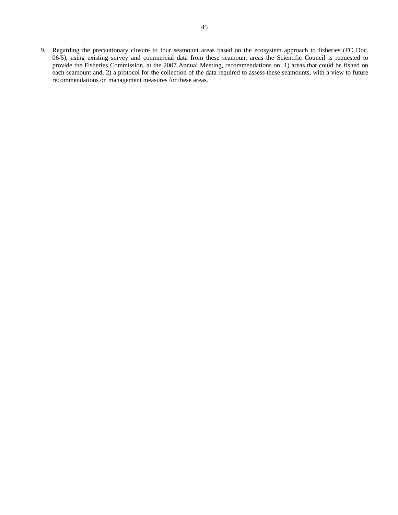9. Regarding the precautionary closure to four seamount areas based on the ecosystem approach to fisheries (FC Doc. 06/5), using existing survey and commercial data from these seamount areas the Scientific Council is requested to provide the Fisheries Commission, at the 2007 Annual Meeting, recommendations on: 1) areas that could be fished on each seamount and, 2) a protocol for the collection of the data required to assess these seamounts, with a view to future recommendations on management measures for these areas.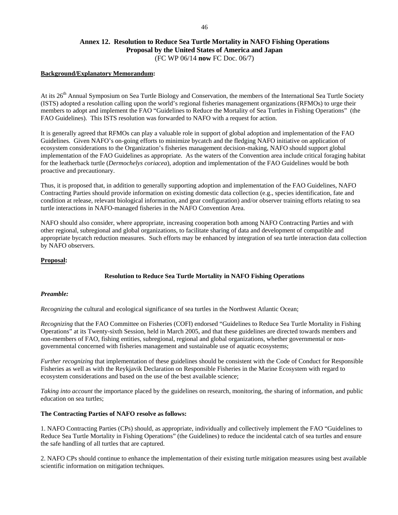# **Annex 12. Resolution to Reduce Sea Turtle Mortality in NAFO Fishing Operations Proposal by the United States of America and Japan**  (FC WP 06/14 **now** FC Doc. 06/7)

# **Background/Explanatory Memorandum:**

At its 26<sup>th</sup> Annual Symposium on Sea Turtle Biology and Conservation, the members of the International Sea Turtle Society (ISTS) adopted a resolution calling upon the world's regional fisheries management organizations (RFMOs) to urge their members to adopt and implement the FAO "Guidelines to Reduce the Mortality of Sea Turtles in Fishing Operations" (the FAO Guidelines). This ISTS resolution was forwarded to NAFO with a request for action.

It is generally agreed that RFMOs can play a valuable role in support of global adoption and implementation of the FAO Guidelines. Given NAFO's on-going efforts to minimize bycatch and the fledging NAFO initiative on application of ecosystem considerations to the Organization's fisheries management decision-making, NAFO should support global implementation of the FAO Guidelines as appropriate. As the waters of the Convention area include critical foraging habitat for the leatherback turtle (*Dermochelys coriacea*), adoption and implementation of the FAO Guidelines would be both proactive and precautionary.

Thus, it is proposed that, in addition to generally supporting adoption and implementation of the FAO Guidelines, NAFO Contracting Parties should provide information on existing domestic data collection (e.g., species identification, fate and condition at release, relevant biological information, and gear configuration) and/or observer training efforts relating to sea turtle interactions in NAFO-managed fisheries in the NAFO Convention Area.

NAFO should also consider, where appropriate, increasing cooperation both among NAFO Contracting Parties and with other regional, subregional and global organizations, to facilitate sharing of data and development of compatible and appropriate bycatch reduction measures. Such efforts may be enhanced by integration of sea turtle interaction data collection by NAFO observers.

## **Proposal:**

# **Resolution to Reduce Sea Turtle Mortality in NAFO Fishing Operations**

## *Preamble:*

*Recognizing* the cultural and ecological significance of sea turtles in the Northwest Atlantic Ocean;

*Recognizing* that the FAO Committee on Fisheries (COFI) endorsed "Guidelines to Reduce Sea Turtle Mortality in Fishing Operations" at its Twenty-sixth Session, held in March 2005, and that these guidelines are directed towards members and non-members of FAO, fishing entities, subregional, regional and global organizations, whether governmental or nongovernmental concerned with fisheries management and sustainable use of aquatic ecosystems;

*Further recognizing* that implementation of these guidelines should be consistent with the Code of Conduct for Responsible Fisheries as well as with the Reykjavik Declaration on Responsible Fisheries in the Marine Ecosystem with regard to ecosystem considerations and based on the use of the best available science;

*Taking into account* the importance placed by the guidelines on research, monitoring, the sharing of information, and public education on sea turtles;

### **The Contracting Parties of NAFO resolve as follows:**

1. NAFO Contracting Parties (CPs) should, as appropriate, individually and collectively implement the FAO "Guidelines to Reduce Sea Turtle Mortality in Fishing Operations" (the Guidelines) to reduce the incidental catch of sea turtles and ensure the safe handling of all turtles that are captured.

2. NAFO CPs should continue to enhance the implementation of their existing turtle mitigation measures using best available scientific information on mitigation techniques.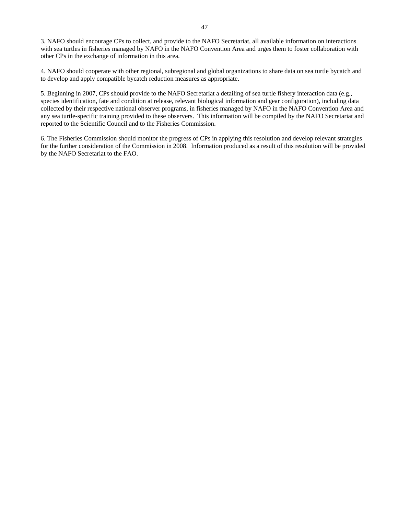3. NAFO should encourage CPs to collect, and provide to the NAFO Secretariat, all available information on interactions with sea turtles in fisheries managed by NAFO in the NAFO Convention Area and urges them to foster collaboration with other CPs in the exchange of information in this area.

4. NAFO should cooperate with other regional, subregional and global organizations to share data on sea turtle bycatch and to develop and apply compatible bycatch reduction measures as appropriate.

5. Beginning in 2007, CPs should provide to the NAFO Secretariat a detailing of sea turtle fishery interaction data (e.g., species identification, fate and condition at release, relevant biological information and gear configuration), including data collected by their respective national observer programs, in fisheries managed by NAFO in the NAFO Convention Area and any sea turtle-specific training provided to these observers. This information will be compiled by the NAFO Secretariat and reported to the Scientific Council and to the Fisheries Commission.

6. The Fisheries Commission should monitor the progress of CPs in applying this resolution and develop relevant strategies for the further consideration of the Commission in 2008. Information produced as a result of this resolution will be provided by the NAFO Secretariat to the FAO.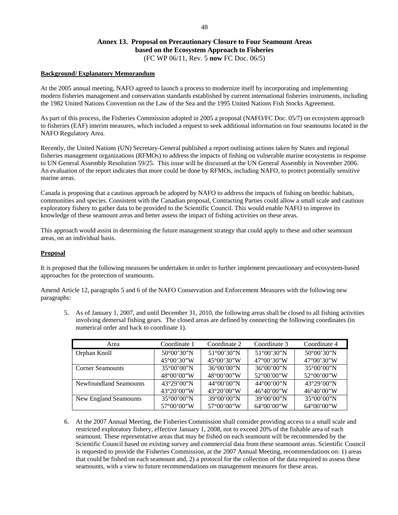# **Annex 13. Proposal on Precautionary Closure to Four Seamount Areas based on the Ecosystem Approach to Fisheries**  (FC WP 06/11, Rev. 5 **now** FC Doc. 06/5)

### **Background/ Explanatory Memorandum**

At the 2005 annual meeting, NAFO agreed to launch a process to modernize itself by incorporating and implementing modern fisheries management and conservation standards established by current international fisheries instruments, including the 1982 United Nations Convention on the Law of the Sea and the 1995 United Nations Fish Stocks Agreement.

As part of this process, the Fisheries Commission adopted in 2005 a proposal (NAFO/FC Doc. 05/7) on ecosystem approach to fisheries (EAF) interim measures, which included a request to seek additional information on four seamounts located in the NAFO Regulatory Area.

Recently, the United Nations (UN) Secretary-General published a report outlining actions taken by States and regional fisheries management organizations (RFMOs) to address the impacts of fishing on vulnerable marine ecosystems in response to UN General Assembly Resolution 59/25. This issue will be discussed at the UN General Assembly in November 2006. An evaluation of the report indicates that more could be done by RFMOs, including NAFO, to protect potentially sensitive marine areas.

Canada is proposing that a cautious approach be adopted by NAFO to address the impacts of fishing on benthic habitats, communities and species. Consistent with the Canadian proposal, Contracting Parties could allow a small scale and cautious exploratory fishery to gather data to be provided to the Scientific Council. This would enable NAFO to improve its knowledge of these seamount areas and better assess the impact of fishing activities on these areas.

This approach would assist in determining the future management strategy that could apply to these and other seamount areas, on an individual basis.

### **Proposal**

It is proposed that the following measures be undertaken in order to further implement precautionary and ecosystem-based approaches for the protection of seamounts.

Amend Article 12, paragraphs 5 and 6 of the NAFO Conservation and Enforcement Measures with the following new paragraphs:

5. As of January 1, 2007, and until December 31, 2010, the following areas shall be closed to all fishing activities involving demersal fishing gears. The closed areas are defined by connecting the following coordinates (in numerical order and back to coordinate 1).

| Area                    | Coordinate 1          | Coordinate 2          | Coordinate 3          | Coordinate 4          |
|-------------------------|-----------------------|-----------------------|-----------------------|-----------------------|
| Orphan Knoll            | $50^{\circ}00'30''$ N | $51^{\circ}00'30''N$  | $51^{\circ}00'30''N$  | $50^{\circ}00'30''$ N |
|                         | $45^{\circ}00'30''$ W | $45^{\circ}00'30''$ W | $47^{\circ}00'30''$ W | $47^{\circ}00'30''$ W |
| <b>Corner Seamounts</b> | $35^{\circ}00'00''$ N | $36^{\circ}00'00''$ N | $36^{\circ}00'00''$ N | $35^{\circ}00'00''$ N |
|                         | 48°00'00"W            | $48^{\circ}00'00''W$  | 52°00'00"W            | $52^{\circ}00'00''$ W |
| Newfoundland Seamounts  | $43^{\circ}29'00''N$  | $44^{\circ}00'00''$ N | $44^{\circ}00'00''$ N | $43^{\circ}29'00''N$  |
|                         | $43^{\circ}20'00''$ W | $43^{\circ}20'00''W$  | $46^{\circ}40'00''$ W | $46^{\circ}40'00''$ W |
| New England Seamounts   | $35^{\circ}00'00''$ N | $39^{\circ}00'00''$ N | $39^{\circ}00'00''$ N | $35^{\circ}00'00''$ N |
|                         | 57°00'00"W            | 57°00'00"W            | $64^{\circ}00'00''$ W | $64^{\circ}00'00''$ W |

6. At the 2007 Annual Meeting, the Fisheries Commission shall consider providing access to a small scale and restricted exploratory fishery, effective January 1, 2008, not to exceed 20% of the fishable area of each seamount. These representative areas that may be fished on each seamount will be recommended by the Scientific Council based on existing survey and commercial data from these seamount areas. Scientific Council is requested to provide the Fisheries Commission, at the 2007 Annual Meeting, recommendations on: 1) areas that could be fished on each seamount and, 2) a protocol for the collection of the data required to assess these seamounts, with a view to future recommendations on management measures for these areas.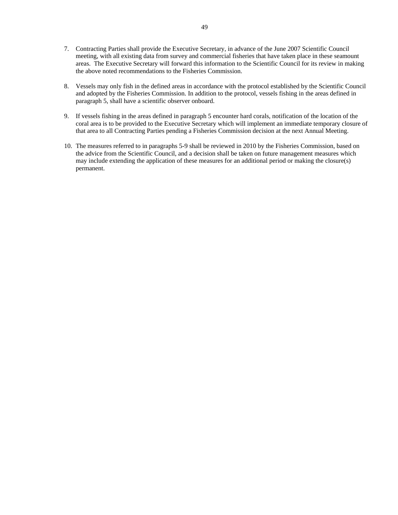- 7. Contracting Parties shall provide the Executive Secretary, in advance of the June 2007 Scientific Council meeting, with all existing data from survey and commercial fisheries that have taken place in these seamount areas. The Executive Secretary will forward this information to the Scientific Council for its review in making the above noted recommendations to the Fisheries Commission.
- 8. Vessels may only fish in the defined areas in accordance with the protocol established by the Scientific Council and adopted by the Fisheries Commission. In addition to the protocol, vessels fishing in the areas defined in paragraph 5, shall have a scientific observer onboard.
- 9. If vessels fishing in the areas defined in paragraph 5 encounter hard corals, notification of the location of the coral area is to be provided to the Executive Secretary which will implement an immediate temporary closure of that area to all Contracting Parties pending a Fisheries Commission decision at the next Annual Meeting.
- 10. The measures referred to in paragraphs 5-9 shall be reviewed in 2010 by the Fisheries Commission, based on the advice from the Scientific Council, and a decision shall be taken on future management measures which may include extending the application of these measures for an additional period or making the closure(s) permanent.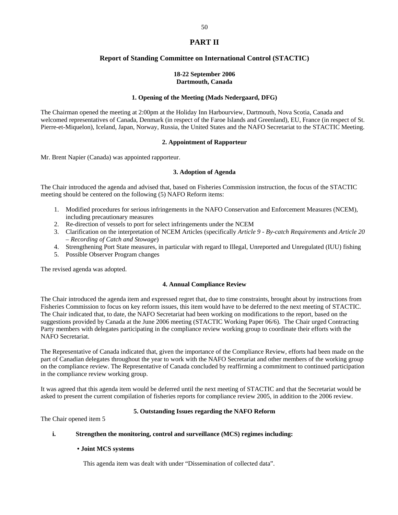# **PART II**

# **Report of Standing Committee on International Control (STACTIC)**

## **18-22 September 2006 Dartmouth, Canada**

## **1. Opening of the Meeting (Mads Nedergaard, DFG)**

The Chairman opened the meeting at 2:00pm at the Holiday Inn Harbourview, Dartmouth, Nova Scotia, Canada and welcomed representatives of Canada, Denmark (in respect of the Faroe Islands and Greenland), EU, France (in respect of St. Pierre-et-Miquelon), Iceland, Japan, Norway, Russia, the United States and the NAFO Secretariat to the STACTIC Meeting.

## **2. Appointment of Rapporteur**

Mr. Brent Napier (Canada) was appointed rapporteur.

## **3. Adoption of Agenda**

The Chair introduced the agenda and advised that, based on Fisheries Commission instruction, the focus of the STACTIC meeting should be centered on the following (5) NAFO Reform items:

- 1. Modified procedures for serious infringements in the NAFO Conservation and Enforcement Measures (NCEM), including precautionary measures
- 2. Re-direction of vessels to port for select infringements under the NCEM
- 3. Clarification on the interpretation of NCEM Articles (specifically *Article 9 By-catch Requirements* and *Article 20 – Recording of Catch and Stowage*)
- 4. Strengthening Port State measures, in particular with regard to Illegal, Unreported and Unregulated (IUU) fishing
- 5. Possible Observer Program changes

The revised agenda was adopted.

# **4. Annual Compliance Review**

The Chair introduced the agenda item and expressed regret that, due to time constraints, brought about by instructions from Fisheries Commission to focus on key reform issues, this item would have to be deferred to the next meeting of STACTIC. The Chair indicated that, to date, the NAFO Secretariat had been working on modifications to the report, based on the suggestions provided by Canada at the June 2006 meeting (STACTIC Working Paper 06/6). The Chair urged Contracting Party members with delegates participating in the compliance review working group to coordinate their efforts with the NAFO Secretariat.

The Representative of Canada indicated that, given the importance of the Compliance Review, efforts had been made on the part of Canadian delegates throughout the year to work with the NAFO Secretariat and other members of the working group on the compliance review. The Representative of Canada concluded by reaffirming a commitment to continued participation in the compliance review working group.

It was agreed that this agenda item would be deferred until the next meeting of STACTIC and that the Secretariat would be asked to present the current compilation of fisheries reports for compliance review 2005, in addition to the 2006 review.

# **5. Outstanding Issues regarding the NAFO Reform**

The Chair opened item 5

# **i. Strengthen the monitoring, control and surveillance (MCS) regimes including:**

### **• Joint MCS systems**

This agenda item was dealt with under "Dissemination of collected data".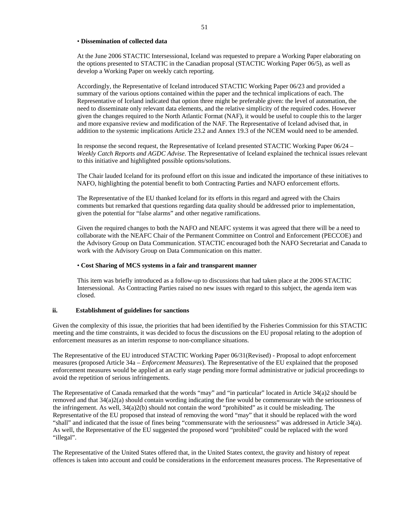#### • **Dissemination of collected data**

At the June 2006 STACTIC Intersessional, Iceland was requested to prepare a Working Paper elaborating on the options presented to STACTIC in the Canadian proposal (STACTIC Working Paper 06/5), as well as develop a Working Paper on weekly catch reporting.

Accordingly, the Representative of Iceland introduced STACTIC Working Paper 06/23 and provided a summary of the various options contained within the paper and the technical implications of each. The Representative of Iceland indicated that option three might be preferable given: the level of automation, the need to disseminate only relevant data elements, and the relative simplicity of the required codes. However given the changes required to the North Atlantic Format (NAF), it would be useful to couple this to the larger and more expansive review and modification of the NAF. The Representative of Iceland advised that, in addition to the systemic implications Article 23.2 and Annex 19.3 of the NCEM would need to be amended.

In response the second request, the Representative of Iceland presented STACTIC Working Paper 06/24 – *Weekly Catch Reports and AGDC Advise*. The Representative of Iceland explained the technical issues relevant to this initiative and highlighted possible options/solutions.

The Chair lauded Iceland for its profound effort on this issue and indicated the importance of these initiatives to NAFO, highlighting the potential benefit to both Contracting Parties and NAFO enforcement efforts.

The Representative of the EU thanked Iceland for its efforts in this regard and agreed with the Chairs comments but remarked that questions regarding data quality should be addressed prior to implementation, given the potential for "false alarms" and other negative ramifications.

Given the required changes to both the NAFO and NEAFC systems it was agreed that there will be a need to collaborate with the NEAFC Chair of the Permanent Committee on Control and Enforcement (PECCOE) and the Advisory Group on Data Communication. STACTIC encouraged both the NAFO Secretariat and Canada to work with the Advisory Group on Data Communication on this matter.

### • **Cost Sharing of MCS systems in a fair and transparent manner**

This item was briefly introduced as a follow-up to discussions that had taken place at the 2006 STACTIC Intersessional. As Contracting Parties raised no new issues with regard to this subject, the agenda item was closed.

## **ii. Establishment of guidelines for sanctions**

Given the complexity of this issue, the priorities that had been identified by the Fisheries Commission for this STACTIC meeting and the time constraints, it was decided to focus the discussions on the EU proposal relating to the adoption of enforcement measures as an interim response to non-compliance situations.

The Representative of the EU introduced STACTIC Working Paper 06/31(Revised) - Proposal to adopt enforcement measures (proposed Article 34a – *Enforcement Measures*). The Representative of the EU explained that the proposed enforcement measures would be applied at an early stage pending more formal administrative or judicial proceedings to avoid the repetition of serious infringements.

The Representative of Canada remarked that the words "may" and "in particular" located in Article 34(a)2 should be removed and that 34(a)2(a) should contain wording indicating the fine would be commensurate with the seriousness of the infringement. As well, 34(a)2(b) should not contain the word "prohibited" as it could be misleading. The Representative of the EU proposed that instead of removing the word "may" that it should be replaced with the word "shall" and indicated that the issue of fines being "commensurate with the seriousness" was addressed in Article 34(a). As well, the Representative of the EU suggested the proposed word "prohibited" could be replaced with the word "illegal".

The Representative of the United States offered that, in the United States context, the gravity and history of repeat offences is taken into account and could be considerations in the enforcement measures process. The Representative of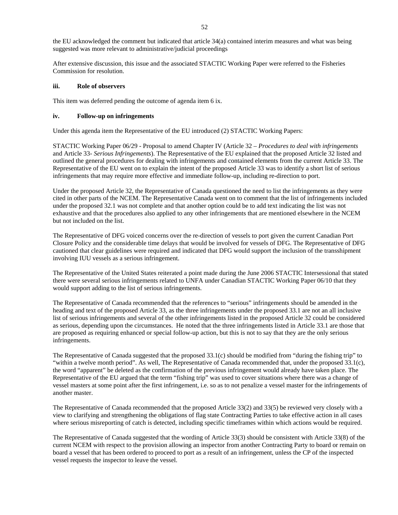the EU acknowledged the comment but indicated that article 34(a) contained interim measures and what was being suggested was more relevant to administrative/judicial proceedings

After extensive discussion, this issue and the associated STACTIC Working Paper were referred to the Fisheries Commission for resolution.

## **iii. Role of observers**

This item was deferred pending the outcome of agenda item 6 ix.

#### **iv. Follow-up on infringements**

Under this agenda item the Representative of the EU introduced (2) STACTIC Working Papers:

STACTIC Working Paper 06/29 - Proposal to amend Chapter IV (Article 32 – *Procedures to deal with infringements* and Article 33- *Serious Infringements*). The Representative of the EU explained that the proposed Article 32 listed and outlined the general procedures for dealing with infringements and contained elements from the current Article 33. The Representative of the EU went on to explain the intent of the proposed Article 33 was to identify a short list of serious infringements that may require more effective and immediate follow-up, including re-direction to port.

Under the proposed Article 32, the Representative of Canada questioned the need to list the infringements as they were cited in other parts of the NCEM. The Representative Canada went on to comment that the list of infringements included under the proposed 32.1 was not complete and that another option could be to add text indicating the list was not exhaustive and that the procedures also applied to any other infringements that are mentioned elsewhere in the NCEM but not included on the list.

The Representative of DFG voiced concerns over the re-direction of vessels to port given the current Canadian Port Closure Policy and the considerable time delays that would be involved for vessels of DFG. The Representative of DFG cautioned that clear guidelines were required and indicated that DFG would support the inclusion of the transshipment involving IUU vessels as a serious infringement.

The Representative of the United States reiterated a point made during the June 2006 STACTIC Intersessional that stated there were several serious infringements related to UNFA under Canadian STACTIC Working Paper 06/10 that they would support adding to the list of serious infringements.

The Representative of Canada recommended that the references to "serious" infringements should be amended in the heading and text of the proposed Article 33, as the three infringements under the proposed 33.1 are not an all inclusive list of serious infringements and several of the other infringements listed in the proposed Article 32 could be considered as serious, depending upon the circumstances. He noted that the three infringements listed in Article 33.1 are those that are proposed as requiring enhanced or special follow-up action, but this is not to say that they are the only serious infringements.

The Representative of Canada suggested that the proposed 33.1(c) should be modified from "during the fishing trip" to "within a twelve month period". As well, The Representative of Canada recommended that, under the proposed 33.1(c), the word "apparent" be deleted as the confirmation of the previous infringement would already have taken place. The Representative of the EU argued that the term "fishing trip" was used to cover situations where there was a change of vessel masters at some point after the first infringement, i.e. so as to not penalize a vessel master for the infringements of another master.

The Representative of Canada recommended that the proposed Article 33(2) and 33(5) be reviewed very closely with a view to clarifying and strengthening the obligations of flag state Contracting Parties to take effective action in all cases where serious misreporting of catch is detected, including specific timeframes within which actions would be required.

The Representative of Canada suggested that the wording of Article 33(3) should be consistent with Article 33(8) of the current NCEM with respect to the provision allowing an inspector from another Contracting Party to board or remain on board a vessel that has been ordered to proceed to port as a result of an infringement, unless the CP of the inspected vessel requests the inspector to leave the vessel.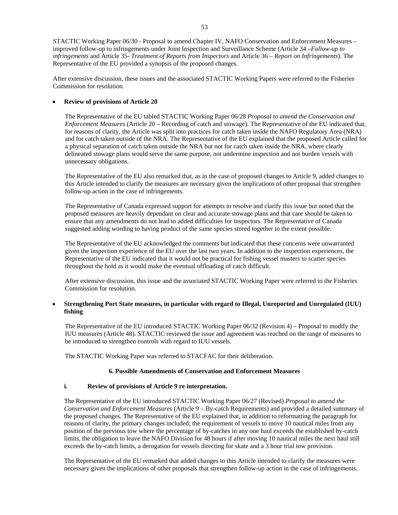STACTIC Working Paper 06/30 - Proposal to amend Chapter IV, NAFO Conservation and Enforcement Measures – improved follow-up to infringements under Joint Inspection and Surveillance Scheme (Article 34 –*Follow-up to infringements* and Article 35- *Treatment of Reports from Inspectors* and Article 36 – *Report on Infringements*). The Representative of the EU provided a synopsis of the proposed changes.

After extensive discussion, these issues and the associated STACTIC Working Papers were referred to the Fisheries Commission for resolution.

# • **Review of provisions of Article 20**

The Representative of the EU tabled STACTIC Working Paper 06/28 *Proposal to amend the Conservation and Enforcement Measures* (Article 20 – Recording of catch and stowage). The Representative of the EU indicated that, for reasons of clarity, the Article was split into practices for catch taken inside the NAFO Regulatory Area (NRA) and for catch taken outside of the NRA. The Representative of the EU explained that the proposed Article called for a physical separation of catch taken outside the NRA but not for catch taken inside the NRA, where clearly delineated stowage plans would serve the same purpose, not undermine inspection and not burden vessels with unnecessary obligations.

The Representative of the EU also remarked that, as in the case of proposed changes to Article 9, added changes to this Article intended to clarify the measures are necessary given the implications of other proposal that strengthen follow-up action in the case of infringements.

The Representative of Canada expressed support for attempts to resolve and clarify this issue but noted that the proposed measures are heavily dependant on clear and accurate stowage plans and that care should be taken to ensure that any amendments do not lead to added difficulties for inspectors. The Representative of Canada suggested adding wording to having product of the same species stored together to the extent possible.

The Representative of the EU acknowledged the comments but indicated that these concerns were unwarranted given the inspection experience of the EU over the last two years. In addition to the inspection experiences, the Representative of the EU indicated that it would not be practical for fishing vessel masters to scatter species throughout the hold as it would make the eventual offloading of catch difficult.

After extensive discussion, this issue and the associated STACTIC Working Paper were referred to the Fisheries Commission for resolution.

# • **Strengthening Port State measures, in particular with regard to Illegal, Unreported and Unregulated (IUU) fishing**

The Representative of the EU introduced STACTIC Working Paper 06/32 (Revision 4) – Proposal to modify the IUU measures (Article 48). STACTIC reviewed the issue and agreement was reached on the range of measures to be introduced to strengthen controls with regard to IUU vessels.

The STACTIC Working Paper was referred to STACFAC for their deliberation.

# **6. Possible Amendments of Conservation and Enforcement Measures**

# **i. Review of provisions of Article 9 re interpretation.**

The Representative of the EU introduced STACTIC Working Paper 06/27 (Revised) *Proposal to amend the Conservation and Enforcement Measures* (Article 9 – By-catch Requirements) and provided a detailed summary of the proposed changes. The Representative of the EU explained that, in addition to reformatting the paragraph for reasons of clarity, the primary changes included; the requirement of vessels to move 10 nautical miles from any position of the previous tow where the percentage of by-catches in any one haul exceeds the established by-catch limits, the obligation to leave the NAFO Division for 48 hours if after moving 10 nautical miles the next haul still exceeds the by-catch limits, a derogation for vessels directing for skate and a 3 hour trial tow provision.

The Representative of the EU remarked that added changes to this Article intended to clarify the measures were necessary given the implications of other proposals that strengthen follow-up action in the case of infringements.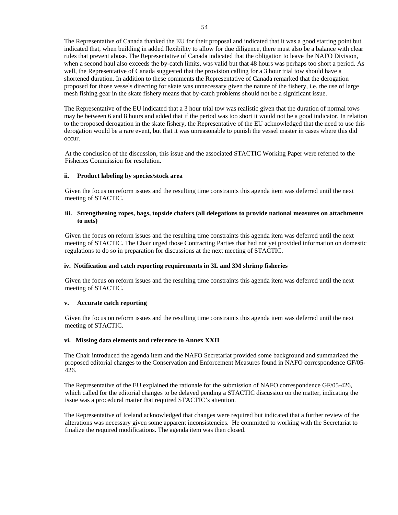The Representative of Canada thanked the EU for their proposal and indicated that it was a good starting point but indicated that, when building in added flexibility to allow for due diligence, there must also be a balance with clear rules that prevent abuse. The Representative of Canada indicated that the obligation to leave the NAFO Division, when a second haul also exceeds the by-catch limits, was valid but that 48 hours was perhaps too short a period. As well, the Representative of Canada suggested that the provision calling for a 3 hour trial tow should have a shortened duration. In addition to these comments the Representative of Canada remarked that the derogation proposed for those vessels directing for skate was unnecessary given the nature of the fishery, i.e. the use of large mesh fishing gear in the skate fishery means that by-catch problems should not be a significant issue.

The Representative of the EU indicated that a 3 hour trial tow was realistic given that the duration of normal tows may be between 6 and 8 hours and added that if the period was too short it would not be a good indicator. In relation to the proposed derogation in the skate fishery, the Representative of the EU acknowledged that the need to use this derogation would be a rare event, but that it was unreasonable to punish the vessel master in cases where this did occur.

At the conclusion of the discussion, this issue and the associated STACTIC Working Paper were referred to the Fisheries Commission for resolution.

## **ii. Product labeling by species/stock area**

Given the focus on reform issues and the resulting time constraints this agenda item was deferred until the next meeting of STACTIC.

### **iii. Strengthening ropes, bags, topside chafers (all delegations to provide national measures on attachments to nets)**

Given the focus on reform issues and the resulting time constraints this agenda item was deferred until the next meeting of STACTIC. The Chair urged those Contracting Parties that had not yet provided information on domestic regulations to do so in preparation for discussions at the next meeting of STACTIC.

### **iv. Notification and catch reporting requirements in 3L and 3M shrimp fisheries**

Given the focus on reform issues and the resulting time constraints this agenda item was deferred until the next meeting of STACTIC.

### **v. Accurate catch reporting**

Given the focus on reform issues and the resulting time constraints this agenda item was deferred until the next meeting of STACTIC.

### **vi. Missing data elements and reference to Annex XXII**

The Chair introduced the agenda item and the NAFO Secretariat provided some background and summarized the proposed editorial changes to the Conservation and Enforcement Measures found in NAFO correspondence GF/05- 426.

The Representative of the EU explained the rationale for the submission of NAFO correspondence GF/05-426, which called for the editorial changes to be delayed pending a STACTIC discussion on the matter, indicating the issue was a procedural matter that required STACTIC's attention.

The Representative of Iceland acknowledged that changes were required but indicated that a further review of the alterations was necessary given some apparent inconsistencies. He committed to working with the Secretariat to finalize the required modifications. The agenda item was then closed.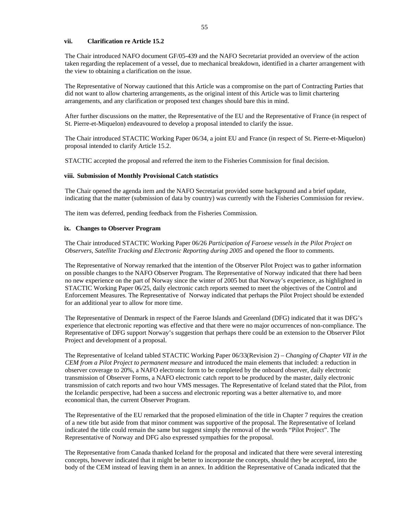## **vii. Clarification re Article 15.2**

The Chair introduced NAFO document GF/05-439 and the NAFO Secretariat provided an overview of the action taken regarding the replacement of a vessel, due to mechanical breakdown, identified in a charter arrangement with the view to obtaining a clarification on the issue.

The Representative of Norway cautioned that this Article was a compromise on the part of Contracting Parties that did not want to allow chartering arrangements, as the original intent of this Article was to limit chartering arrangements, and any clarification or proposed text changes should bare this in mind.

After further discussions on the matter, the Representative of the EU and the Representative of France (in respect of St. Pierre-et-Miquelon) endeavoured to develop a proposal intended to clarify the issue.

The Chair introduced STACTIC Working Paper 06/34, a joint EU and France (in respect of St. Pierre-et-Miquelon) proposal intended to clarify Article 15.2.

STACTIC accepted the proposal and referred the item to the Fisheries Commission for final decision.

#### **viii. Submission of Monthly Provisional Catch statistics**

The Chair opened the agenda item and the NAFO Secretariat provided some background and a brief update, indicating that the matter (submission of data by country) was currently with the Fisheries Commission for review.

The item was deferred, pending feedback from the Fisheries Commission.

#### **ix. Changes to Observer Program**

The Chair introduced STACTIC Working Paper 06/26 *Participation of Faroese vessels in the Pilot Project on Observers, Satellite Tracking and Electronic Reporting during 2005* and opened the floor to comments.

The Representative of Norway remarked that the intention of the Observer Pilot Project was to gather information on possible changes to the NAFO Observer Program. The Representative of Norway indicated that there had been no new experience on the part of Norway since the winter of 2005 but that Norway's experience, as highlighted in STACTIC Working Paper 06/25, daily electronic catch reports seemed to meet the objectives of the Control and Enforcement Measures. The Representative of Norway indicated that perhaps the Pilot Project should be extended for an additional year to allow for more time.

The Representative of Denmark in respect of the Faeroe Islands and Greenland (DFG) indicated that it was DFG's experience that electronic reporting was effective and that there were no major occurrences of non-compliance. The Representative of DFG support Norway's suggestion that perhaps there could be an extension to the Observer Pilot Project and development of a proposal.

The Representative of Iceland tabled STACTIC Working Paper 06/33(Revision 2) – *Changing of Chapter VII in the CEM from a Pilot Project to permanent measure* and introduced the main elements that included: a reduction in observer coverage to 20%, a NAFO electronic form to be completed by the onboard observer, daily electronic transmission of Observer Forms, a NAFO electronic catch report to be produced by the master, daily electronic transmission of catch reports and two hour VMS messages. The Representative of Iceland stated that the Pilot, from the Icelandic perspective, had been a success and electronic reporting was a better alternative to, and more economical than, the current Observer Program.

The Representative of the EU remarked that the proposed elimination of the title in Chapter 7 requires the creation of a new title but aside from that minor comment was supportive of the proposal. The Representative of Iceland indicated the title could remain the same but suggest simply the removal of the words "Pilot Project". The Representative of Norway and DFG also expressed sympathies for the proposal.

The Representative from Canada thanked Iceland for the proposal and indicated that there were several interesting concepts, however indicated that it might be better to incorporate the concepts, should they be accepted, into the body of the CEM instead of leaving them in an annex. In addition the Representative of Canada indicated that the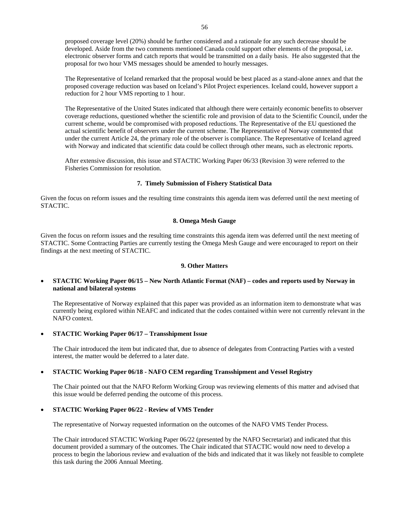proposed coverage level (20%) should be further considered and a rationale for any such decrease should be developed. Aside from the two comments mentioned Canada could support other elements of the proposal, i.e. electronic observer forms and catch reports that would be transmitted on a daily basis. He also suggested that the proposal for two hour VMS messages should be amended to hourly messages.

The Representative of Iceland remarked that the proposal would be best placed as a stand-alone annex and that the proposed coverage reduction was based on Iceland's Pilot Project experiences. Iceland could, however support a reduction for 2 hour VMS reporting to 1 hour.

The Representative of the United States indicated that although there were certainly economic benefits to observer coverage reductions, questioned whether the scientific role and provision of data to the Scientific Council, under the current scheme, would be compromised with proposed reductions. The Representative of the EU questioned the actual scientific benefit of observers under the current scheme. The Representative of Norway commented that under the current Article 24, the primary role of the observer is compliance. The Representative of Iceland agreed with Norway and indicated that scientific data could be collect through other means, such as electronic reports.

After extensive discussion, this issue and STACTIC Working Paper 06/33 (Revision 3) were referred to the Fisheries Commission for resolution.

## **7. Timely Submission of Fishery Statistical Data**

Given the focus on reform issues and the resulting time constraints this agenda item was deferred until the next meeting of STACTIC.

### **8. Omega Mesh Gauge**

Given the focus on reform issues and the resulting time constraints this agenda item was deferred until the next meeting of STACTIC. Some Contracting Parties are currently testing the Omega Mesh Gauge and were encouraged to report on their findings at the next meeting of STACTIC.

### **9. Other Matters**

## • **STACTIC Working Paper 06/15 – New North Atlantic Format (NAF) – codes and reports used by Norway in national and bilateral systems**

 The Representative of Norway explained that this paper was provided as an information item to demonstrate what was currently being explored within NEAFC and indicated that the codes contained within were not currently relevant in the NAFO context.

• **STACTIC Working Paper 06/17 – Transshipment Issue** 

 The Chair introduced the item but indicated that, due to absence of delegates from Contracting Parties with a vested interest, the matter would be deferred to a later date.

# • **STACTIC Working Paper 06/18 - NAFO CEM regarding Transshipment and Vessel Registry**

 The Chair pointed out that the NAFO Reform Working Group was reviewing elements of this matter and advised that this issue would be deferred pending the outcome of this process.

### • **STACTIC Working Paper 06/22 - Review of VMS Tender**

The representative of Norway requested information on the outcomes of the NAFO VMS Tender Process.

 The Chair introduced STACTIC Working Paper 06/22 (presented by the NAFO Secretariat) and indicated that this document provided a summary of the outcomes. The Chair indicated that STACTIC would now need to develop a process to begin the laborious review and evaluation of the bids and indicated that it was likely not feasible to complete this task during the 2006 Annual Meeting.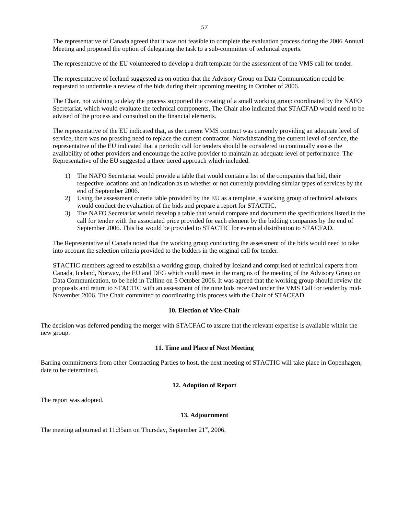The representative of Canada agreed that it was not feasible to complete the evaluation process during the 2006 Annual Meeting and proposed the option of delegating the task to a sub-committee of technical experts.

The representative of the EU volunteered to develop a draft template for the assessment of the VMS call for tender.

The representative of Iceland suggested as on option that the Advisory Group on Data Communication could be requested to undertake a review of the bids during their upcoming meeting in October of 2006.

The Chair, not wishing to delay the process supported the creating of a small working group coordinated by the NAFO Secretariat, which would evaluate the technical components. The Chair also indicated that STACFAD would need to be advised of the process and consulted on the financial elements.

The representative of the EU indicated that, as the current VMS contract was currently providing an adequate level of service, there was no pressing need to replace the current contractor. Notwithstanding the current level of service, the representative of the EU indicated that a periodic call for tenders should be considered to continually assess the availability of other providers and encourage the active provider to maintain an adequate level of performance. The Representative of the EU suggested a three tiered approach which included:

- 1) The NAFO Secretariat would provide a table that would contain a list of the companies that bid, their respective locations and an indication as to whether or not currently providing similar types of services by the end of September 2006.
- 2) Using the assessment criteria table provided by the EU as a template, a working group of technical advisors would conduct the evaluation of the bids and prepare a report for STACTIC.
- 3) The NAFO Secretariat would develop a table that would compare and document the specifications listed in the call for tender with the associated price provided for each element by the bidding companies by the end of September 2006. This list would be provided to STACTIC for eventual distribution to STACFAD.

The Representative of Canada noted that the working group conducting the assessment of the bids would need to take into account the selection criteria provided to the bidders in the original call for tender.

STACTIC members agreed to establish a working group, chaired by Iceland and comprised of technical experts from Canada, Iceland, Norway, the EU and DFG which could meet in the margins of the meeting of the Advisory Group on Data Communication, to be held in Tallinn on 5 October 2006. It was agreed that the working group should review the proposals and return to STACTIC with an assessment of the nine bids received under the VMS Call for tender by mid-November 2006. The Chair committed to coordinating this process with the Chair of STACFAD.

### **10. Election of Vice-Chair**

The decision was deferred pending the merger with STACFAC to assure that the relevant expertise is available within the new group.

#### **11. Time and Place of Next Meeting**

Barring commitments from other Contracting Parties to host, the next meeting of STACTIC will take place in Copenhagen, date to be determined.

## **12. Adoption of Report**

The report was adopted.

## **13. Adjournment**

The meeting adjourned at 11:35am on Thursday, September  $21<sup>st</sup>$ , 2006.